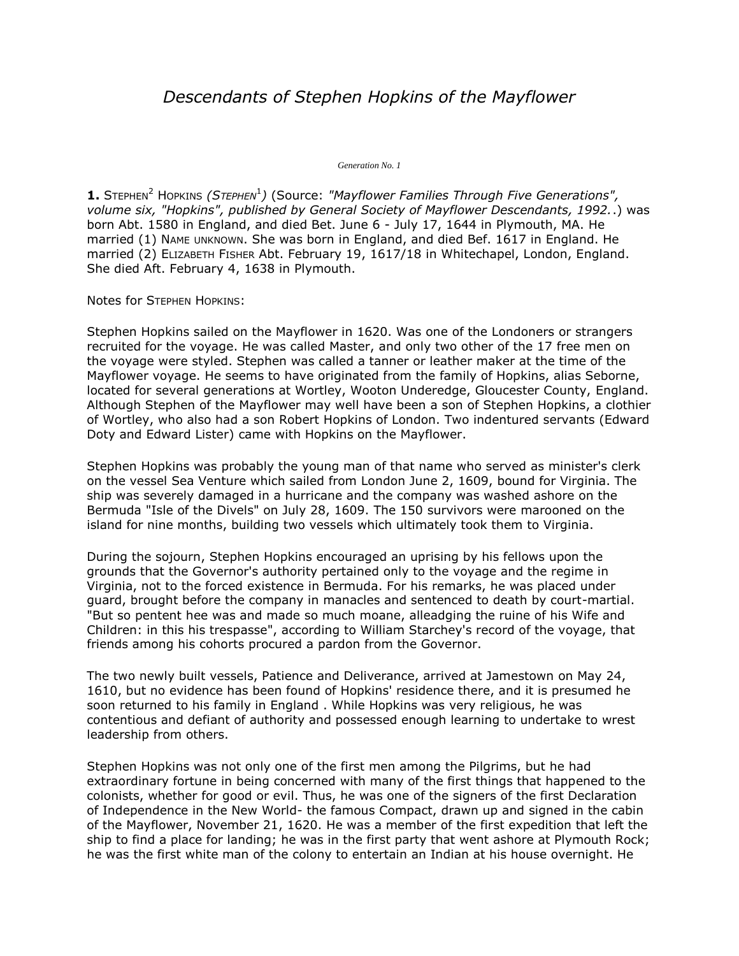# *Descendants of Stephen Hopkins of the Mayflower*

*Generation No. 1*

**1.** STEPHEN<sup>2</sup> HOPKINS (STEPHEN<sup>1</sup>) (Source: "Mayflower Families Through Five Generations", *volume six, "Hopkins", published by General Society of Mayflower Descendants, 1992.*.) was born Abt. 1580 in England, and died Bet. June 6 - July 17, 1644 in Plymouth, MA. He married (1) NAME UNKNOWN. She was born in England, and died Bef. 1617 in England. He married (2) ELIZABETH FISHER Abt. February 19, 1617/18 in Whitechapel, London, England. She died Aft. February 4, 1638 in Plymouth.

Notes for STEPHEN HOPKINS:

Stephen Hopkins sailed on the Mayflower in 1620. Was one of the Londoners or strangers recruited for the voyage. He was called Master, and only two other of the 17 free men on the voyage were styled. Stephen was called a tanner or leather maker at the time of the Mayflower voyage. He seems to have originated from the family of Hopkins, alias Seborne, located for several generations at Wortley, Wooton Underedge, Gloucester County, England. Although Stephen of the Mayflower may well have been a son of Stephen Hopkins, a clothier of Wortley, who also had a son Robert Hopkins of London. Two indentured servants (Edward Doty and Edward Lister) came with Hopkins on the Mayflower.

Stephen Hopkins was probably the young man of that name who served as minister's clerk on the vessel Sea Venture which sailed from London June 2, 1609, bound for Virginia. The ship was severely damaged in a hurricane and the company was washed ashore on the Bermuda "Isle of the Divels" on July 28, 1609. The 150 survivors were marooned on the island for nine months, building two vessels which ultimately took them to Virginia.

During the sojourn, Stephen Hopkins encouraged an uprising by his fellows upon the grounds that the Governor's authority pertained only to the voyage and the regime in Virginia, not to the forced existence in Bermuda. For his remarks, he was placed under guard, brought before the company in manacles and sentenced to death by court-martial. "But so pentent hee was and made so much moane, alleadging the ruine of his Wife and Children: in this his trespasse", according to William Starchey's record of the voyage, that friends among his cohorts procured a pardon from the Governor.

The two newly built vessels, Patience and Deliverance, arrived at Jamestown on May 24, 1610, but no evidence has been found of Hopkins' residence there, and it is presumed he soon returned to his family in England . While Hopkins was very religious, he was contentious and defiant of authority and possessed enough learning to undertake to wrest leadership from others.

Stephen Hopkins was not only one of the first men among the Pilgrims, but he had extraordinary fortune in being concerned with many of the first things that happened to the colonists, whether for good or evil. Thus, he was one of the signers of the first Declaration of Independence in the New World- the famous Compact, drawn up and signed in the cabin of the Mayflower, November 21, 1620. He was a member of the first expedition that left the ship to find a place for landing; he was in the first party that went ashore at Plymouth Rock; he was the first white man of the colony to entertain an Indian at his house overnight. He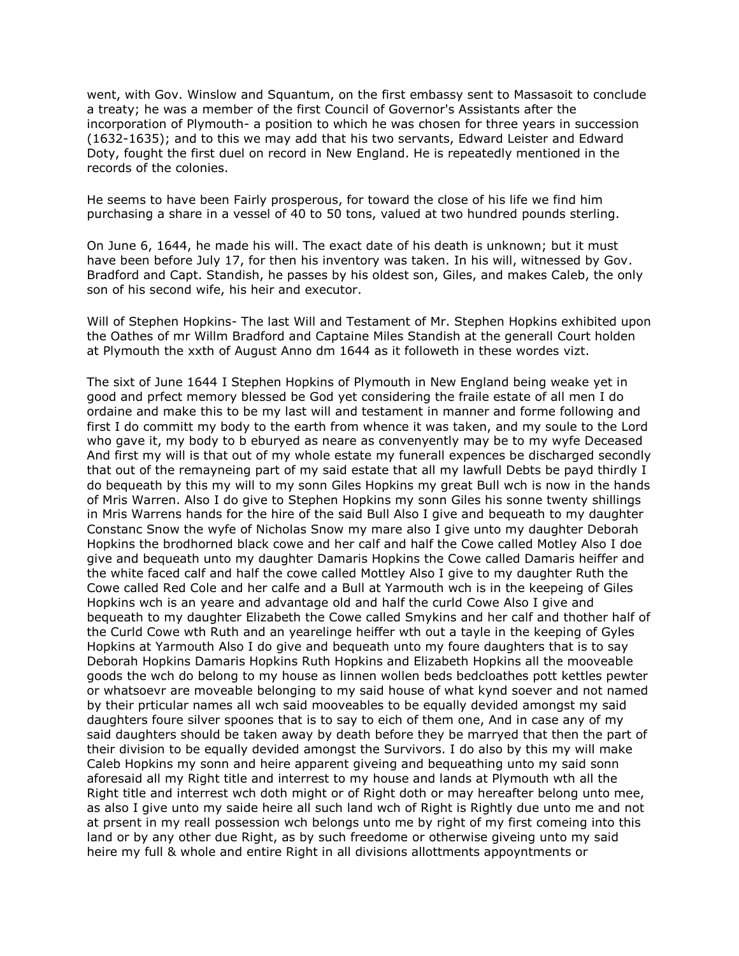went, with Gov. Winslow and Squantum, on the first embassy sent to Massasoit to conclude a treaty; he was a member of the first Council of Governor's Assistants after the incorporation of Plymouth- a position to which he was chosen for three years in succession (1632-1635); and to this we may add that his two servants, Edward Leister and Edward Doty, fought the first duel on record in New England. He is repeatedly mentioned in the records of the colonies.

He seems to have been Fairly prosperous, for toward the close of his life we find him purchasing a share in a vessel of 40 to 50 tons, valued at two hundred pounds sterling.

On June 6, 1644, he made his will. The exact date of his death is unknown; but it must have been before July 17, for then his inventory was taken. In his will, witnessed by Gov. Bradford and Capt. Standish, he passes by his oldest son, Giles, and makes Caleb, the only son of his second wife, his heir and executor.

Will of Stephen Hopkins- The last Will and Testament of Mr. Stephen Hopkins exhibited upon the Oathes of mr Willm Bradford and Captaine Miles Standish at the generall Court holden at Plymouth the xxth of August Anno dm 1644 as it followeth in these wordes vizt.

The sixt of June 1644 I Stephen Hopkins of Plymouth in New England being weake yet in good and prfect memory blessed be God yet considering the fraile estate of all men I do ordaine and make this to be my last will and testament in manner and forme following and first I do committ my body to the earth from whence it was taken, and my soule to the Lord who gave it, my body to b eburyed as neare as convenyently may be to my wyfe Deceased And first my will is that out of my whole estate my funerall expences be discharged secondly that out of the remayneing part of my said estate that all my lawfull Debts be payd thirdly I do bequeath by this my will to my sonn Giles Hopkins my great Bull wch is now in the hands of Mris Warren. Also I do give to Stephen Hopkins my sonn Giles his sonne twenty shillings in Mris Warrens hands for the hire of the said Bull Also I give and bequeath to my daughter Constanc Snow the wyfe of Nicholas Snow my mare also I give unto my daughter Deborah Hopkins the brodhorned black cowe and her calf and half the Cowe called Motley Also I doe give and bequeath unto my daughter Damaris Hopkins the Cowe called Damaris heiffer and the white faced calf and half the cowe called Mottley Also I give to my daughter Ruth the Cowe called Red Cole and her calfe and a Bull at Yarmouth wch is in the keepeing of Giles Hopkins wch is an yeare and advantage old and half the curld Cowe Also I give and bequeath to my daughter Elizabeth the Cowe called Smykins and her calf and thother half of the Curld Cowe wth Ruth and an yearelinge heiffer wth out a tayle in the keeping of Gyles Hopkins at Yarmouth Also I do give and bequeath unto my foure daughters that is to say Deborah Hopkins Damaris Hopkins Ruth Hopkins and Elizabeth Hopkins all the mooveable goods the wch do belong to my house as linnen wollen beds bedcloathes pott kettles pewter or whatsoevr are moveable belonging to my said house of what kynd soever and not named by their prticular names all wch said mooveables to be equally devided amongst my said daughters foure silver spoones that is to say to eich of them one, And in case any of my said daughters should be taken away by death before they be marryed that then the part of their division to be equally devided amongst the Survivors. I do also by this my will make Caleb Hopkins my sonn and heire apparent giveing and bequeathing unto my said sonn aforesaid all my Right title and interrest to my house and lands at Plymouth wth all the Right title and interrest wch doth might or of Right doth or may hereafter belong unto mee, as also I give unto my saide heire all such land wch of Right is Rightly due unto me and not at prsent in my reall possession wch belongs unto me by right of my first comeing into this land or by any other due Right, as by such freedome or otherwise giveing unto my said heire my full & whole and entire Right in all divisions allottments appoyntments or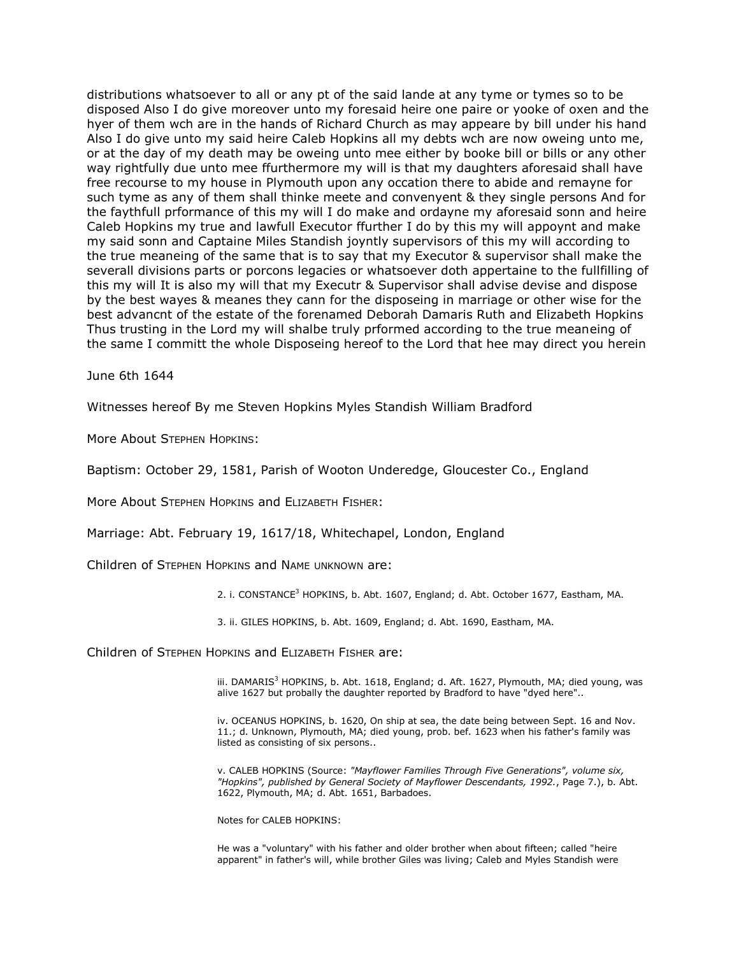distributions whatsoever to all or any pt of the said lande at any tyme or tymes so to be disposed Also I do give moreover unto my foresaid heire one paire or yooke of oxen and the hyer of them wch are in the hands of Richard Church as may appeare by bill under his hand Also I do give unto my said heire Caleb Hopkins all my debts wch are now oweing unto me, or at the day of my death may be oweing unto mee either by booke bill or bills or any other way rightfully due unto mee ffurthermore my will is that my daughters aforesaid shall have free recourse to my house in Plymouth upon any occation there to abide and remayne for such tyme as any of them shall thinke meete and convenyent & they single persons And for the faythfull prformance of this my will I do make and ordayne my aforesaid sonn and heire Caleb Hopkins my true and lawfull Executor ffurther I do by this my will appoynt and make my said sonn and Captaine Miles Standish joyntly supervisors of this my will according to the true meaneing of the same that is to say that my Executor & supervisor shall make the severall divisions parts or porcons legacies or whatsoever doth appertaine to the fullfilling of this my will It is also my will that my Executr & Supervisor shall advise devise and dispose by the best wayes & meanes they cann for the disposeing in marriage or other wise for the best advancnt of the estate of the forenamed Deborah Damaris Ruth and Elizabeth Hopkins Thus trusting in the Lord my will shalbe truly prformed according to the true meaneing of the same I committ the whole Disposeing hereof to the Lord that hee may direct you herein

June 6th 1644

Witnesses hereof By me Steven Hopkins Myles Standish William Bradford

More About STEPHEN HOPKINS:

Baptism: October 29, 1581, Parish of Wooton Underedge, Gloucester Co., England

More About STEPHEN HOPKINS and ELIZABETH FISHER:

Marriage: Abt. February 19, 1617/18, Whitechapel, London, England

Children of STEPHEN HOPKINS and NAME UNKNOWN are:

2. i. CONSTANCE<sup>3</sup> HOPKINS, b. Abt. 1607, England; d. Abt. October 1677, Eastham, MA.

3. ii. GILES HOPKINS, b. Abt. 1609, England; d. Abt. 1690, Eastham, MA.

Children of STEPHEN HOPKINS and ELIZABETH FISHER are:

iii. DAMARIS<sup>3</sup> HOPKINS, b. Abt. 1618, England; d. Aft. 1627, Plymouth, MA; died young, was alive 1627 but probally the daughter reported by Bradford to have "dyed here"..

iv. OCEANUS HOPKINS, b. 1620, On ship at sea, the date being between Sept. 16 and Nov. 11.; d. Unknown, Plymouth, MA; died young, prob. bef. 1623 when his father's family was listed as consisting of six persons..

v. CALEB HOPKINS (Source: *"Mayflower Families Through Five Generations", volume six, "Hopkins", published by General Society of Mayflower Descendants, 1992.*, Page 7.), b. Abt. 1622, Plymouth, MA; d. Abt. 1651, Barbadoes.

Notes for CALEB HOPKINS:

He was a "voluntary" with his father and older brother when about fifteen; called "heire apparent" in father's will, while brother Giles was living; Caleb and Myles Standish were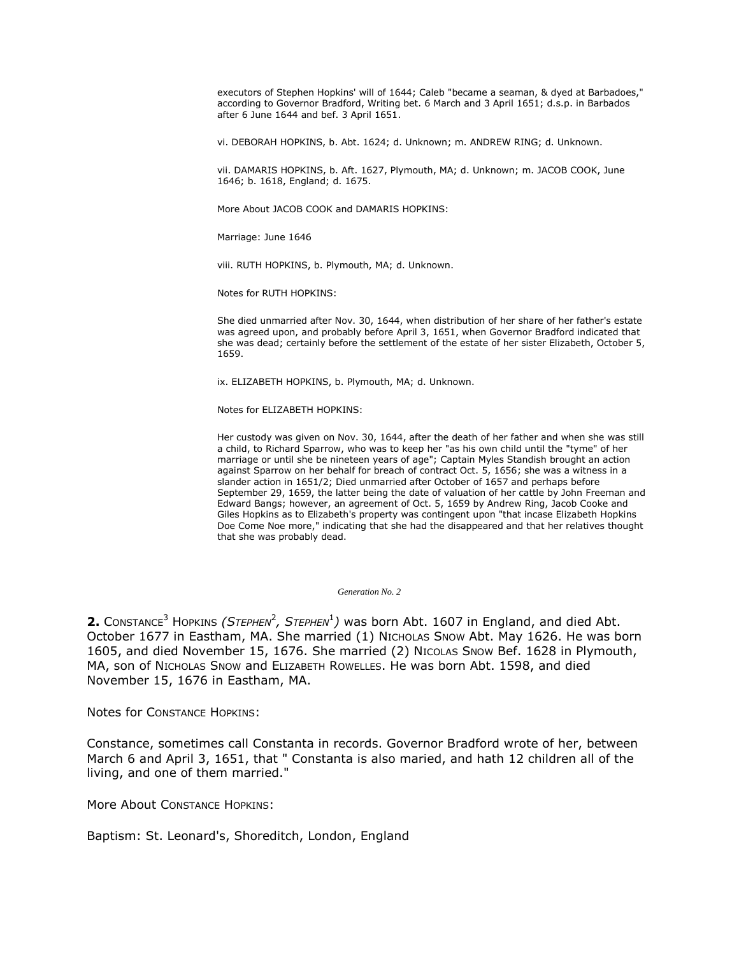executors of Stephen Hopkins' will of 1644; Caleb "became a seaman, & dyed at Barbadoes," according to Governor Bradford, Writing bet. 6 March and 3 April 1651; d.s.p. in Barbados after 6 June 1644 and bef. 3 April 1651.

vi. DEBORAH HOPKINS, b. Abt. 1624; d. Unknown; m. ANDREW RING; d. Unknown.

vii. DAMARIS HOPKINS, b. Aft. 1627, Plymouth, MA; d. Unknown; m. JACOB COOK, June 1646; b. 1618, England; d. 1675.

More About JACOB COOK and DAMARIS HOPKINS:

Marriage: June 1646

viii. RUTH HOPKINS, b. Plymouth, MA; d. Unknown.

Notes for RUTH HOPKINS:

She died unmarried after Nov. 30, 1644, when distribution of her share of her father's estate was agreed upon, and probably before April 3, 1651, when Governor Bradford indicated that she was dead; certainly before the settlement of the estate of her sister Elizabeth, October 5, 1659.

ix. ELIZABETH HOPKINS, b. Plymouth, MA; d. Unknown.

Notes for ELIZABETH HOPKINS:

Her custody was given on Nov. 30, 1644, after the death of her father and when she was still a child, to Richard Sparrow, who was to keep her "as his own child until the "tyme" of her marriage or until she be nineteen years of age"; Captain Myles Standish brought an action against Sparrow on her behalf for breach of contract Oct. 5, 1656; she was a witness in a slander action in 1651/2; Died unmarried after October of 1657 and perhaps before September 29, 1659, the latter being the date of valuation of her cattle by John Freeman and Edward Bangs; however, an agreement of Oct. 5, 1659 by Andrew Ring, Jacob Cooke and Giles Hopkins as to Elizabeth's property was contingent upon "that incase Elizabeth Hopkins Doe Come Noe more," indicating that she had the disappeared and that her relatives thought that she was probably dead.

*Generation No. 2*

**2.** Constance<sup>3</sup> Hopkins *(Stephen<sup>2</sup>, Stephen*<sup>1</sup>) was born Abt. 1607 in England, and died Abt. October 1677 in Eastham, MA. She married (1) NICHOLAS SNOW Abt. May 1626. He was born 1605, and died November 15, 1676. She married (2) NICOLAS SNOW Bef. 1628 in Plymouth, MA, son of NICHOLAS SNOW and ELIZABETH ROWELLES. He was born Abt. 1598, and died November 15, 1676 in Eastham, MA.

Notes for CONSTANCE HOPKINS:

Constance, sometimes call Constanta in records. Governor Bradford wrote of her, between March 6 and April 3, 1651, that " Constanta is also maried, and hath 12 children all of the living, and one of them married."

More About CONSTANCE HOPKINS:

Baptism: St. Leonard's, Shoreditch, London, England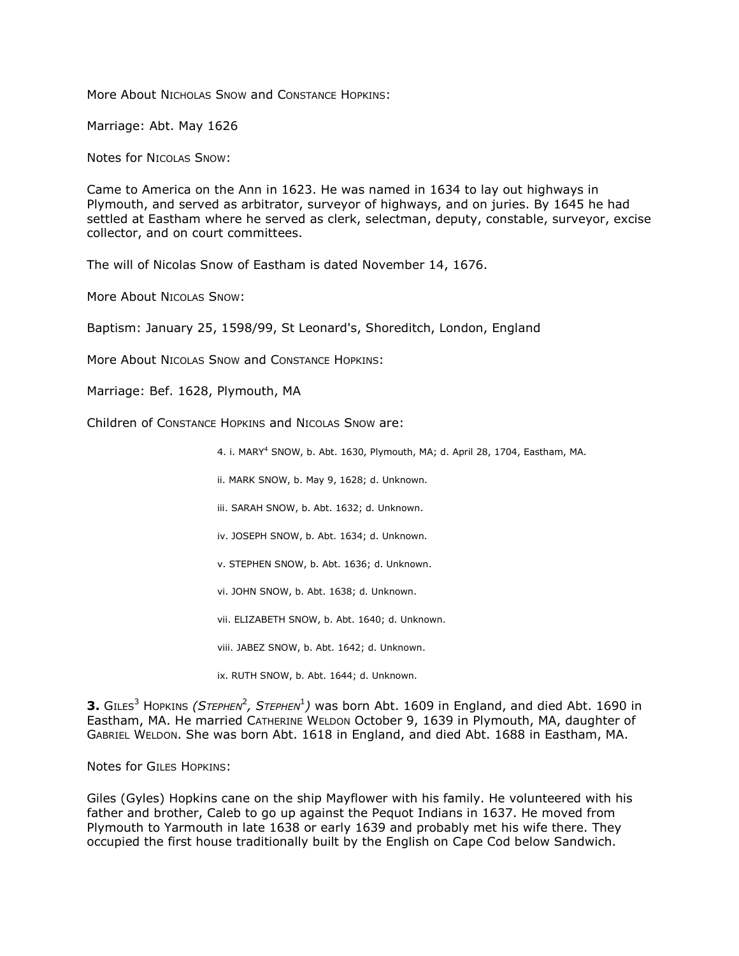More About NICHOLAS SNOW and CONSTANCE HOPKINS:

Marriage: Abt. May 1626

Notes for NICOLAS SNOW:

Came to America on the Ann in 1623. He was named in 1634 to lay out highways in Plymouth, and served as arbitrator, surveyor of highways, and on juries. By 1645 he had settled at Eastham where he served as clerk, selectman, deputy, constable, surveyor, excise collector, and on court committees.

The will of Nicolas Snow of Eastham is dated November 14, 1676.

More About NICOLAS SNOW:

Baptism: January 25, 1598/99, St Leonard's, Shoreditch, London, England

More About NICOLAS SNOW and CONSTANCE HOPKINS:

Marriage: Bef. 1628, Plymouth, MA

Children of CONSTANCE HOPKINS and NICOLAS SNOW are:

4. i. MARY<sup>4</sup> SNOW, b. Abt. 1630, Plymouth, MA; d. April 28, 1704, Eastham, MA.

ii. MARK SNOW, b. May 9, 1628; d. Unknown.

iii. SARAH SNOW, b. Abt. 1632; d. Unknown.

iv. JOSEPH SNOW, b. Abt. 1634; d. Unknown.

- v. STEPHEN SNOW, b. Abt. 1636; d. Unknown.
- vi. JOHN SNOW, b. Abt. 1638; d. Unknown.

vii. ELIZABETH SNOW, b. Abt. 1640; d. Unknown.

viii. JABEZ SNOW, b. Abt. 1642; d. Unknown.

ix. RUTH SNOW, b. Abt. 1644; d. Unknown.

**3.** GILES<sup>3</sup> HOPKINS *(STEPHEN<sup>2</sup>, STEPHEN<sup>1</sup>)* was born Abt. 1609 in England, and died Abt. 1690 in Eastham, MA. He married CATHERINE WELDON October 9, 1639 in Plymouth, MA, daughter of GABRIEL WELDON. She was born Abt. 1618 in England, and died Abt. 1688 in Eastham, MA.

Notes for GILES HOPKINS:

Giles (Gyles) Hopkins cane on the ship Mayflower with his family. He volunteered with his father and brother, Caleb to go up against the Pequot Indians in 1637. He moved from Plymouth to Yarmouth in late 1638 or early 1639 and probably met his wife there. They occupied the first house traditionally built by the English on Cape Cod below Sandwich.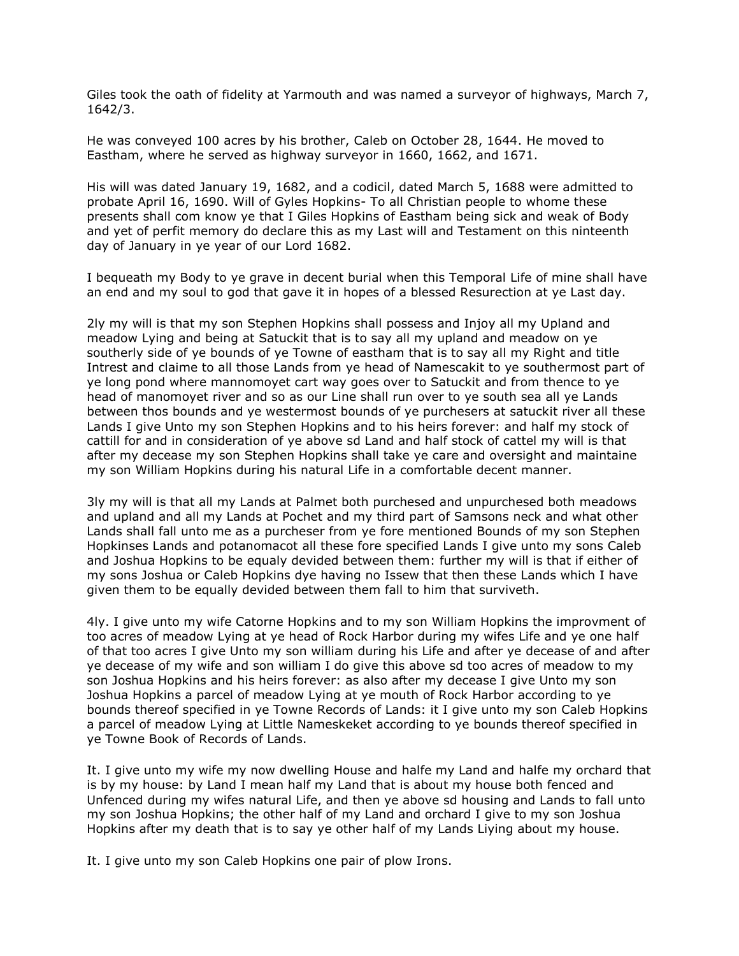Giles took the oath of fidelity at Yarmouth and was named a surveyor of highways, March 7, 1642/3.

He was conveyed 100 acres by his brother, Caleb on October 28, 1644. He moved to Eastham, where he served as highway surveyor in 1660, 1662, and 1671.

His will was dated January 19, 1682, and a codicil, dated March 5, 1688 were admitted to probate April 16, 1690. Will of Gyles Hopkins- To all Christian people to whome these presents shall com know ye that I Giles Hopkins of Eastham being sick and weak of Body and yet of perfit memory do declare this as my Last will and Testament on this ninteenth day of January in ye year of our Lord 1682.

I bequeath my Body to ye grave in decent burial when this Temporal Life of mine shall have an end and my soul to god that gave it in hopes of a blessed Resurection at ye Last day.

2ly my will is that my son Stephen Hopkins shall possess and Injoy all my Upland and meadow Lying and being at Satuckit that is to say all my upland and meadow on ye southerly side of ye bounds of ye Towne of eastham that is to say all my Right and title Intrest and claime to all those Lands from ye head of Namescakit to ye southermost part of ye long pond where mannomoyet cart way goes over to Satuckit and from thence to ye head of manomoyet river and so as our Line shall run over to ye south sea all ye Lands between thos bounds and ye westermost bounds of ye purchesers at satuckit river all these Lands I give Unto my son Stephen Hopkins and to his heirs forever: and half my stock of cattill for and in consideration of ye above sd Land and half stock of cattel my will is that after my decease my son Stephen Hopkins shall take ye care and oversight and maintaine my son William Hopkins during his natural Life in a comfortable decent manner.

3ly my will is that all my Lands at Palmet both purchesed and unpurchesed both meadows and upland and all my Lands at Pochet and my third part of Samsons neck and what other Lands shall fall unto me as a purcheser from ye fore mentioned Bounds of my son Stephen Hopkinses Lands and potanomacot all these fore specified Lands I give unto my sons Caleb and Joshua Hopkins to be equaly devided between them: further my will is that if either of my sons Joshua or Caleb Hopkins dye having no Issew that then these Lands which I have given them to be equally devided between them fall to him that surviveth.

4ly. I give unto my wife Catorne Hopkins and to my son William Hopkins the improvment of too acres of meadow Lying at ye head of Rock Harbor during my wifes Life and ye one half of that too acres I give Unto my son william during his Life and after ye decease of and after ye decease of my wife and son william I do give this above sd too acres of meadow to my son Joshua Hopkins and his heirs forever: as also after my decease I give Unto my son Joshua Hopkins a parcel of meadow Lying at ye mouth of Rock Harbor according to ye bounds thereof specified in ye Towne Records of Lands: it I give unto my son Caleb Hopkins a parcel of meadow Lying at Little Nameskeket according to ye bounds thereof specified in ye Towne Book of Records of Lands.

It. I give unto my wife my now dwelling House and halfe my Land and halfe my orchard that is by my house: by Land I mean half my Land that is about my house both fenced and Unfenced during my wifes natural Life, and then ye above sd housing and Lands to fall unto my son Joshua Hopkins; the other half of my Land and orchard I give to my son Joshua Hopkins after my death that is to say ye other half of my Lands Liying about my house.

It. I give unto my son Caleb Hopkins one pair of plow Irons.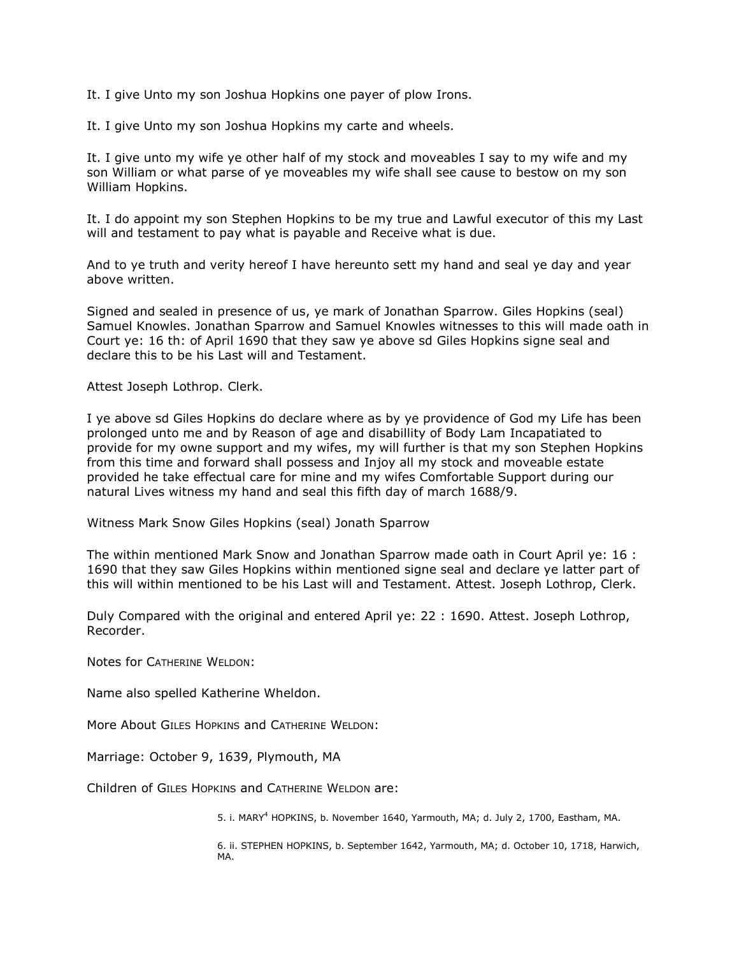It. I give Unto my son Joshua Hopkins one payer of plow Irons.

It. I give Unto my son Joshua Hopkins my carte and wheels.

It. I give unto my wife ye other half of my stock and moveables I say to my wife and my son William or what parse of ye moveables my wife shall see cause to bestow on my son William Hopkins.

It. I do appoint my son Stephen Hopkins to be my true and Lawful executor of this my Last will and testament to pay what is payable and Receive what is due.

And to ye truth and verity hereof I have hereunto sett my hand and seal ye day and year above written.

Signed and sealed in presence of us, ye mark of Jonathan Sparrow. Giles Hopkins (seal) Samuel Knowles. Jonathan Sparrow and Samuel Knowles witnesses to this will made oath in Court ye: 16 th: of April 1690 that they saw ye above sd Giles Hopkins signe seal and declare this to be his Last will and Testament.

Attest Joseph Lothrop. Clerk.

I ye above sd Giles Hopkins do declare where as by ye providence of God my Life has been prolonged unto me and by Reason of age and disabillity of Body Lam Incapatiated to provide for my owne support and my wifes, my will further is that my son Stephen Hopkins from this time and forward shall possess and Injoy all my stock and moveable estate provided he take effectual care for mine and my wifes Comfortable Support during our natural Lives witness my hand and seal this fifth day of march 1688/9.

Witness Mark Snow Giles Hopkins (seal) Jonath Sparrow

The within mentioned Mark Snow and Jonathan Sparrow made oath in Court April ye: 16 : 1690 that they saw Giles Hopkins within mentioned signe seal and declare ye latter part of this will within mentioned to be his Last will and Testament. Attest. Joseph Lothrop, Clerk.

Duly Compared with the original and entered April ye: 22 : 1690. Attest. Joseph Lothrop, Recorder.

Notes for CATHERINE WELDON:

Name also spelled Katherine Wheldon.

More About GILES HOPKINS and CATHERINE WELDON:

Marriage: October 9, 1639, Plymouth, MA

Children of GILES HOPKINS and CATHERINE WELDON are:

5. i. MARY<sup>4</sup> HOPKINS, b. November 1640, Yarmouth, MA; d. July 2, 1700, Eastham, MA.

6. ii. STEPHEN HOPKINS, b. September 1642, Yarmouth, MA; d. October 10, 1718, Harwich, MA.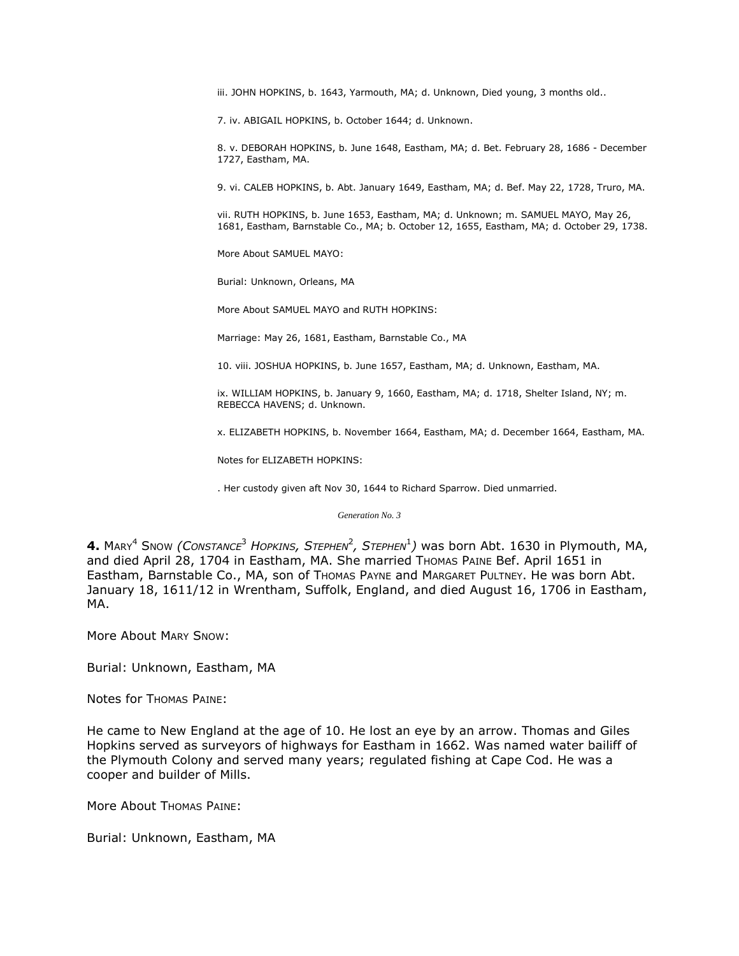iii. JOHN HOPKINS, b. 1643, Yarmouth, MA; d. Unknown, Died young, 3 months old..

7. iv. ABIGAIL HOPKINS, b. October 1644; d. Unknown.

8. v. DEBORAH HOPKINS, b. June 1648, Eastham, MA; d. Bet. February 28, 1686 - December 1727, Eastham, MA.

9. vi. CALEB HOPKINS, b. Abt. January 1649, Eastham, MA; d. Bef. May 22, 1728, Truro, MA.

vii. RUTH HOPKINS, b. June 1653, Eastham, MA; d. Unknown; m. SAMUEL MAYO, May 26, 1681, Eastham, Barnstable Co., MA; b. October 12, 1655, Eastham, MA; d. October 29, 1738.

More About SAMUEL MAYO:

Burial: Unknown, Orleans, MA

More About SAMUEL MAYO and RUTH HOPKINS:

Marriage: May 26, 1681, Eastham, Barnstable Co., MA

10. viii. JOSHUA HOPKINS, b. June 1657, Eastham, MA; d. Unknown, Eastham, MA.

ix. WILLIAM HOPKINS, b. January 9, 1660, Eastham, MA; d. 1718, Shelter Island, NY; m. REBECCA HAVENS; d. Unknown.

x. ELIZABETH HOPKINS, b. November 1664, Eastham, MA; d. December 1664, Eastham, MA.

Notes for ELIZABETH HOPKINS:

. Her custody given aft Nov 30, 1644 to Richard Sparrow. Died unmarried.

*Generation No. 3*

**4.** MARY<sup>4</sup> SNOW *(CONSTANCE*<sup>3</sup> *HOPKINS, STEPHEN*<sup>2</sup> *, STEPHEN*<sup>1</sup> *)* was born Abt. 1630 in Plymouth, MA, and died April 28, 1704 in Eastham, MA. She married THOMAS PAINE Bef. April 1651 in Eastham, Barnstable Co., MA, son of Thomas Payne and Margaret Pultney. He was born Abt. January 18, 1611/12 in Wrentham, Suffolk, England, and died August 16, 1706 in Eastham, MA.

More About MARY SNOW:

Burial: Unknown, Eastham, MA

Notes for THOMAS PAINE:

He came to New England at the age of 10. He lost an eye by an arrow. Thomas and Giles Hopkins served as surveyors of highways for Eastham in 1662. Was named water bailiff of the Plymouth Colony and served many years; regulated fishing at Cape Cod. He was a cooper and builder of Mills.

More About Thomas Paine:

Burial: Unknown, Eastham, MA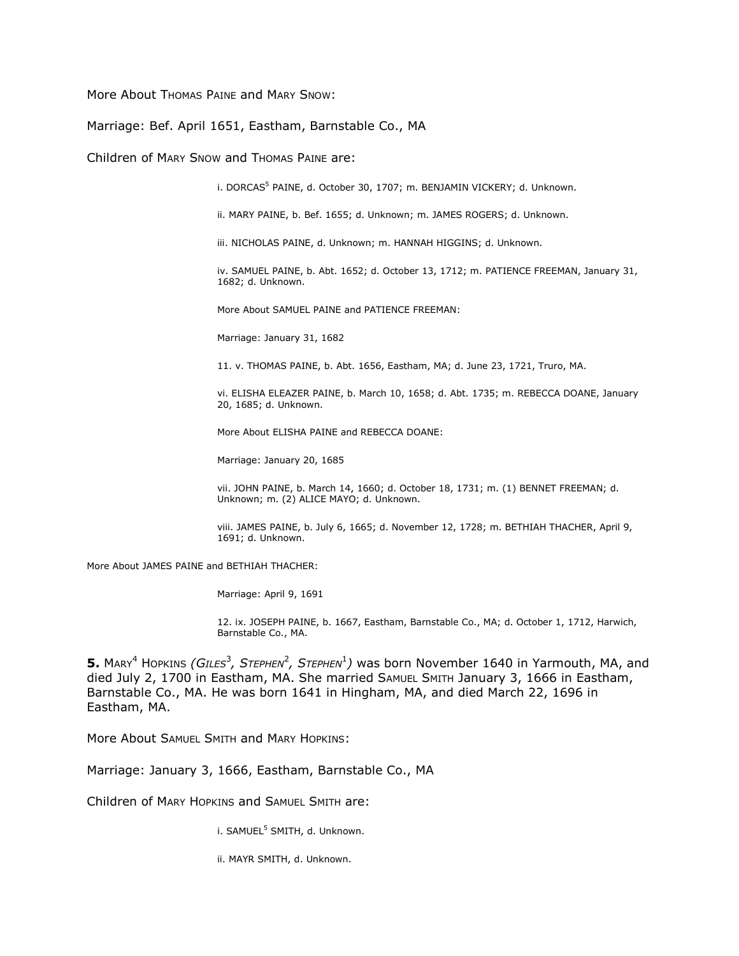More About Thomas PAINE and MARY SNOW:

### Marriage: Bef. April 1651, Eastham, Barnstable Co., MA

Children of MARY SNOW and THOMAS PAINE are:

i. DORCAS<sup>5</sup> PAINE, d. October 30, 1707; m. BENJAMIN VICKERY; d. Unknown.

ii. MARY PAINE, b. Bef. 1655; d. Unknown; m. JAMES ROGERS; d. Unknown.

iii. NICHOLAS PAINE, d. Unknown; m. HANNAH HIGGINS; d. Unknown.

iv. SAMUEL PAINE, b. Abt. 1652; d. October 13, 1712; m. PATIENCE FREEMAN, January 31, 1682; d. Unknown.

More About SAMUEL PAINE and PATIENCE FREEMAN:

Marriage: January 31, 1682

11. v. THOMAS PAINE, b. Abt. 1656, Eastham, MA; d. June 23, 1721, Truro, MA.

vi. ELISHA ELEAZER PAINE, b. March 10, 1658; d. Abt. 1735; m. REBECCA DOANE, January 20, 1685; d. Unknown.

More About ELISHA PAINE and REBECCA DOANE:

Marriage: January 20, 1685

vii. JOHN PAINE, b. March 14, 1660; d. October 18, 1731; m. (1) BENNET FREEMAN; d. Unknown; m. (2) ALICE MAYO; d. Unknown.

viii. JAMES PAINE, b. July 6, 1665; d. November 12, 1728; m. BETHIAH THACHER, April 9, 1691; d. Unknown.

More About JAMES PAINE and BETHIAH THACHER:

Marriage: April 9, 1691

12. ix. JOSEPH PAINE, b. 1667, Eastham, Barnstable Co., MA; d. October 1, 1712, Harwich, Barnstable Co., MA.

 $5.$  MARY<sup>4</sup> Hopkins *(Giles<sup>3</sup>, Sтернен<sup>2</sup>, Sтернен*<sup>1</sup>) was born November 1640 in Yarmouth, MA, and died July 2, 1700 in Eastham, MA. She married SAMUEL SMITH January 3, 1666 in Eastham, Barnstable Co., MA. He was born 1641 in Hingham, MA, and died March 22, 1696 in Eastham, MA.

More About SAMUEL SMITH and MARY HOPKINS:

Marriage: January 3, 1666, Eastham, Barnstable Co., MA

Children of MARY HOPKINS and SAMUEL SMITH are:

i. SAMUEL<sup>5</sup> SMITH, d. Unknown.

ii. MAYR SMITH, d. Unknown.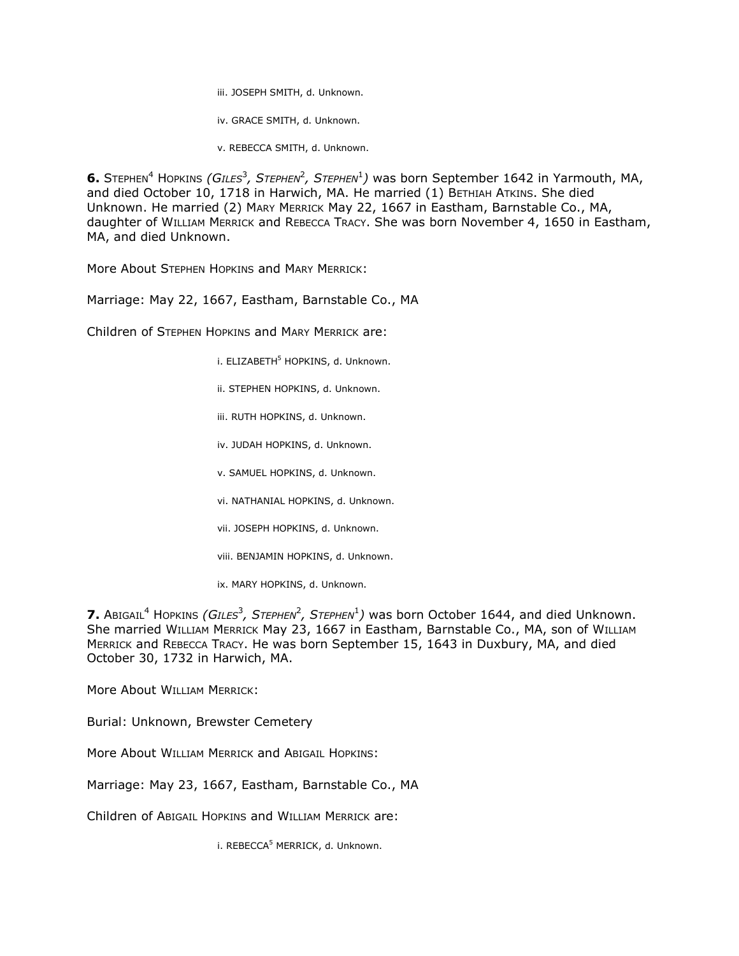iii. JOSEPH SMITH, d. Unknown.

iv. GRACE SMITH, d. Unknown.

v. REBECCA SMITH, d. Unknown.

6. STEPHEN<sup>4</sup> HOPKINS *(GILES<sup>3</sup>, STEPHEN<sup>2</sup>, STEPHEN<sup>1</sup>)* was born September 1642 in Yarmouth, MA, and died October 10, 1718 in Harwich, MA. He married (1) BETHIAH ATKINS. She died Unknown. He married (2) MARY MERRICK May 22, 1667 in Eastham, Barnstable Co., MA, daughter of WILLIAM MERRICK and REBECCA TRACY. She was born November 4, 1650 in Eastham, MA, and died Unknown.

More About STEPHEN HOPKINS and MARY MERRICK:

Marriage: May 22, 1667, Eastham, Barnstable Co., MA

Children of STEPHEN HOPKINS and MARY MERRICK are:

i. ELIZABETH<sup>5</sup> HOPKINS, d. Unknown.

ii. STEPHEN HOPKINS, d. Unknown.

iii. RUTH HOPKINS, d. Unknown.

iv. JUDAH HOPKINS, d. Unknown.

v. SAMUEL HOPKINS, d. Unknown.

vi. NATHANIAL HOPKINS, d. Unknown.

vii. JOSEPH HOPKINS, d. Unknown.

viii. BENJAMIN HOPKINS, d. Unknown.

ix. MARY HOPKINS, d. Unknown.

**7.** Abigail<sup>4</sup> Hopkins *(Giles<sup>3</sup>, Stephen<sup>2</sup>, Stephen<sup>1</sup>)* was born October 1644, and died Unknown. She married WILLIAM MERRICK May 23, 1667 in Eastham, Barnstable Co., MA, son of WILLIAM MERRICK and REBECCA TRACY. He was born September 15, 1643 in Duxbury, MA, and died October 30, 1732 in Harwich, MA.

More About WILLIAM MERRICK:

Burial: Unknown, Brewster Cemetery

More About WILLIAM MERRICK and ABIGAIL HOPKINS:

Marriage: May 23, 1667, Eastham, Barnstable Co., MA

Children of ABIGAIL HOPKINS and WILLIAM MERRICK are:

i. REBECCA<sup>5</sup> MERRICK, d. Unknown.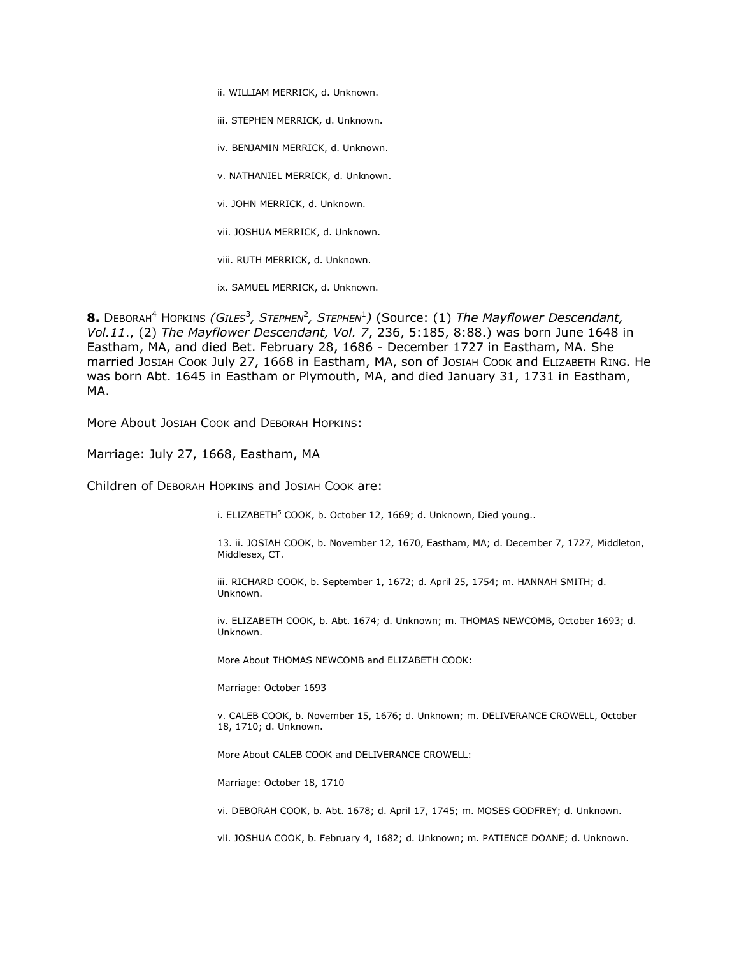ii. WILLIAM MERRICK, d. Unknown.

iii. STEPHEN MERRICK, d. Unknown.

iv. BENJAMIN MERRICK, d. Unknown.

v. NATHANIEL MERRICK, d. Unknown.

vi. JOHN MERRICK, d. Unknown.

vii. JOSHUA MERRICK, d. Unknown.

viii. RUTH MERRICK, d. Unknown.

ix. SAMUEL MERRICK, d. Unknown.

 $\bf 8.$  D $\rm E$ воrан<sup>4</sup> Hopkins *(Giles<sup>3</sup>, Stephen<sup>2</sup>, Stephen<sup>1</sup>) (Source: (1) <i>The Mayflower Descendant, Vol.11*., (2) *The Mayflower Descendant, Vol. 7*, 236, 5:185, 8:88.) was born June 1648 in Eastham, MA, and died Bet. February 28, 1686 - December 1727 in Eastham, MA. She married JOSIAH COOK July 27, 1668 in Eastham, MA, son of JOSIAH COOK and ELIZABETH RING. He was born Abt. 1645 in Eastham or Plymouth, MA, and died January 31, 1731 in Eastham, MA.

More About JOSIAH COOK and DEBORAH HOPKINS:

Marriage: July 27, 1668, Eastham, MA

Children of DEBORAH HOPKINS and JOSIAH COOK are:

i. ELIZABETH<sup>5</sup> COOK, b. October 12, 1669; d. Unknown, Died young..

13. ii. JOSIAH COOK, b. November 12, 1670, Eastham, MA; d. December 7, 1727, Middleton, Middlesex, CT.

iii. RICHARD COOK, b. September 1, 1672; d. April 25, 1754; m. HANNAH SMITH; d. Unknown.

iv. ELIZABETH COOK, b. Abt. 1674; d. Unknown; m. THOMAS NEWCOMB, October 1693; d. Unknown.

More About THOMAS NEWCOMB and ELIZABETH COOK:

Marriage: October 1693

v. CALEB COOK, b. November 15, 1676; d. Unknown; m. DELIVERANCE CROWELL, October 18, 1710; d. Unknown.

More About CALEB COOK and DELIVERANCE CROWELL:

Marriage: October 18, 1710

vi. DEBORAH COOK, b. Abt. 1678; d. April 17, 1745; m. MOSES GODFREY; d. Unknown.

vii. JOSHUA COOK, b. February 4, 1682; d. Unknown; m. PATIENCE DOANE; d. Unknown.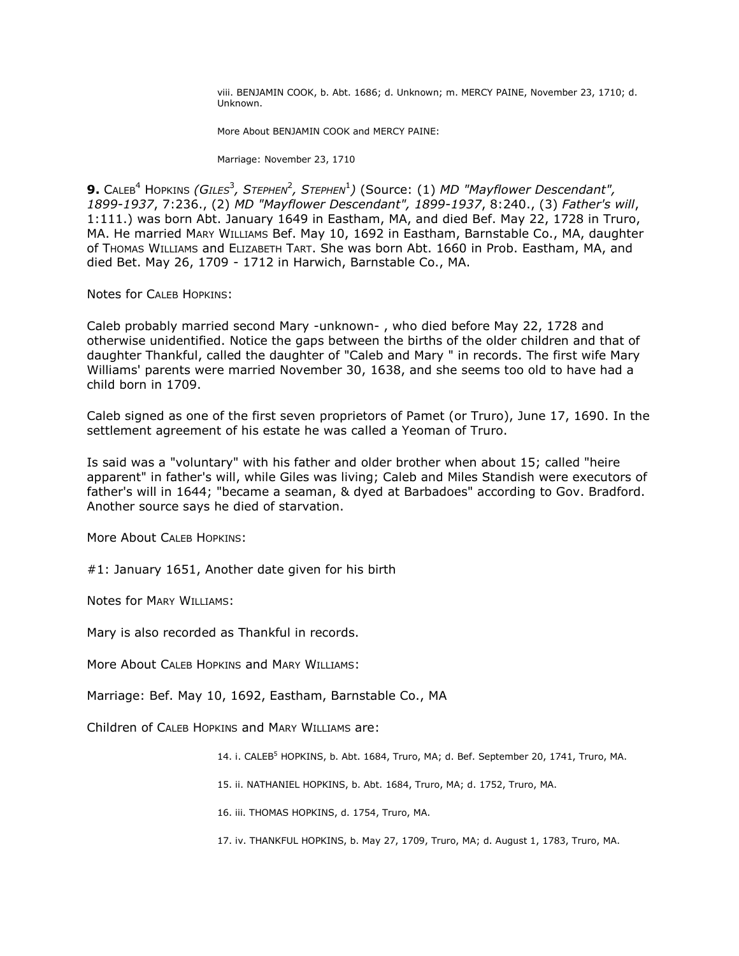viii. BENJAMIN COOK, b. Abt. 1686; d. Unknown; m. MERCY PAINE, November 23, 1710; d. Unknown.

More About BENJAMIN COOK and MERCY PAINE:

Marriage: November 23, 1710

**9.** CALEB<sup>4</sup> HOPKINS *(GILES<sup>3</sup>, STEPHEN<sup>2</sup>, STEPHEN<sup>1</sup>) (Source: (1) MD "Mayflower Descendant", 1899-1937*, 7:236., (2) *MD "Mayflower Descendant", 1899-1937*, 8:240., (3) *Father's will*, 1:111.) was born Abt. January 1649 in Eastham, MA, and died Bef. May 22, 1728 in Truro, MA. He married MARY WILLIAMS Bef. May 10, 1692 in Eastham, Barnstable Co., MA, daughter of THOMAS WILLIAMS and ELIZABETH TART. She was born Abt. 1660 in Prob. Eastham, MA, and died Bet. May 26, 1709 - 1712 in Harwich, Barnstable Co., MA.

Notes for CALEB HOPKINS:

Caleb probably married second Mary -unknown- , who died before May 22, 1728 and otherwise unidentified. Notice the gaps between the births of the older children and that of daughter Thankful, called the daughter of "Caleb and Mary " in records. The first wife Mary Williams' parents were married November 30, 1638, and she seems too old to have had a child born in 1709.

Caleb signed as one of the first seven proprietors of Pamet (or Truro), June 17, 1690. In the settlement agreement of his estate he was called a Yeoman of Truro.

Is said was a "voluntary" with his father and older brother when about 15; called "heire apparent" in father's will, while Giles was living; Caleb and Miles Standish were executors of father's will in 1644; "became a seaman, & dyed at Barbadoes" according to Gov. Bradford. Another source says he died of starvation.

More About CALEB HOPKINS:

#1: January 1651, Another date given for his birth

Notes for MARY WILLIAMS:

Mary is also recorded as Thankful in records.

More About CALEB HOPKINS and MARY WILLIAMS:

Marriage: Bef. May 10, 1692, Eastham, Barnstable Co., MA

Children of CALEB HOPKINS and MARY WILLIAMS are:

14. i. CALEB<sup>5</sup> HOPKINS, b. Abt. 1684, Truro, MA; d. Bef. September 20, 1741, Truro, MA.

15. ii. NATHANIEL HOPKINS, b. Abt. 1684, Truro, MA; d. 1752, Truro, MA.

16. iii. THOMAS HOPKINS, d. 1754, Truro, MA.

17. iv. THANKFUL HOPKINS, b. May 27, 1709, Truro, MA; d. August 1, 1783, Truro, MA.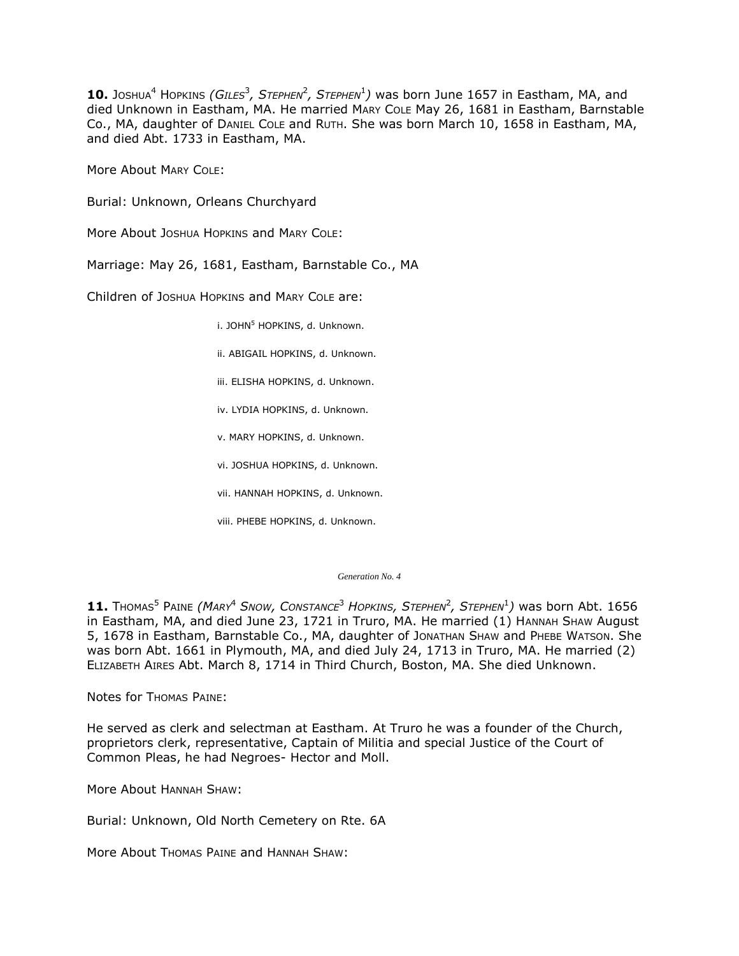10. Joshua<sup>4</sup> Hopkins *(Giles<sup>3</sup>, Stephen<sup>2</sup>, Stephen<sup>1</sup>)* was born June 1657 in Eastham, MA, and died Unknown in Eastham, MA. He married MARY COLE May 26, 1681 in Eastham, Barnstable Co., MA, daughter of DANIEL COLE and RUTH. She was born March 10, 1658 in Eastham, MA, and died Abt. 1733 in Eastham, MA.

More About MARY COLE:

Burial: Unknown, Orleans Churchyard

More About JOSHUA HOPKINS and MARY COLE:

Marriage: May 26, 1681, Eastham, Barnstable Co., MA

Children of JOSHUA HOPKINS and MARY COLE are:

i. JOHN<sup>5</sup> HOPKINS, d. Unknown.

ii. ABIGAIL HOPKINS, d. Unknown.

iii. ELISHA HOPKINS, d. Unknown.

iv. LYDIA HOPKINS, d. Unknown.

v. MARY HOPKINS, d. Unknown.

vi. JOSHUA HOPKINS, d. Unknown.

vii. HANNAH HOPKINS, d. Unknown.

viii. PHEBE HOPKINS, d. Unknown.

*Generation No. 4*

**11.** THOMAS<sup>5</sup> PAINE *(MARY*<sup>4</sup> *SNOW, CONSTANCE*<sup>3</sup> *HOPKINS, STEPHEN*<sup>2</sup> *, STEPHEN*<sup>1</sup> *)* was born Abt. 1656 in Eastham, MA, and died June 23, 1721 in Truro, MA. He married (1) HANNAH SHAW August 5, 1678 in Eastham, Barnstable Co., MA, daughter of JONATHAN SHAW and PHEBE WATSON. She was born Abt. 1661 in Plymouth, MA, and died July 24, 1713 in Truro, MA. He married (2) ELIZABETH AIRES Abt. March 8, 1714 in Third Church, Boston, MA. She died Unknown.

Notes for THOMAS PAINE:

He served as clerk and selectman at Eastham. At Truro he was a founder of the Church, proprietors clerk, representative, Captain of Militia and special Justice of the Court of Common Pleas, he had Negroes- Hector and Moll.

More About HANNAH SHAW:

Burial: Unknown, Old North Cemetery on Rte. 6A

More About Thomas Paine and HANNAH SHAW: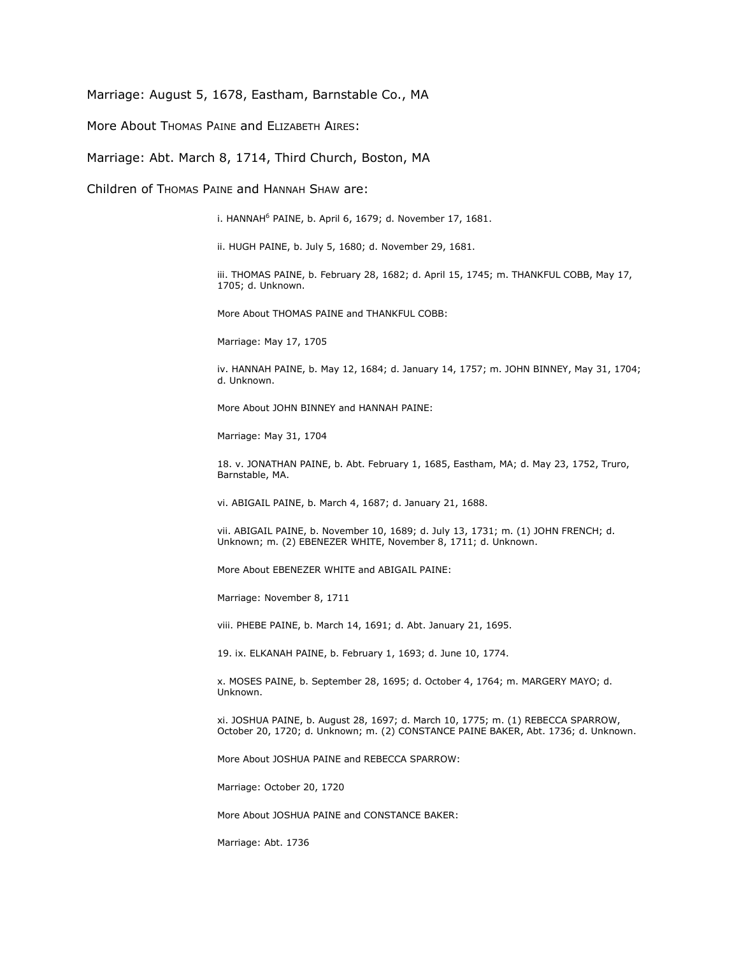Marriage: August 5, 1678, Eastham, Barnstable Co., MA

More About Thomas PAINE and ELIZABETH AIRES:

Marriage: Abt. March 8, 1714, Third Church, Boston, MA

Children of THOMAS PAINE and HANNAH SHAW are:

i. HANNAH<sup>6</sup> PAINE, b. April 6, 1679; d. November 17, 1681.

ii. HUGH PAINE, b. July 5, 1680; d. November 29, 1681.

iii. THOMAS PAINE, b. February 28, 1682; d. April 15, 1745; m. THANKFUL COBB, May 17, 1705; d. Unknown.

More About THOMAS PAINE and THANKFUL COBB:

Marriage: May 17, 1705

iv. HANNAH PAINE, b. May 12, 1684; d. January 14, 1757; m. JOHN BINNEY, May 31, 1704; d. Unknown.

More About JOHN BINNEY and HANNAH PAINE:

Marriage: May 31, 1704

18. v. JONATHAN PAINE, b. Abt. February 1, 1685, Eastham, MA; d. May 23, 1752, Truro, Barnstable, MA.

vi. ABIGAIL PAINE, b. March 4, 1687; d. January 21, 1688.

vii. ABIGAIL PAINE, b. November 10, 1689; d. July 13, 1731; m. (1) JOHN FRENCH; d. Unknown; m. (2) EBENEZER WHITE, November 8, 1711; d. Unknown.

More About EBENEZER WHITE and ABIGAIL PAINE:

Marriage: November 8, 1711

viii. PHEBE PAINE, b. March 14, 1691; d. Abt. January 21, 1695.

19. ix. ELKANAH PAINE, b. February 1, 1693; d. June 10, 1774.

x. MOSES PAINE, b. September 28, 1695; d. October 4, 1764; m. MARGERY MAYO; d. Unknown.

xi. JOSHUA PAINE, b. August 28, 1697; d. March 10, 1775; m. (1) REBECCA SPARROW, October 20, 1720; d. Unknown; m. (2) CONSTANCE PAINE BAKER, Abt. 1736; d. Unknown.

More About JOSHUA PAINE and REBECCA SPARROW:

Marriage: October 20, 1720

More About JOSHUA PAINE and CONSTANCE BAKER:

Marriage: Abt. 1736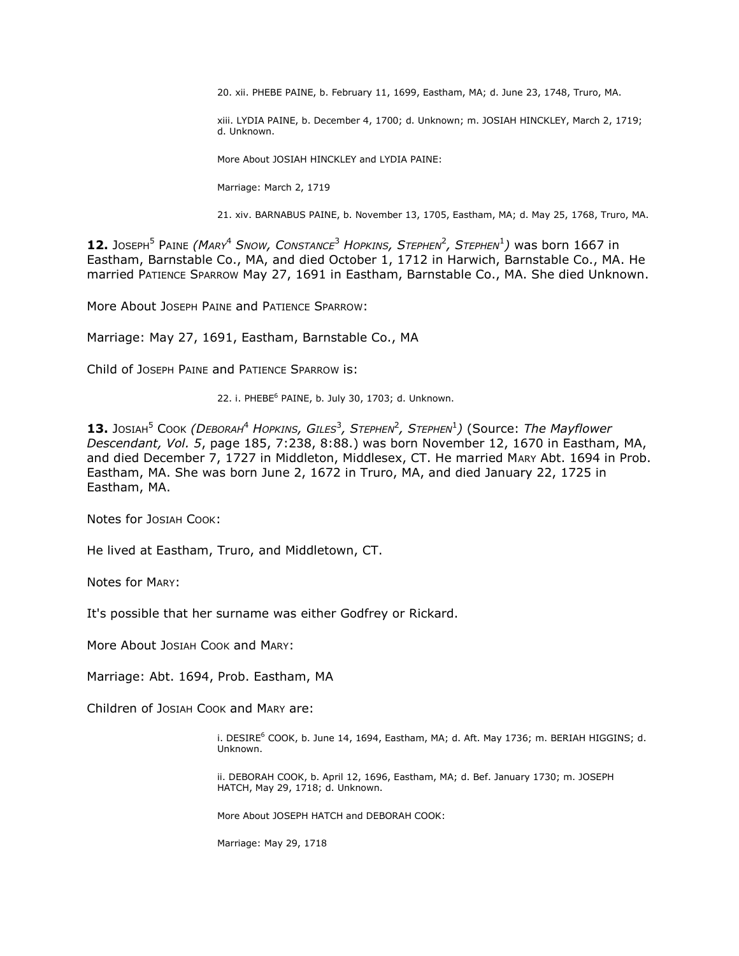20. xii. PHEBE PAINE, b. February 11, 1699, Eastham, MA; d. June 23, 1748, Truro, MA.

xiii. LYDIA PAINE, b. December 4, 1700; d. Unknown; m. JOSIAH HINCKLEY, March 2, 1719; d. Unknown.

More About JOSIAH HINCKLEY and LYDIA PAINE:

Marriage: March 2, 1719

21. xiv. BARNABUS PAINE, b. November 13, 1705, Eastham, MA; d. May 25, 1768, Truro, MA.

**12.** JOSEPH<sup>5</sup> PAINE *(MARY*<sup>4</sup> *SNOW, CONSTANCE*<sup>3</sup> *HOPKINS, STEPHEN*<sup>2</sup> *, STEPHEN*<sup>1</sup> *)* was born 1667 in Eastham, Barnstable Co., MA, and died October 1, 1712 in Harwich, Barnstable Co., MA. He married PATIENCE SPARROW May 27, 1691 in Eastham, Barnstable Co., MA. She died Unknown.

More About JOSEPH PAINE and PATIENCE SPARROW:

Marriage: May 27, 1691, Eastham, Barnstable Co., MA

Child of JOSEPH PAINE and PATIENCE SPARROW is:

22. i. PHEBE<sup>6</sup> PAINE, b. July 30, 1703; d. Unknown.

 $13.$  Josiaн<sup>5</sup> Cook *(Dевокан<sup>4</sup> Hopkins, Giles<sup>3</sup>, Stephen<sup>2</sup>, Stephen<sup>1</sup>) (Source: <i>The Mayflower Descendant, Vol. 5*, page 185, 7:238, 8:88.) was born November 12, 1670 in Eastham, MA, and died December 7, 1727 in Middleton, Middlesex, CT. He married MARY Abt. 1694 in Prob. Eastham, MA. She was born June 2, 1672 in Truro, MA, and died January 22, 1725 in Eastham, MA.

Notes for JOSIAH COOK:

He lived at Eastham, Truro, and Middletown, CT.

Notes for MARY:

It's possible that her surname was either Godfrey or Rickard.

More About JOSIAH COOK and MARY:

Marriage: Abt. 1694, Prob. Eastham, MA

Children of JOSIAH COOK and MARY are:

i. DESIRE<sup>6</sup> COOK, b. June 14, 1694, Eastham, MA; d. Aft. May 1736; m. BERIAH HIGGINS; d. Unknown.

ii. DEBORAH COOK, b. April 12, 1696, Eastham, MA; d. Bef. January 1730; m. JOSEPH HATCH, May 29, 1718; d. Unknown.

More About JOSEPH HATCH and DEBORAH COOK:

Marriage: May 29, 1718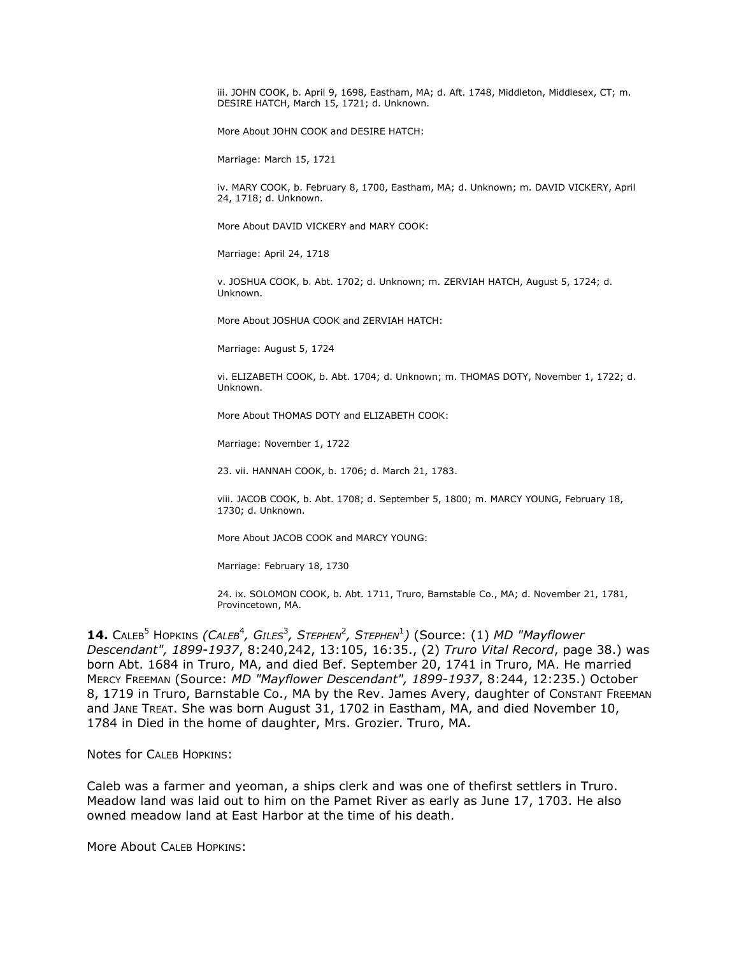iii. JOHN COOK, b. April 9, 1698, Eastham, MA; d. Aft. 1748, Middleton, Middlesex, CT; m. DESIRE HATCH, March 15, 1721; d. Unknown.

More About JOHN COOK and DESIRE HATCH:

Marriage: March 15, 1721

iv. MARY COOK, b. February 8, 1700, Eastham, MA; d. Unknown; m. DAVID VICKERY, April 24, 1718; d. Unknown.

More About DAVID VICKERY and MARY COOK:

Marriage: April 24, 1718

v. JOSHUA COOK, b. Abt. 1702; d. Unknown; m. ZERVIAH HATCH, August 5, 1724; d. Unknown.

More About JOSHUA COOK and ZERVIAH HATCH:

Marriage: August 5, 1724

vi. ELIZABETH COOK, b. Abt. 1704; d. Unknown; m. THOMAS DOTY, November 1, 1722; d. Unknown.

More About THOMAS DOTY and ELIZABETH COOK:

Marriage: November 1, 1722

23. vii. HANNAH COOK, b. 1706; d. March 21, 1783.

viii. JACOB COOK, b. Abt. 1708; d. September 5, 1800; m. MARCY YOUNG, February 18, 1730; d. Unknown.

More About JACOB COOK and MARCY YOUNG:

Marriage: February 18, 1730

24. ix. SOLOMON COOK, b. Abt. 1711, Truro, Barnstable Co., MA; d. November 21, 1781, Provincetown, MA.

**14.** CALEB<sup>5</sup> HOPKINS *(CALEB<sup>4</sup>, GILES<sup>3</sup>, STEPHEN<sup>2</sup>, STEPHEN<sup>1</sup>) (Source: (1) MD "Mayflower Descendant", 1899-1937*, 8:240,242, 13:105, 16:35., (2) *Truro Vital Record*, page 38.) was born Abt. 1684 in Truro, MA, and died Bef. September 20, 1741 in Truro, MA. He married MERCY FREEMAN (Source: *MD "Mayflower Descendant", 1899-1937*, 8:244, 12:235.) October 8, 1719 in Truro, Barnstable Co., MA by the Rev. James Avery, daughter of CONSTANT FREEMAN and JANE TREAT. She was born August 31, 1702 in Eastham, MA, and died November 10, 1784 in Died in the home of daughter, Mrs. Grozier. Truro, MA.

Notes for CALEB HOPKINS:

Caleb was a farmer and yeoman, a ships clerk and was one of thefirst settlers in Truro. Meadow land was laid out to him on the Pamet River as early as June 17, 1703. He also owned meadow land at East Harbor at the time of his death.

More About CALEB HOPKINS: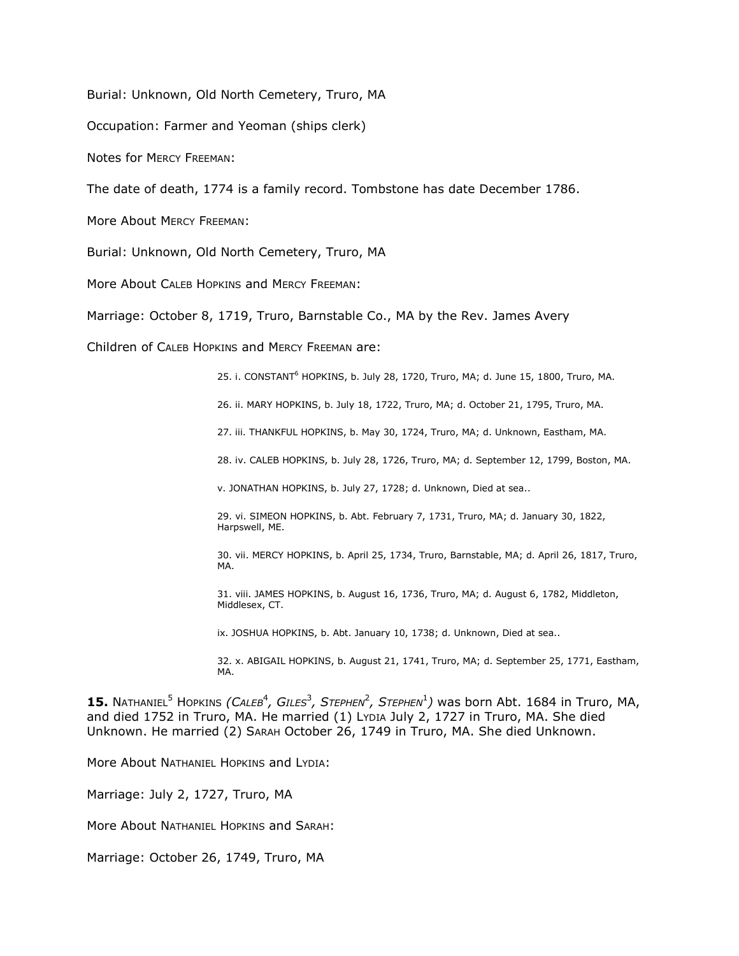Burial: Unknown, Old North Cemetery, Truro, MA

Occupation: Farmer and Yeoman (ships clerk)

Notes for MERCY FREEMAN:

The date of death, 1774 is a family record. Tombstone has date December 1786.

More About MERCY FREEMAN:

Burial: Unknown, Old North Cemetery, Truro, MA

More About CALEB HOPKINS and MERCY FREEMAN:

Marriage: October 8, 1719, Truro, Barnstable Co., MA by the Rev. James Avery

Children of CALEB HOPKINS and MERCY FREEMAN are:

25. i. CONSTANT<sup>6</sup> HOPKINS, b. July 28, 1720, Truro, MA; d. June 15, 1800, Truro, MA.

26. ii. MARY HOPKINS, b. July 18, 1722, Truro, MA; d. October 21, 1795, Truro, MA.

27. iii. THANKFUL HOPKINS, b. May 30, 1724, Truro, MA; d. Unknown, Eastham, MA.

28. iv. CALEB HOPKINS, b. July 28, 1726, Truro, MA; d. September 12, 1799, Boston, MA.

v. JONATHAN HOPKINS, b. July 27, 1728; d. Unknown, Died at sea..

29. vi. SIMEON HOPKINS, b. Abt. February 7, 1731, Truro, MA; d. January 30, 1822, Harpswell, ME.

30. vii. MERCY HOPKINS, b. April 25, 1734, Truro, Barnstable, MA; d. April 26, 1817, Truro, MA.

31. viii. JAMES HOPKINS, b. August 16, 1736, Truro, MA; d. August 6, 1782, Middleton, Middlesex, CT.

ix. JOSHUA HOPKINS, b. Abt. January 10, 1738; d. Unknown, Died at sea..

32. x. ABIGAIL HOPKINS, b. August 21, 1741, Truro, MA; d. September 25, 1771, Eastham, MA.

 $15.$  Nathaniel<sup>5</sup> Hopkins *(Caleb<sup>4</sup>, Giles<sup>3</sup>, Stephen<sup>2</sup>, Stephen<sup>1</sup>) was born Abt. 1684 in Truro, MA,* and died 1752 in Truro, MA. He married (1) LYDIA July 2, 1727 in Truro, MA. She died Unknown. He married (2) SARAH October 26, 1749 in Truro, MA. She died Unknown.

More About NATHANIEL HOPKINS and LYDIA:

Marriage: July 2, 1727, Truro, MA

More About NATHANIEL HOPKINS and SARAH:

Marriage: October 26, 1749, Truro, MA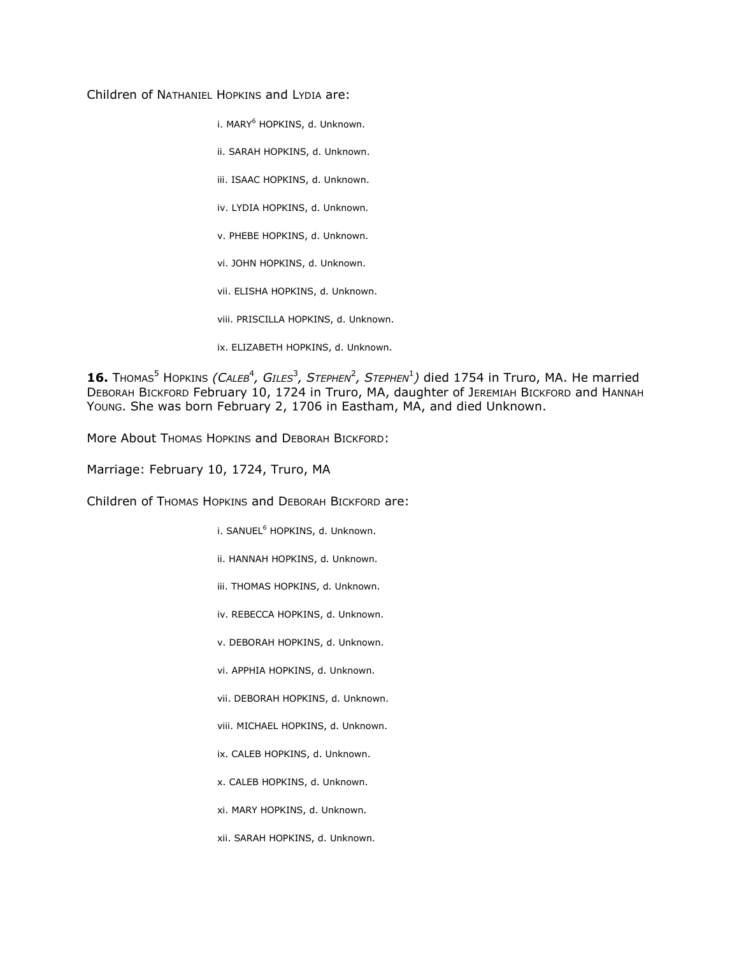Children of NATHANIEL HOPKINS and LYDIA are:

i. MARY<sup>6</sup> HOPKINS, d. Unknown.

ii. SARAH HOPKINS, d. Unknown.

iii. ISAAC HOPKINS, d. Unknown.

iv. LYDIA HOPKINS, d. Unknown.

v. PHEBE HOPKINS, d. Unknown.

vi. JOHN HOPKINS, d. Unknown.

vii. ELISHA HOPKINS, d. Unknown.

viii. PRISCILLA HOPKINS, d. Unknown.

ix. ELIZABETH HOPKINS, d. Unknown.

**16.** Thomas<sup>5</sup> Hopkins *(Caleb<sup>4</sup>, Giles<sup>3</sup>, Stephen<sup>2</sup>, Stephen<sup>1</sup>) died 1754 in Truro, MA. He married* DEBORAH BICKFORD February 10, 1724 in Truro, MA, daughter of JEREMIAH BICKFORD and HANNAH YOUNG. She was born February 2, 1706 in Eastham, MA, and died Unknown.

More About Thomas HOPKINS and DEBORAH BICKFORD:

Marriage: February 10, 1724, Truro, MA

Children of THOMAS HOPKINS and DEBORAH BICKFORD are:

i. SANUEL<sup>6</sup> HOPKINS, d. Unknown.

ii. HANNAH HOPKINS, d. Unknown.

iii. THOMAS HOPKINS, d. Unknown.

iv. REBECCA HOPKINS, d. Unknown.

v. DEBORAH HOPKINS, d. Unknown.

vi. APPHIA HOPKINS, d. Unknown.

vii. DEBORAH HOPKINS, d. Unknown.

viii. MICHAEL HOPKINS, d. Unknown.

ix. CALEB HOPKINS, d. Unknown.

x. CALEB HOPKINS, d. Unknown.

xi. MARY HOPKINS, d. Unknown.

xii. SARAH HOPKINS, d. Unknown.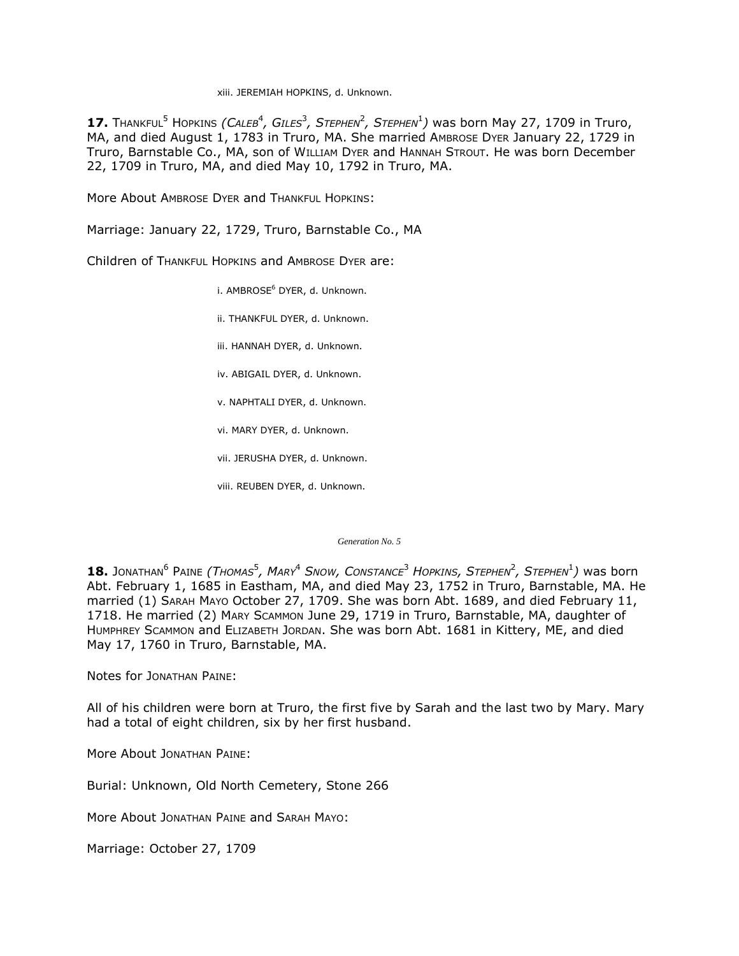xiii. JEREMIAH HOPKINS, d. Unknown.

**17.** THANKFUL<sup>5</sup> HOPKINS *(CALEB<sup>4</sup>, GILES<sup>3</sup>, STEPHEN<sup>2</sup>, STEPHEN<sup>1</sup>) was born May 27, 1709 in Truro,* MA, and died August 1, 1783 in Truro, MA. She married AMBROSE DYER January 22, 1729 in Truro, Barnstable Co., MA, son of WILLIAM DYER and HANNAH STROUT. He was born December 22, 1709 in Truro, MA, and died May 10, 1792 in Truro, MA.

More About AMBROSE DYER and THANKFUL HOPKINS:

Marriage: January 22, 1729, Truro, Barnstable Co., MA

Children of THANKFUL HOPKINS and AMBROSE DYER are:

i. AMBROSE<sup>6</sup> DYER, d. Unknown.

ii. THANKFUL DYER, d. Unknown.

iii. HANNAH DYER, d. Unknown.

iv. ABIGAIL DYER, d. Unknown.

v. NAPHTALI DYER, d. Unknown.

vi. MARY DYER, d. Unknown.

vii. JERUSHA DYER, d. Unknown.

viii. REUBEN DYER, d. Unknown.

*Generation No. 5*

18. Jonathan<sup>6</sup> Paine *(Thomas<sup>5</sup>, Mary<sup>4</sup> Snow, Constance<sup>3</sup> Hopkins, Stephen<sup>2</sup>, Stephen<sup>1</sup>) was born* Abt. February 1, 1685 in Eastham, MA, and died May 23, 1752 in Truro, Barnstable, MA. He married (1) SARAH MAYO October 27, 1709. She was born Abt. 1689, and died February 11, 1718. He married (2) MARY SCAMMON June 29, 1719 in Truro, Barnstable, MA, daughter of HUMPHREY SCAMMON and ELIZABETH JORDAN. She was born Abt. 1681 in Kittery, ME, and died May 17, 1760 in Truro, Barnstable, MA.

Notes for JONATHAN PAINE:

All of his children were born at Truro, the first five by Sarah and the last two by Mary. Mary had a total of eight children, six by her first husband.

More About JONATHAN PAINE:

Burial: Unknown, Old North Cemetery, Stone 266

More About JONATHAN PAINE and SARAH MAYO:

Marriage: October 27, 1709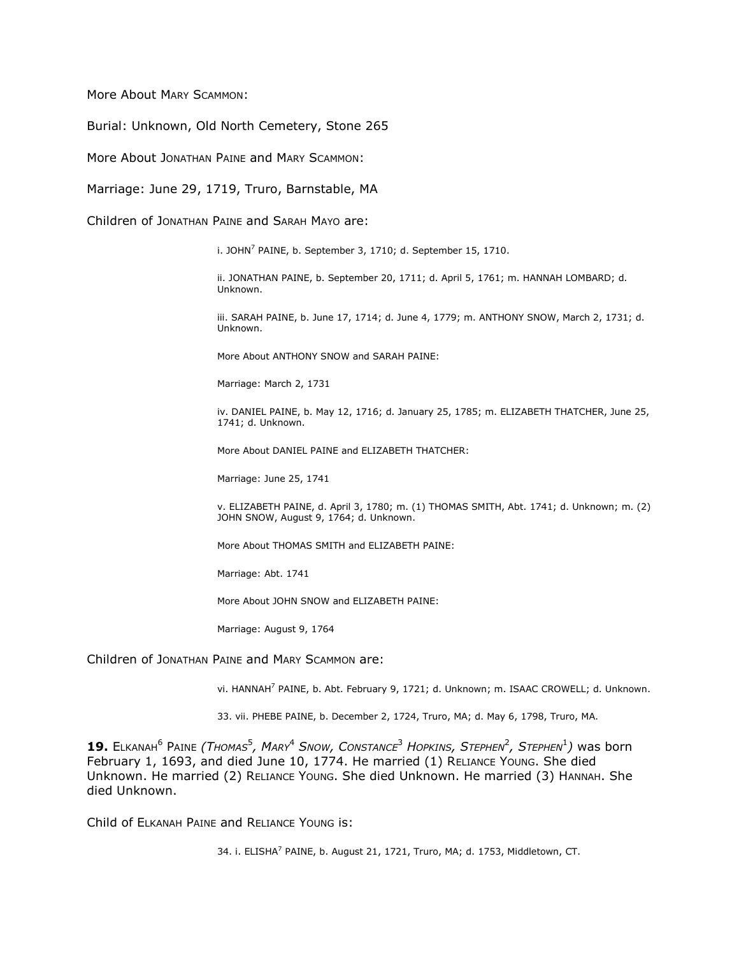More About MARY SCAMMON:

Burial: Unknown, Old North Cemetery, Stone 265

More About JONATHAN PAINE and MARY SCAMMON:

Marriage: June 29, 1719, Truro, Barnstable, MA

Children of JONATHAN PAINE and SARAH MAYO are:

i. JOHN $^7$  PAINE, b. September 3, 1710; d. September 15, 1710.

ii. JONATHAN PAINE, b. September 20, 1711; d. April 5, 1761; m. HANNAH LOMBARD; d. Unknown.

iii. SARAH PAINE, b. June 17, 1714; d. June 4, 1779; m. ANTHONY SNOW, March 2, 1731; d. Unknown.

More About ANTHONY SNOW and SARAH PAINE:

Marriage: March 2, 1731

iv. DANIEL PAINE, b. May 12, 1716; d. January 25, 1785; m. ELIZABETH THATCHER, June 25, 1741; d. Unknown.

More About DANIEL PAINE and ELIZABETH THATCHER:

Marriage: June 25, 1741

v. ELIZABETH PAINE, d. April 3, 1780; m. (1) THOMAS SMITH, Abt. 1741; d. Unknown; m. (2) JOHN SNOW, August 9, 1764; d. Unknown.

More About THOMAS SMITH and ELIZABETH PAINE:

Marriage: Abt. 1741

More About JOHN SNOW and ELIZABETH PAINE:

Marriage: August 9, 1764

Children of JONATHAN PAINE and MARY SCAMMON are:

vi. HANNAH<sup>7</sup> PAINE, b. Abt. February 9, 1721; d. Unknown; m. ISAAC CROWELL; d. Unknown.

33. vii. PHEBE PAINE, b. December 2, 1724, Truro, MA; d. May 6, 1798, Truro, MA.

19. ELKANAH<sup>6</sup> PAINE (THOMAS<sup>5</sup>, MARY<sup>4</sup> SNOW, CONSTANCE<sup>3</sup> HOPKINS, STEPHEN<sup>2</sup>, STEPHEN<sup>1</sup>) was born February 1, 1693, and died June 10, 1774. He married (1) RELIANCE YOUNG. She died Unknown. He married (2) RELIANCE YOUNG. She died Unknown. He married (3) HANNAH. She died Unknown.

Child of ELKANAH PAINE and RELIANCE YOUNG is:

34. i. ELISHA<sup>7</sup> PAINE, b. August 21, 1721, Truro, MA; d. 1753, Middletown, CT.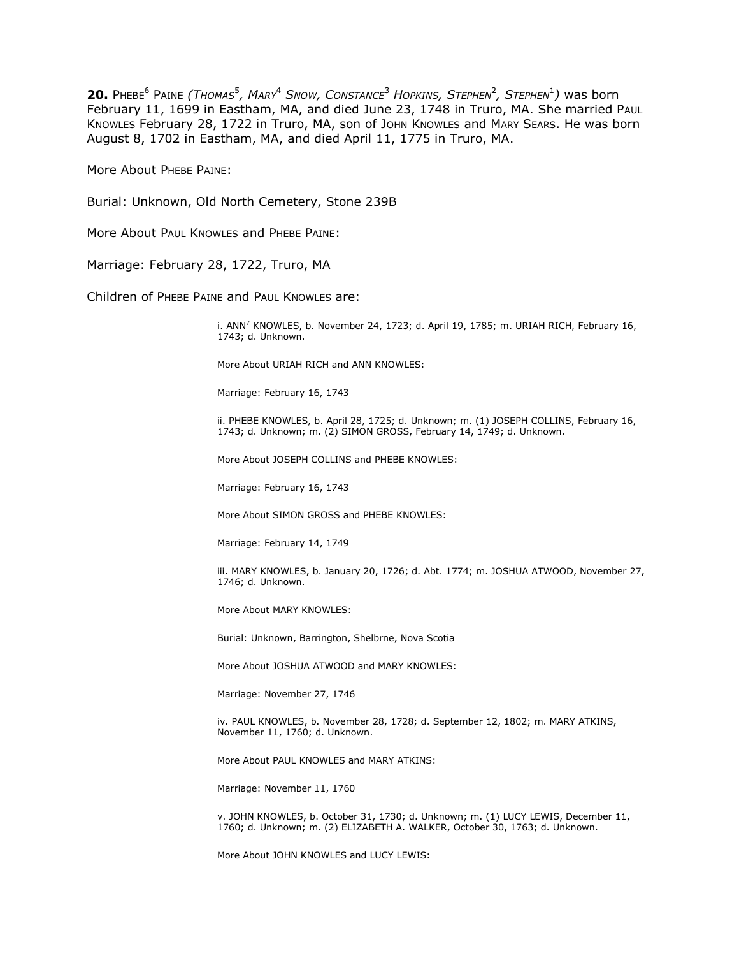**20.** PHEBE<sup>6</sup> PAINE (THOMAS<sup>5</sup>, MARY<sup>4</sup> SNOW, CONSTANCE<sup>3</sup> HOPKINS, STEPHEN<sup>2</sup>, STEPHEN<sup>1</sup>) was born February 11, 1699 in Eastham, MA, and died June 23, 1748 in Truro, MA. She married PAUL KNOWLES February 28, 1722 in Truro, MA, son of John KNOWLES and MARY SEARS. He was born August 8, 1702 in Eastham, MA, and died April 11, 1775 in Truro, MA.

More About PHEBE PAINE:

Burial: Unknown, Old North Cemetery, Stone 239B

More About PAUL KNOWLES and PHEBE PAINE:

Marriage: February 28, 1722, Truro, MA

Children of PHEBE PAINE and PAUL KNOWLES are:

i. ANN<sup>7</sup> KNOWLES, b. November 24, 1723; d. April 19, 1785; m. URIAH RICH, February 16, 1743; d. Unknown.

More About URIAH RICH and ANN KNOWLES:

Marriage: February 16, 1743

ii. PHEBE KNOWLES, b. April 28, 1725; d. Unknown; m. (1) JOSEPH COLLINS, February 16, 1743; d. Unknown; m. (2) SIMON GROSS, February 14, 1749; d. Unknown.

More About JOSEPH COLLINS and PHEBE KNOWLES:

Marriage: February 16, 1743

More About SIMON GROSS and PHEBE KNOWLES:

Marriage: February 14, 1749

iii. MARY KNOWLES, b. January 20, 1726; d. Abt. 1774; m. JOSHUA ATWOOD, November 27, 1746; d. Unknown.

More About MARY KNOWLES:

Burial: Unknown, Barrington, Shelbrne, Nova Scotia

More About JOSHUA ATWOOD and MARY KNOWLES:

Marriage: November 27, 1746

iv. PAUL KNOWLES, b. November 28, 1728; d. September 12, 1802; m. MARY ATKINS, November 11, 1760; d. Unknown.

More About PAUL KNOWLES and MARY ATKINS:

Marriage: November 11, 1760

v. JOHN KNOWLES, b. October 31, 1730; d. Unknown; m. (1) LUCY LEWIS, December 11, 1760; d. Unknown; m. (2) ELIZABETH A. WALKER, October 30, 1763; d. Unknown.

More About JOHN KNOWLES and LUCY LEWIS: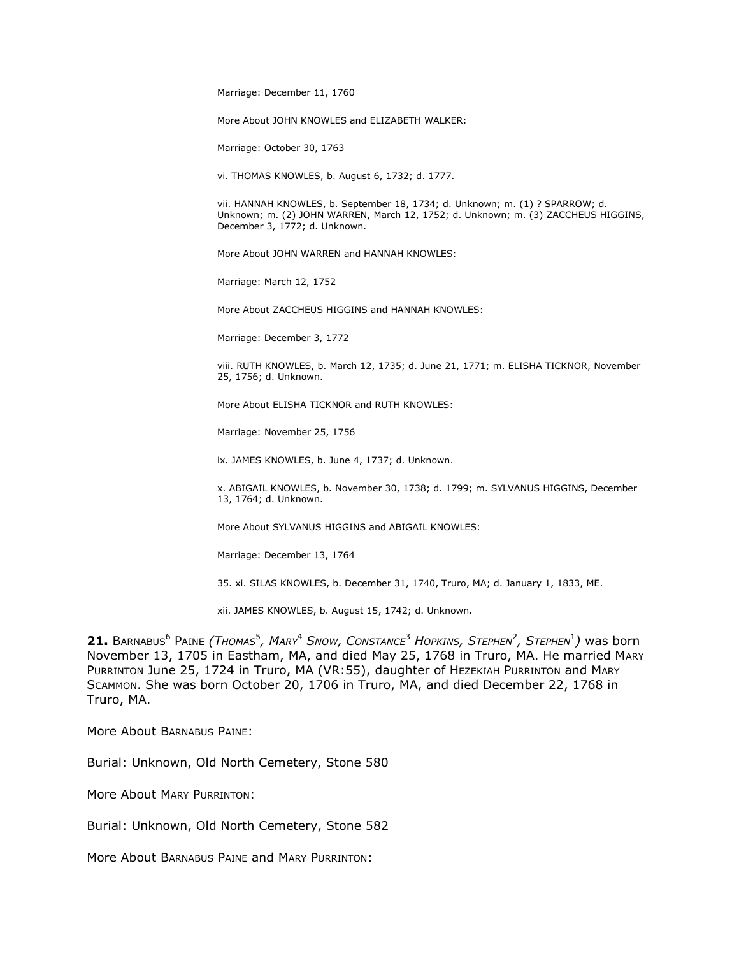Marriage: December 11, 1760

More About JOHN KNOWLES and ELIZABETH WALKER:

Marriage: October 30, 1763

vi. THOMAS KNOWLES, b. August 6, 1732; d. 1777.

vii. HANNAH KNOWLES, b. September 18, 1734; d. Unknown; m. (1) ? SPARROW; d. Unknown; m. (2) JOHN WARREN, March 12, 1752; d. Unknown; m. (3) ZACCHEUS HIGGINS, December 3, 1772; d. Unknown.

More About JOHN WARREN and HANNAH KNOWLES:

Marriage: March 12, 1752

More About ZACCHEUS HIGGINS and HANNAH KNOWLES:

Marriage: December 3, 1772

viii. RUTH KNOWLES, b. March 12, 1735; d. June 21, 1771; m. ELISHA TICKNOR, November 25, 1756; d. Unknown.

More About ELISHA TICKNOR and RUTH KNOWLES:

Marriage: November 25, 1756

ix. JAMES KNOWLES, b. June 4, 1737; d. Unknown.

x. ABIGAIL KNOWLES, b. November 30, 1738; d. 1799; m. SYLVANUS HIGGINS, December 13, 1764; d. Unknown.

More About SYLVANUS HIGGINS and ABIGAIL KNOWLES:

Marriage: December 13, 1764

35. xi. SILAS KNOWLES, b. December 31, 1740, Truro, MA; d. January 1, 1833, ME.

xii. JAMES KNOWLES, b. August 15, 1742; d. Unknown.

 $21.$  Barnabus<sup>6</sup> Paine *(Thomas<sup>5</sup>, Mary<sup>4</sup> Snow, Constance<sup>3</sup> Hopkins, Stephen<sup>2</sup>, Stephen<sup>1</sup>) was born* November 13, 1705 in Eastham, MA, and died May 25, 1768 in Truro, MA. He married MARY PURRINTON June 25, 1724 in Truro, MA (VR:55), daughter of HEZEKIAH PURRINTON and MARY SCAMMON. She was born October 20, 1706 in Truro, MA, and died December 22, 1768 in Truro, MA.

More About BARNABUS PAINE:

Burial: Unknown, Old North Cemetery, Stone 580

More About MARY PURRINTON:

Burial: Unknown, Old North Cemetery, Stone 582

More About BARNABUS PAINE and MARY PURRINTON: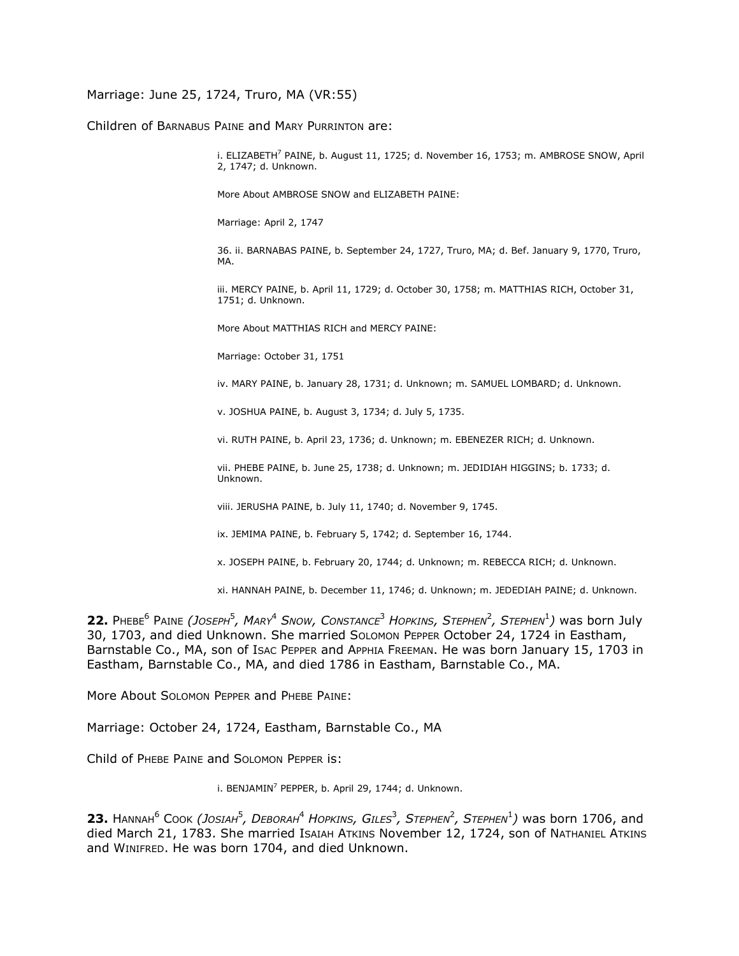# Marriage: June 25, 1724, Truro, MA (VR:55)

Children of BARNABUS PAINE and MARY PURRINTON are:

i. ELIZABETH<sup>7</sup> PAINE, b. August 11, 1725; d. November 16, 1753; m. AMBROSE SNOW, April 2, 1747; d. Unknown.

More About AMBROSE SNOW and ELIZABETH PAINE:

Marriage: April 2, 1747

36. ii. BARNABAS PAINE, b. September 24, 1727, Truro, MA; d. Bef. January 9, 1770, Truro, MA.

iii. MERCY PAINE, b. April 11, 1729; d. October 30, 1758; m. MATTHIAS RICH, October 31, 1751; d. Unknown.

More About MATTHIAS RICH and MERCY PAINE:

Marriage: October 31, 1751

iv. MARY PAINE, b. January 28, 1731; d. Unknown; m. SAMUEL LOMBARD; d. Unknown.

v. JOSHUA PAINE, b. August 3, 1734; d. July 5, 1735.

vi. RUTH PAINE, b. April 23, 1736; d. Unknown; m. EBENEZER RICH; d. Unknown.

vii. PHEBE PAINE, b. June 25, 1738; d. Unknown; m. JEDIDIAH HIGGINS; b. 1733; d. Unknown.

viii. JERUSHA PAINE, b. July 11, 1740; d. November 9, 1745.

ix. JEMIMA PAINE, b. February 5, 1742; d. September 16, 1744.

x. JOSEPH PAINE, b. February 20, 1744; d. Unknown; m. REBECCA RICH; d. Unknown.

xi. HANNAH PAINE, b. December 11, 1746; d. Unknown; m. JEDEDIAH PAINE; d. Unknown.

**22.** PHEBE<sup>6</sup> PAINE *(JOSEPH*<sup>5</sup> *, MARY*<sup>4</sup> *SNOW, CONSTANCE*<sup>3</sup> *HOPKINS, STEPHEN*<sup>2</sup> *, STEPHEN*<sup>1</sup> *)* was born July 30, 1703, and died Unknown. She married SOLOMON PEPPER October 24, 1724 in Eastham, Barnstable Co., MA, son of Isac PEPPER and APPHIA FREEMAN. He was born January 15, 1703 in Eastham, Barnstable Co., MA, and died 1786 in Eastham, Barnstable Co., MA.

More About SOLOMON PEPPER and PHEBE PAINE:

Marriage: October 24, 1724, Eastham, Barnstable Co., MA

Child of PHEBE PAINE and SOLOMON PEPPER is:

i. BENJAMIN $^7$  PEPPER, b. April 29, 1744; d. Unknown.

 $23.$  Намман<sup>6</sup> Соок *(Josiaн<sup>5</sup>, Dевокан<sup>4</sup> Hopkins, Giles<sup>3</sup>, Sтернем<sup>2</sup>, Sтернем<sup>1</sup>) was born 1706, and* died March 21, 1783. She married ISAIAH ATKINS November 12, 1724, son of NATHANIEL ATKINS and WINIFRED. He was born 1704, and died Unknown.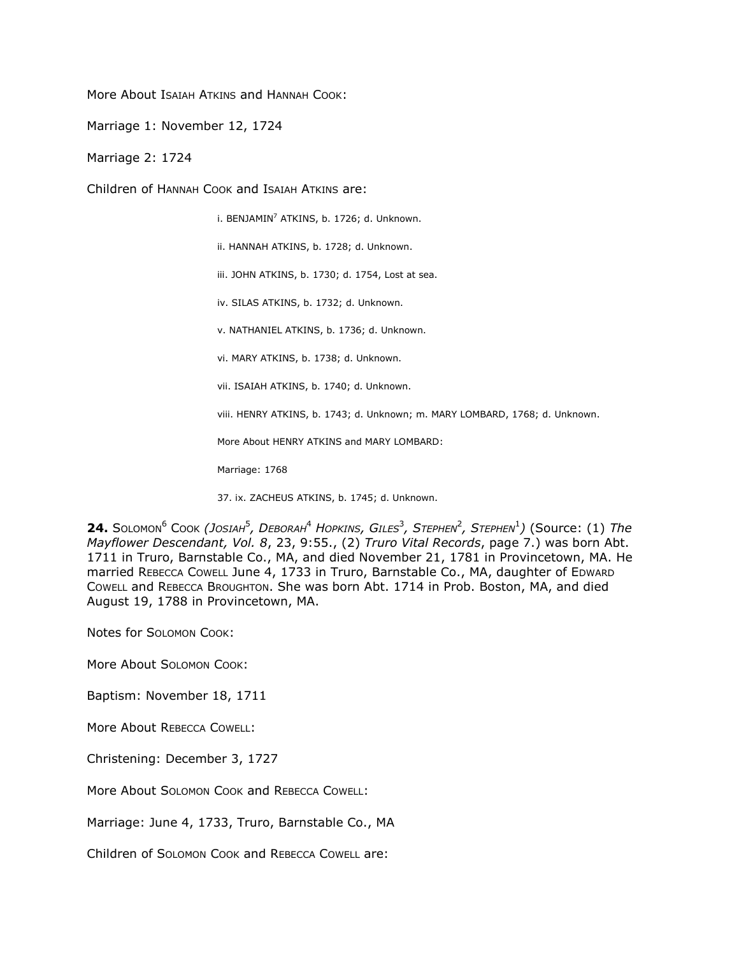More About Isaiah ATKINS and HANNAH COOK:

Marriage 1: November 12, 1724

Marriage 2: 1724

Children of HANNAH COOK and ISAIAH ATKINS are:

i. BENJAMIN<sup>7</sup> ATKINS, b. 1726; d. Unknown.

ii. HANNAH ATKINS, b. 1728; d. Unknown.

iii. JOHN ATKINS, b. 1730; d. 1754, Lost at sea.

iv. SILAS ATKINS, b. 1732; d. Unknown.

v. NATHANIEL ATKINS, b. 1736; d. Unknown.

vi. MARY ATKINS, b. 1738; d. Unknown.

vii. ISAIAH ATKINS, b. 1740; d. Unknown.

viii. HENRY ATKINS, b. 1743; d. Unknown; m. MARY LOMBARD, 1768; d. Unknown.

More About HENRY ATKINS and MARY LOMBARD:

Marriage: 1768

37. ix. ZACHEUS ATKINS, b. 1745; d. Unknown.

 $24.$  Solomon<sup>6</sup> Cook *(Josiah<sup>5</sup>, Deborah<sup>4</sup> Hopkins, Giles<sup>3</sup>, Stephen<sup>2</sup>, Stephen<sup>1</sup>) (Source: (1) The Mayflower Descendant, Vol. 8*, 23, 9:55., (2) *Truro Vital Records*, page 7.) was born Abt. 1711 in Truro, Barnstable Co., MA, and died November 21, 1781 in Provincetown, MA. He married REBECCA COWELL June 4, 1733 in Truro, Barnstable Co., MA, daughter of EDWARD COWELL and REBECCA BROUGHTON. She was born Abt. 1714 in Prob. Boston, MA, and died August 19, 1788 in Provincetown, MA.

Notes for SOLOMON COOK:

More About SOLOMON COOK:

Baptism: November 18, 1711

More About REBECCA COWELL:

Christening: December 3, 1727

More About SOLOMON COOK and REBECCA COWELL:

Marriage: June 4, 1733, Truro, Barnstable Co., MA

Children of SOLOMON COOK and REBECCA COWELL are: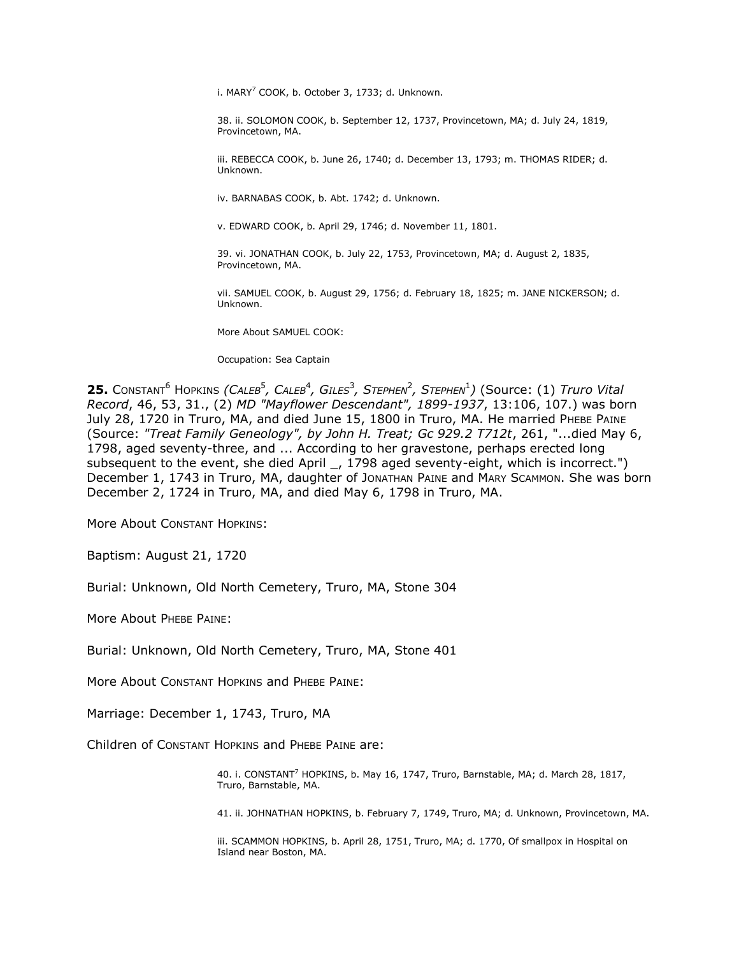i. MARY<sup>7</sup> COOK, b. October 3, 1733; d. Unknown.

38. ii. SOLOMON COOK, b. September 12, 1737, Provincetown, MA; d. July 24, 1819, Provincetown, MA.

iii. REBECCA COOK, b. June 26, 1740; d. December 13, 1793; m. THOMAS RIDER; d. Unknown.

iv. BARNABAS COOK, b. Abt. 1742; d. Unknown.

v. EDWARD COOK, b. April 29, 1746; d. November 11, 1801.

39. vi. JONATHAN COOK, b. July 22, 1753, Provincetown, MA; d. August 2, 1835, Provincetown, MA.

vii. SAMUEL COOK, b. August 29, 1756; d. February 18, 1825; m. JANE NICKERSON; d. Unknown.

More About SAMUEL COOK:

Occupation: Sea Captain

 $25.$  Constant<sup>6</sup> Hopkins *(Caleb<sup>5</sup>, Caleb<sup>4</sup>, Giles<sup>3</sup>, Stephen<sup>2</sup>, Stephen<sup>1</sup>) (Source: (1) <i>Truro Vital Record*, 46, 53, 31., (2) *MD "Mayflower Descendant", 1899-1937*, 13:106, 107.) was born July 28, 1720 in Truro, MA, and died June 15, 1800 in Truro, MA. He married PHEBE PAINE (Source: *"Treat Family Geneology", by John H. Treat; Gc 929.2 T712t*, 261, "...died May 6, 1798, aged seventy-three, and ... According to her gravestone, perhaps erected long subsequent to the event, she died April \_, 1798 aged seventy-eight, which is incorrect.") December 1, 1743 in Truro, MA, daughter of JONATHAN PAINE and MARY SCAMMON. She was born December 2, 1724 in Truro, MA, and died May 6, 1798 in Truro, MA.

More About CONSTANT HOPKINS:

Baptism: August 21, 1720

Burial: Unknown, Old North Cemetery, Truro, MA, Stone 304

More About PHEBE PAINE:

Burial: Unknown, Old North Cemetery, Truro, MA, Stone 401

More About CONSTANT HOPKINS and PHEBE PAINE:

Marriage: December 1, 1743, Truro, MA

Children of CONSTANT HOPKINS and PHEBE PAINE are:

40. i. CONSTANT<sup>7</sup> HOPKINS, b. May 16, 1747, Truro, Barnstable, MA; d. March 28, 1817, Truro, Barnstable, MA.

41. ii. JOHNATHAN HOPKINS, b. February 7, 1749, Truro, MA; d. Unknown, Provincetown, MA.

iii. SCAMMON HOPKINS, b. April 28, 1751, Truro, MA; d. 1770, Of smallpox in Hospital on Island near Boston, MA.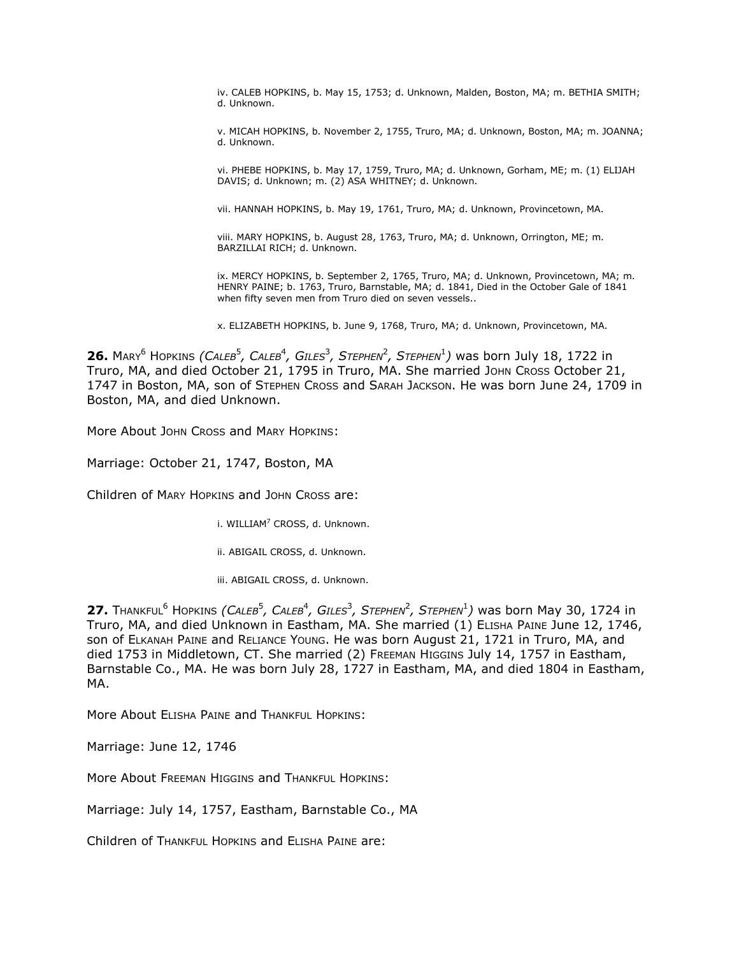iv. CALEB HOPKINS, b. May 15, 1753; d. Unknown, Malden, Boston, MA; m. BETHIA SMITH; d. Unknown.

v. MICAH HOPKINS, b. November 2, 1755, Truro, MA; d. Unknown, Boston, MA; m. JOANNA; d. Unknown.

vi. PHEBE HOPKINS, b. May 17, 1759, Truro, MA; d. Unknown, Gorham, ME; m. (1) ELIJAH DAVIS; d. Unknown; m. (2) ASA WHITNEY; d. Unknown.

vii. HANNAH HOPKINS, b. May 19, 1761, Truro, MA; d. Unknown, Provincetown, MA.

viii. MARY HOPKINS, b. August 28, 1763, Truro, MA; d. Unknown, Orrington, ME; m. BARZILLAI RICH; d. Unknown.

ix. MERCY HOPKINS, b. September 2, 1765, Truro, MA; d. Unknown, Provincetown, MA; m. HENRY PAINE; b. 1763, Truro, Barnstable, MA; d. 1841, Died in the October Gale of 1841 when fifty seven men from Truro died on seven vessels..

x. ELIZABETH HOPKINS, b. June 9, 1768, Truro, MA; d. Unknown, Provincetown, MA.

**26.** Mary<sup>6</sup> Hopkins *(CALEB<sup>5</sup>, CALEB<sup>4</sup>, GILES<sup>3</sup>, STEPHEN<sup>2</sup>, STEPHEN<sup>1</sup>) was born July 18, 1722 in* Truro, MA, and died October 21, 1795 in Truro, MA. She married JOHN CROSS October 21, 1747 in Boston, MA, son of STEPHEN CROSS and SARAH JACKSON. He was born June 24, 1709 in Boston, MA, and died Unknown.

More About JOHN CROSS and MARY HOPKINS:

Marriage: October 21, 1747, Boston, MA

Children of MARY HOPKINS and JOHN CROSS are:

i. WILLIAM<sup>7</sup> CROSS, d. Unknown.

ii. ABIGAIL CROSS, d. Unknown.

iii. ABIGAIL CROSS, d. Unknown.

 $27.$  Thankful<sup>6</sup> Hopkins *(Caleb<sup>5</sup>, Caleb<sup>4</sup>, Giles<sup>3</sup>, Stephen<sup>2</sup>, Stephen<sup>1</sup>) was born May 30, 1724 in* Truro, MA, and died Unknown in Eastham, MA. She married (1) ELISHA PAINE June 12, 1746, son of ELKANAH PAINE and RELIANCE YOUNG. He was born August 21, 1721 in Truro, MA, and died 1753 in Middletown, CT. She married (2) FREEMAN HIGGINS July 14, 1757 in Eastham, Barnstable Co., MA. He was born July 28, 1727 in Eastham, MA, and died 1804 in Eastham, MA.

More About ELISHA PAINE and THANKFUL HOPKINS:

Marriage: June 12, 1746

More About FREEMAN HIGGINS and THANKFUL HOPKINS:

Marriage: July 14, 1757, Eastham, Barnstable Co., MA

Children of THANKFUL HOPKINS and ELISHA PAINE are: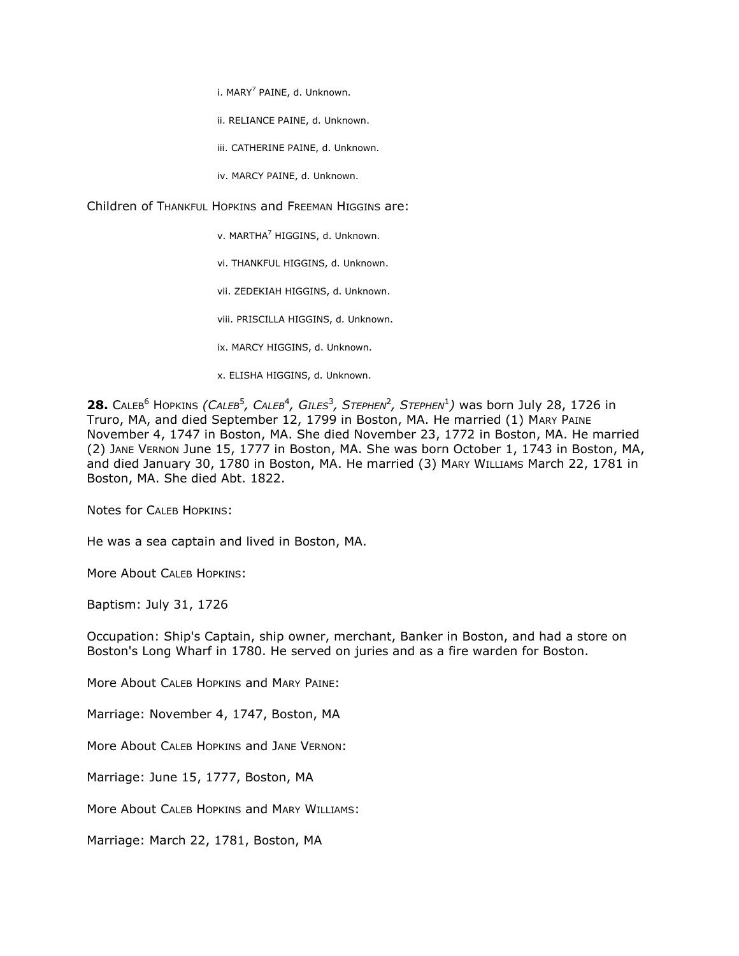i. MARY<sup>7</sup> PAINE, d. Unknown.

ii. RELIANCE PAINE, d. Unknown.

iii. CATHERINE PAINE, d. Unknown.

iv. MARCY PAINE, d. Unknown.

Children of THANKFUL HOPKINS and FREEMAN HIGGINS are:

v. MARTHA<sup>7</sup> HIGGINS, d. Unknown.

vi. THANKFUL HIGGINS, d. Unknown.

vii. ZEDEKIAH HIGGINS, d. Unknown.

viii. PRISCILLA HIGGINS, d. Unknown.

ix. MARCY HIGGINS, d. Unknown.

x. ELISHA HIGGINS, d. Unknown.

**28.** CALEB<sup>6</sup> HOPKINS *(CALEB<sup>5</sup>, CALEB<sup>4</sup>, GILES<sup>3</sup>, STEPHEN<sup>2</sup>, STEPHEN<sup>1</sup>) was born July 28, 1726 in* Truro, MA, and died September 12, 1799 in Boston, MA. He married (1) MARY PAINE November 4, 1747 in Boston, MA. She died November 23, 1772 in Boston, MA. He married (2) JANE VERNON June 15, 1777 in Boston, MA. She was born October 1, 1743 in Boston, MA, and died January 30, 1780 in Boston, MA. He married (3) MARY WILLIAMS March 22, 1781 in Boston, MA. She died Abt. 1822.

Notes for CALEB HOPKINS:

He was a sea captain and lived in Boston, MA.

More About CALEB HOPKINS:

Baptism: July 31, 1726

Occupation: Ship's Captain, ship owner, merchant, Banker in Boston, and had a store on Boston's Long Wharf in 1780. He served on juries and as a fire warden for Boston.

More About CALEB HOPKINS and MARY PAINE:

Marriage: November 4, 1747, Boston, MA

More About CALEB HOPKINS and JANE VERNON:

Marriage: June 15, 1777, Boston, MA

More About CALEB HOPKINS and MARY WILLIAMS:

Marriage: March 22, 1781, Boston, MA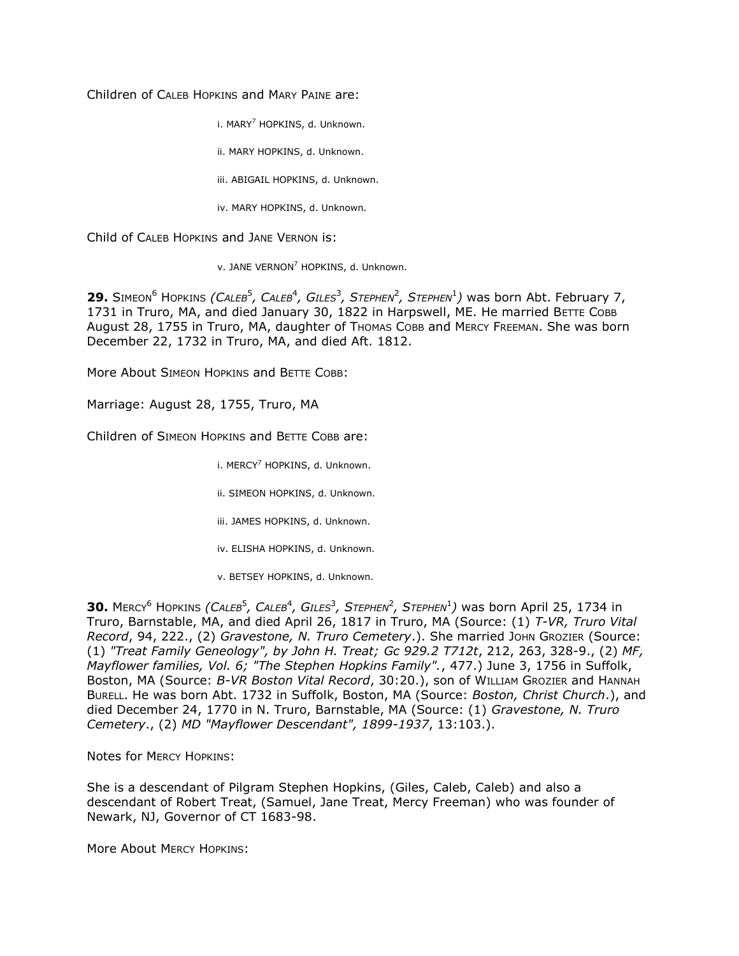Children of CALEB HOPKINS and MARY PAINE are:

i. MARY<sup>7</sup> HOPKINS, d. Unknown.

ii. MARY HOPKINS, d. Unknown.

iii. ABIGAIL HOPKINS, d. Unknown.

iv. MARY HOPKINS, d. Unknown.

Child of CALEB HOPKINS and JANE VERNON is:

v. JANE VERNON<sup>7</sup> HOPKINS, d. Unknown.

**29.** SIMEON<sup>6</sup> HOPKINS *(CALEB<sup>5</sup>, CALEB<sup>4</sup>, GILES<sup>3</sup>, STEPHEN<sup>2</sup>, STEPHEN<sup>1</sup>) was born Abt. February 7,* 1731 in Truro, MA, and died January 30, 1822 in Harpswell, ME. He married BETTE COBB August 28, 1755 in Truro, MA, daughter of Thomas Cobb and MERCY FREEMAN. She was born December 22, 1732 in Truro, MA, and died Aft. 1812.

More About SIMEON HOPKINS and BETTE COBB:

Marriage: August 28, 1755, Truro, MA

Children of SIMEON HOPKINS and BETTE COBB are:

i. MERCY<sup>7</sup> HOPKINS, d. Unknown.

ii. SIMEON HOPKINS, d. Unknown.

iii. JAMES HOPKINS, d. Unknown.

iv. ELISHA HOPKINS, d. Unknown.

v. BETSEY HOPKINS, d. Unknown.

30. MERCY<sup>6</sup> HOPKINS *(CALEB<sup>5</sup>, CALEB<sup>4</sup>, GILES<sup>3</sup>, STEPHEN<sup>2</sup>, STEPHEN<sup>1</sup>) was born April 25, 1734 in* Truro, Barnstable, MA, and died April 26, 1817 in Truro, MA (Source: (1) *T-VR, Truro Vital Record*, 94, 222., (2) *Gravestone, N. Truro Cemetery*.). She married JOHN GROZIER (Source: (1) *"Treat Family Geneology", by John H. Treat; Gc 929.2 T712t*, 212, 263, 328-9., (2) *MF, Mayflower families, Vol. 6; "The Stephen Hopkins Family".*, 477.) June 3, 1756 in Suffolk, Boston, MA (Source: B-VR Boston Vital Record, 30:20.), son of WILLIAM GROZIER and HANNAH BURELL. He was born Abt. 1732 in Suffolk, Boston, MA (Source: *Boston, Christ Church*.), and died December 24, 1770 in N. Truro, Barnstable, MA (Source: (1) *Gravestone, N. Truro Cemetery*., (2) *MD "Mayflower Descendant", 1899-1937*, 13:103.).

Notes for MERCY HOPKINS:

She is a descendant of Pilgram Stephen Hopkins, (Giles, Caleb, Caleb) and also a descendant of Robert Treat, (Samuel, Jane Treat, Mercy Freeman) who was founder of Newark, NJ, Governor of CT 1683-98.

More About MERCY HOPKINS: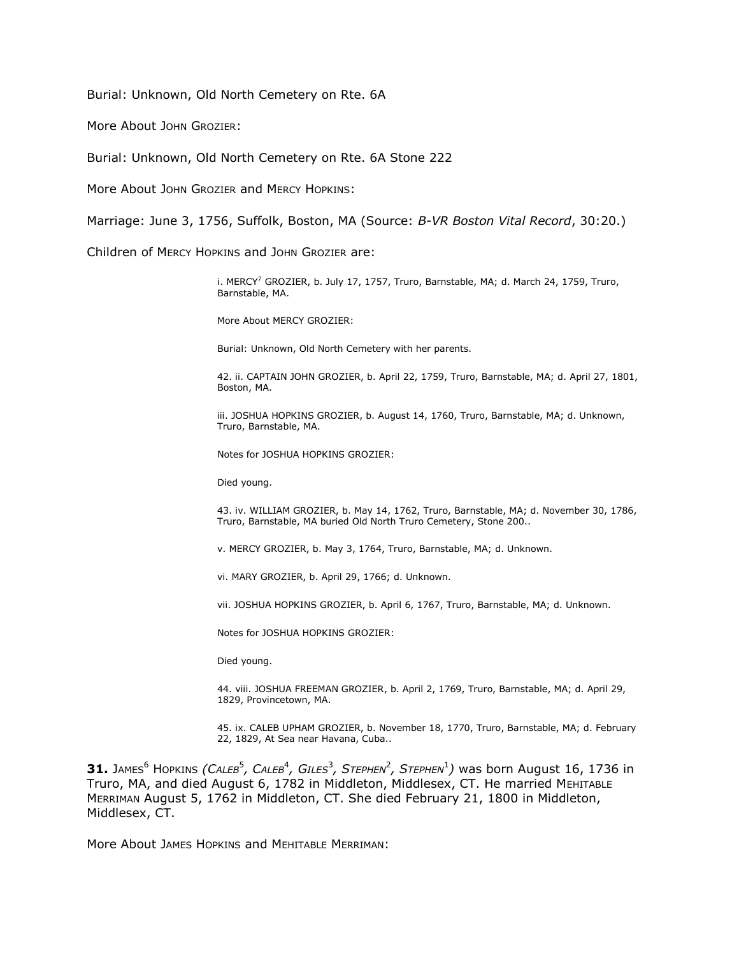Burial: Unknown, Old North Cemetery on Rte. 6A

More About JOHN GROZIER:

Burial: Unknown, Old North Cemetery on Rte. 6A Stone 222

More About JOHN GROZIER and MERCY HOPKINS:

Marriage: June 3, 1756, Suffolk, Boston, MA (Source: *B-VR Boston Vital Record*, 30:20.)

Children of MERCY HOPKINS and JOHN GROZIER are:

i. MERCY<sup>7</sup> GROZIER, b. July 17, 1757, Truro, Barnstable, MA; d. March 24, 1759, Truro, Barnstable, MA.

More About MERCY GROZIER:

Burial: Unknown, Old North Cemetery with her parents.

42. ii. CAPTAIN JOHN GROZIER, b. April 22, 1759, Truro, Barnstable, MA; d. April 27, 1801, Boston, MA.

iii. JOSHUA HOPKINS GROZIER, b. August 14, 1760, Truro, Barnstable, MA; d. Unknown, Truro, Barnstable, MA.

Notes for JOSHUA HOPKINS GROZIER:

Died young.

43. iv. WILLIAM GROZIER, b. May 14, 1762, Truro, Barnstable, MA; d. November 30, 1786, Truro, Barnstable, MA buried Old North Truro Cemetery, Stone 200..

v. MERCY GROZIER, b. May 3, 1764, Truro, Barnstable, MA; d. Unknown.

vi. MARY GROZIER, b. April 29, 1766; d. Unknown.

vii. JOSHUA HOPKINS GROZIER, b. April 6, 1767, Truro, Barnstable, MA; d. Unknown.

Notes for JOSHUA HOPKINS GROZIER:

Died young.

44. viii. JOSHUA FREEMAN GROZIER, b. April 2, 1769, Truro, Barnstable, MA; d. April 29, 1829, Provincetown, MA.

45. ix. CALEB UPHAM GROZIER, b. November 18, 1770, Truro, Barnstable, MA; d. February 22, 1829, At Sea near Havana, Cuba..

 $31.$  James<sup>6</sup> Hopkins *(Caleb<sup>5</sup>, Caleb<sup>4</sup>, Giles<sup>3</sup>, Stephen<sup>2</sup>, Stephen<sup>1</sup>) was born August 16, 1736 in* Truro, MA, and died August 6, 1782 in Middleton, Middlesex, CT. He married MEHITABLE MERRIMAN August 5, 1762 in Middleton, CT. She died February 21, 1800 in Middleton, Middlesex, CT.

More About JAMES HOPKINS and MEHITABLE MERRIMAN: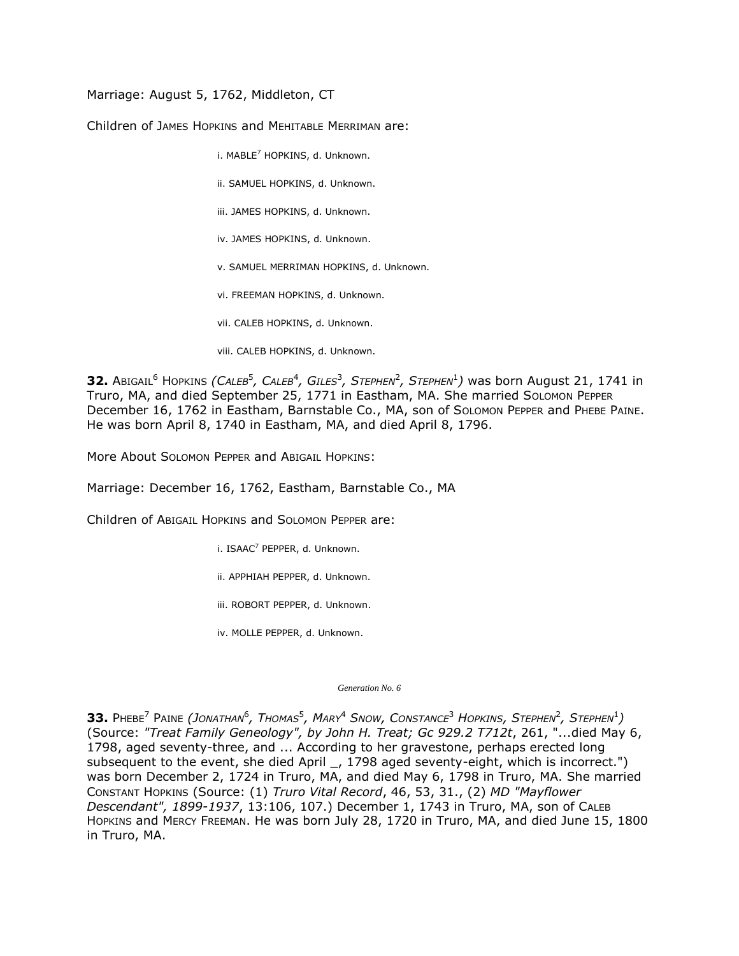Marriage: August 5, 1762, Middleton, CT

Children of JAMES HOPKINS and MEHITABLE MERRIMAN are:

i. MABLE<sup>7</sup> HOPKINS, d. Unknown.

- ii. SAMUEL HOPKINS, d. Unknown.
- iii. JAMES HOPKINS, d. Unknown.
- iv. JAMES HOPKINS, d. Unknown.
- v. SAMUEL MERRIMAN HOPKINS, d. Unknown.
- vi. FREEMAN HOPKINS, d. Unknown.
- vii. CALEB HOPKINS, d. Unknown.
- viii. CALEB HOPKINS, d. Unknown.

 $\bf{32.}$  Abigail $^6$  Hopkins *(Caleb* $^5$ *, Caleb* $^4$ *, Giles* $^3$ *, Stephen* $^2$ *, Stephen* $^1$ *) was born August 21, 1741 in* Truro, MA, and died September 25, 1771 in Eastham, MA. She married SOLOMON PEPPER December 16, 1762 in Eastham, Barnstable Co., MA, son of SOLOMON PEPPER and PHEBE PAINE. He was born April 8, 1740 in Eastham, MA, and died April 8, 1796.

More About SOLOMON PEPPER and ABIGAIL HOPKINS:

Marriage: December 16, 1762, Eastham, Barnstable Co., MA

Children of ABIGAIL HOPKINS and SOLOMON PEPPER are:

i. ISAAC<sup>7</sup> PEPPER, d. Unknown.

ii. APPHIAH PEPPER, d. Unknown.

iii. ROBORT PEPPER, d. Unknown.

iv. MOLLE PEPPER, d. Unknown.

*Generation No. 6*

 $\bf{33.}$  Phebe<sup>7</sup> Paine (Jonathan<sup>6</sup>, Thomas<sup>5</sup>, Mary<sup>4</sup> Snow, Constance<sup>3</sup> Hopkins, Stephen<sup>2</sup>, Stephen<sup>1</sup>) (Source: *"Treat Family Geneology", by John H. Treat; Gc 929.2 T712t*, 261, "...died May 6, 1798, aged seventy-three, and ... According to her gravestone, perhaps erected long subsequent to the event, she died April \_, 1798 aged seventy-eight, which is incorrect.") was born December 2, 1724 in Truro, MA, and died May 6, 1798 in Truro, MA. She married CONSTANT HOPKINS (Source: (1) *Truro Vital Record*, 46, 53, 31., (2) *MD "Mayflower Descendant", 1899-1937*, 13:106, 107.) December 1, 1743 in Truro, MA, son of CALEB HOPKINS and MERCY FREEMAN. He was born July 28, 1720 in Truro, MA, and died June 15, 1800 in Truro, MA.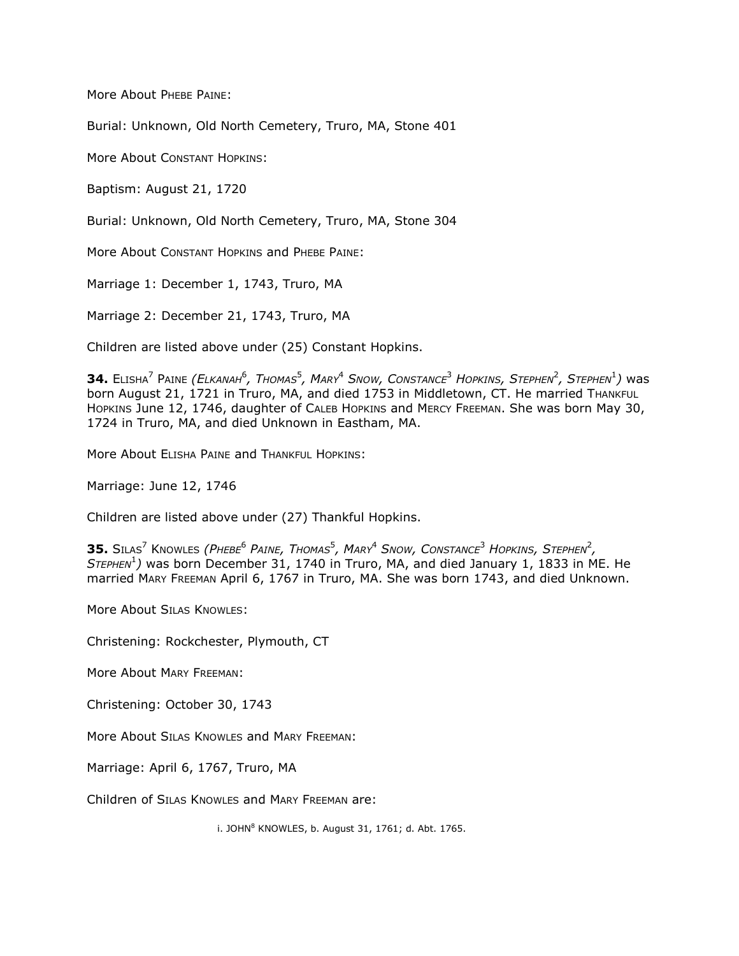More About PHEBE PAINE:

Burial: Unknown, Old North Cemetery, Truro, MA, Stone 401

More About CONSTANT HOPKINS:

Baptism: August 21, 1720

Burial: Unknown, Old North Cemetery, Truro, MA, Stone 304

More About CONSTANT HOPKINS and PHEBE PAINE:

Marriage 1: December 1, 1743, Truro, MA

Marriage 2: December 21, 1743, Truro, MA

Children are listed above under (25) Constant Hopkins.

 $\bf{34.~E}$ LISHA $^7$  Paine *(Elkanah* $^6$ *, Thomas* $^5$ *, Mary* $^4$  *Snow, Constance* $^3$  *Hopkins, Stephen* $^2$ *, Stephen* $^1$ *) was* born August 21, 1721 in Truro, MA, and died 1753 in Middletown, CT. He married THANKFUL HOPKINS June 12, 1746, daughter of CALEB HOPKINS and MERCY FREEMAN. She was born May 30, 1724 in Truro, MA, and died Unknown in Eastham, MA.

More About ELISHA PAINE and THANKFUL HOPKINS:

Marriage: June 12, 1746

Children are listed above under (27) Thankful Hopkins.

**35.** SILAS<sup>7</sup> KNOWLES *(PHEBE*<sup>6</sup> *PAINE, THOMAS*<sup>5</sup> *, MARY*<sup>4</sup> *SNOW, CONSTANCE*<sup>3</sup> *HOPKINS, STEPHEN*<sup>2</sup> *, STEPHEN*<sup>1</sup> *)* was born December 31, 1740 in Truro, MA, and died January 1, 1833 in ME. He married MARY FREEMAN April 6, 1767 in Truro, MA. She was born 1743, and died Unknown.

More About SILAS KNOWLES:

Christening: Rockchester, Plymouth, CT

More About MARY FREEMAN:

Christening: October 30, 1743

More About SILAS KNOWLES and MARY FREEMAN:

Marriage: April 6, 1767, Truro, MA

Children of SILAS KNOWLES and MARY FREEMAN are:

i. JOHN $^8$  KNOWLES, b. August 31, 1761; d. Abt. 1765.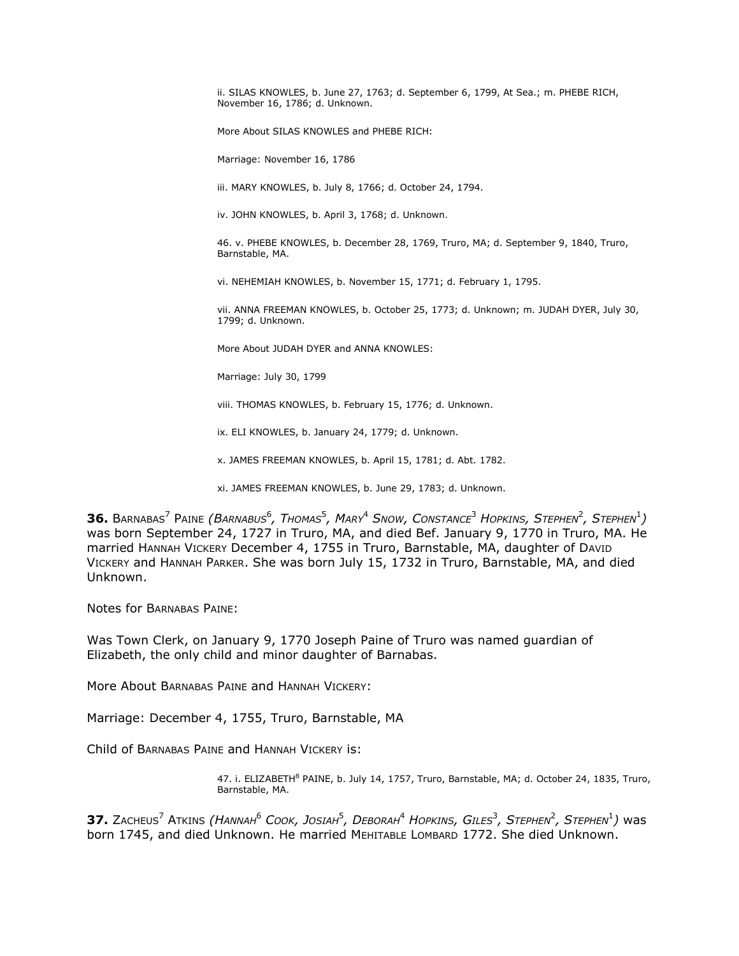ii. SILAS KNOWLES, b. June 27, 1763; d. September 6, 1799, At Sea.; m. PHEBE RICH, November 16, 1786; d. Unknown.

More About SILAS KNOWLES and PHEBE RICH:

Marriage: November 16, 1786

iii. MARY KNOWLES, b. July 8, 1766; d. October 24, 1794.

iv. JOHN KNOWLES, b. April 3, 1768; d. Unknown.

46. v. PHEBE KNOWLES, b. December 28, 1769, Truro, MA; d. September 9, 1840, Truro, Barnstable, MA.

vi. NEHEMIAH KNOWLES, b. November 15, 1771; d. February 1, 1795.

vii. ANNA FREEMAN KNOWLES, b. October 25, 1773; d. Unknown; m. JUDAH DYER, July 30, 1799; d. Unknown.

More About JUDAH DYER and ANNA KNOWLES:

Marriage: July 30, 1799

viii. THOMAS KNOWLES, b. February 15, 1776; d. Unknown.

ix. ELI KNOWLES, b. January 24, 1779; d. Unknown.

x. JAMES FREEMAN KNOWLES, b. April 15, 1781; d. Abt. 1782.

xi. JAMES FREEMAN KNOWLES, b. June 29, 1783; d. Unknown.

 $\bf{36.~$  Barnabas<sup>7</sup> Paine (*Barnabus<sup>6</sup>, Thomas<sup>5</sup>, *Mark<sup>4</sup> Show, Constance<sup>3</sup> *Horkins, STEPHEN<sup>2</sup>, STEPHEN<sup>1</sup>)***was born September 24, 1727 in Truro, MA, and died Bef. January 9, 1770 in Truro, MA. He married HANNAH VICKERY December 4, 1755 in Truro, Barnstable, MA, daughter of DAVID VICKERY and HANNAH PARKER. She was born July 15, 1732 in Truro, Barnstable, MA, and died Unknown.

Notes for BARNABAS PAINE:

Was Town Clerk, on January 9, 1770 Joseph Paine of Truro was named guardian of Elizabeth, the only child and minor daughter of Barnabas.

More About BARNABAS PAINE and HANNAH VICKERY:

Marriage: December 4, 1755, Truro, Barnstable, MA

Child of BARNABAS PAINE and HANNAH VICKERY is:

47. i. ELIZABETH<sup>8</sup> PAINE, b. July 14, 1757, Truro, Barnstable, MA; d. October 24, 1835, Truro, Barnstable, MA.

 $\bf{37.}$  Zacheus<sup>7</sup> Atkins *(Hannah<sup>6</sup> Cook, Josiah<sup>5</sup>, Deborah<sup>4</sup> Hopkins, Giles<sup>3</sup>, Stephen<sup>2</sup>, Stephen<sup>1</sup>) was* born 1745, and died Unknown. He married MEHITABLE LOMBARD 1772. She died Unknown.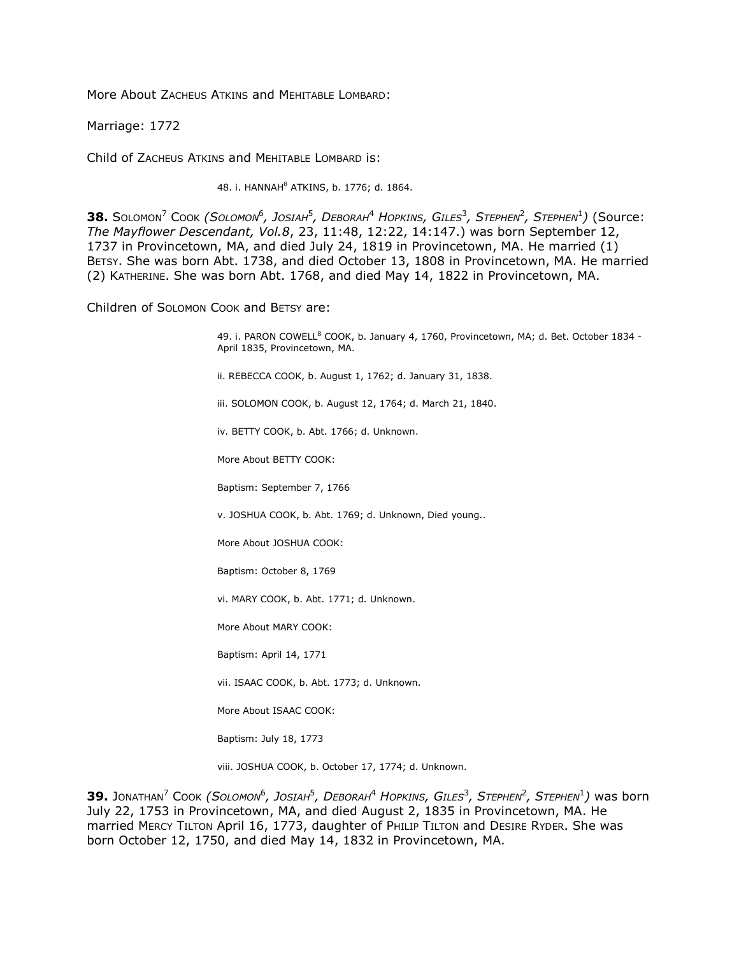More About ZACHEUS ATKINS and MEHITABLE LOMBARD:

Marriage: 1772

Child of ZACHEUS ATKINS and MEHITABLE LOMBARD is:

48. i. HANNAH<sup>8</sup> ATKINS, b. 1776; d. 1864.

 $\bf{38.~S}$ оlомоn<sup>7</sup> Соок *(Solомоn<sup>6</sup>, Josiah<sup>5</sup>, Deborah<sup>4</sup> Hopkins, Giles<sup>3</sup>, Stephen<sup>2</sup>, Stephen<sup>1</sup>) (Source: The Mayflower Descendant, Vol.8*, 23, 11:48, 12:22, 14:147.) was born September 12, 1737 in Provincetown, MA, and died July 24, 1819 in Provincetown, MA. He married (1) BETSY. She was born Abt. 1738, and died October 13, 1808 in Provincetown, MA. He married (2) KATHERINE. She was born Abt. 1768, and died May 14, 1822 in Provincetown, MA.

Children of SOLOMON COOK and BETSY are:

49. i. PARON COWELL<sup>8</sup> COOK, b. January 4, 1760, Provincetown, MA; d. Bet. October 1834 -April 1835, Provincetown, MA.

ii. REBECCA COOK, b. August 1, 1762; d. January 31, 1838.

iii. SOLOMON COOK, b. August 12, 1764; d. March 21, 1840.

iv. BETTY COOK, b. Abt. 1766; d. Unknown.

More About BETTY COOK:

Baptism: September 7, 1766

v. JOSHUA COOK, b. Abt. 1769; d. Unknown, Died young..

More About JOSHUA COOK:

Baptism: October 8, 1769

vi. MARY COOK, b. Abt. 1771; d. Unknown.

More About MARY COOK:

Baptism: April 14, 1771

vii. ISAAC COOK, b. Abt. 1773; d. Unknown.

More About ISAAC COOK:

Baptism: July 18, 1773

viii. JOSHUA COOK, b. October 17, 1774; d. Unknown.

 $\bf{39.}$  Jonathan $^7$  Cook *(Solomon* $^6$ *, Josiah* $^5$ *, Deborah* $^4$  *Hopkins, Giles* $^3$ *, Stephen* $^2$ *, Stephen* $^1$ *) was born* July 22, 1753 in Provincetown, MA, and died August 2, 1835 in Provincetown, MA. He married MERCY TILTON April 16, 1773, daughter of PHILIP TILTON and DESIRE RYDER. She was born October 12, 1750, and died May 14, 1832 in Provincetown, MA.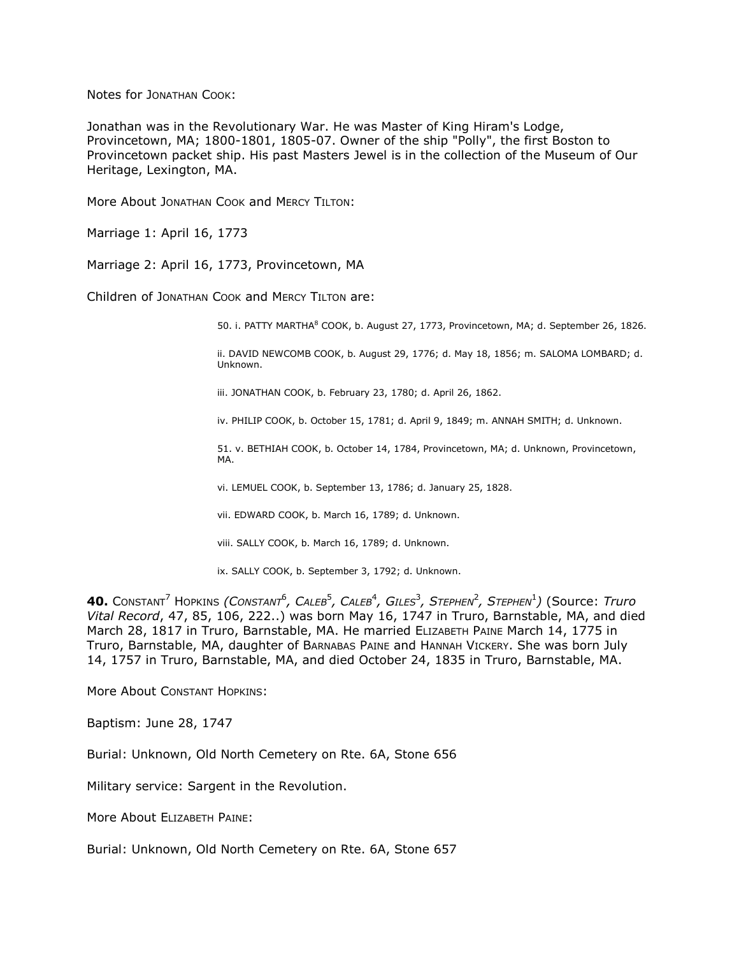Notes for JONATHAN COOK:

Jonathan was in the Revolutionary War. He was Master of King Hiram's Lodge, Provincetown, MA; 1800-1801, 1805-07. Owner of the ship "Polly", the first Boston to Provincetown packet ship. His past Masters Jewel is in the collection of the Museum of Our Heritage, Lexington, MA.

More About JONATHAN COOK and MERCY TILTON:

Marriage 1: April 16, 1773

Marriage 2: April 16, 1773, Provincetown, MA

Children of JONATHAN COOK and MERCY TILTON are:

50. i. PATTY MARTHA<sup>8</sup> COOK, b. August 27, 1773, Provincetown, MA; d. September 26, 1826.

ii. DAVID NEWCOMB COOK, b. August 29, 1776; d. May 18, 1856; m. SALOMA LOMBARD; d. Unknown.

iii. JONATHAN COOK, b. February 23, 1780; d. April 26, 1862.

iv. PHILIP COOK, b. October 15, 1781; d. April 9, 1849; m. ANNAH SMITH; d. Unknown.

51. v. BETHIAH COOK, b. October 14, 1784, Provincetown, MA; d. Unknown, Provincetown, MA.

vi. LEMUEL COOK, b. September 13, 1786; d. January 25, 1828.

vii. EDWARD COOK, b. March 16, 1789; d. Unknown.

viii. SALLY COOK, b. March 16, 1789; d. Unknown.

ix. SALLY COOK, b. September 3, 1792; d. Unknown.

 $\blacktriangleleft$  **0.** Constant<sup>7</sup> Hopkins *(Constant<sup>6</sup>, Caleb<sup>5</sup>, Caleb<sup>4</sup>, Giles<sup>3</sup>, Stephen<sup>2</sup>, Stephen<sup>1</sup>) (Source: Truro Vital Record*, 47, 85, 106, 222..) was born May 16, 1747 in Truro, Barnstable, MA, and died March 28, 1817 in Truro, Barnstable, MA. He married ELIZABETH PAINE March 14, 1775 in Truro, Barnstable, MA, daughter of BARNABAS PAINE and HANNAH VICKERY. She was born July 14, 1757 in Truro, Barnstable, MA, and died October 24, 1835 in Truro, Barnstable, MA.

More About CONSTANT HOPKINS:

Baptism: June 28, 1747

Burial: Unknown, Old North Cemetery on Rte. 6A, Stone 656

Military service: Sargent in the Revolution.

More About ELIZABETH PAINE:

Burial: Unknown, Old North Cemetery on Rte. 6A, Stone 657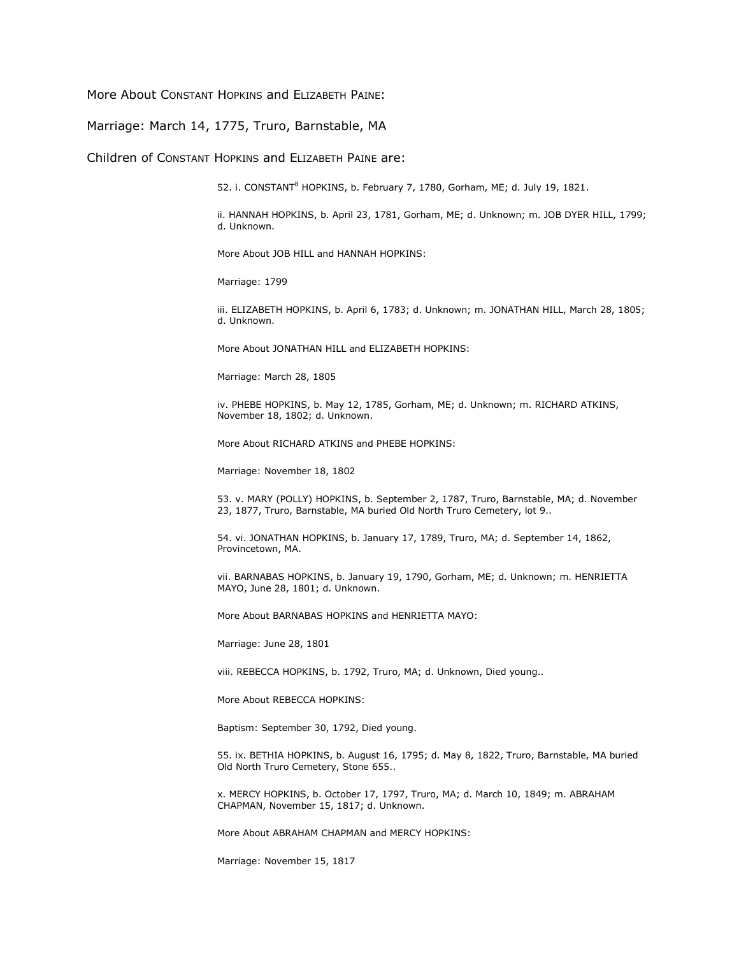More About CONSTANT HOPKINS and ELIZABETH PAINE:

Marriage: March 14, 1775, Truro, Barnstable, MA

Children of CONSTANT HOPKINS and ELIZABETH PAINE are:

52. i. CONSTANT<sup>8</sup> HOPKINS, b. February 7, 1780, Gorham, ME; d. July 19, 1821.

ii. HANNAH HOPKINS, b. April 23, 1781, Gorham, ME; d. Unknown; m. JOB DYER HILL, 1799; d. Unknown.

More About JOB HILL and HANNAH HOPKINS:

Marriage: 1799

iii. ELIZABETH HOPKINS, b. April 6, 1783; d. Unknown; m. JONATHAN HILL, March 28, 1805; d. Unknown.

More About JONATHAN HILL and ELIZABETH HOPKINS:

Marriage: March 28, 1805

iv. PHEBE HOPKINS, b. May 12, 1785, Gorham, ME; d. Unknown; m. RICHARD ATKINS, November 18, 1802; d. Unknown.

More About RICHARD ATKINS and PHEBE HOPKINS:

Marriage: November 18, 1802

53. v. MARY (POLLY) HOPKINS, b. September 2, 1787, Truro, Barnstable, MA; d. November 23, 1877, Truro, Barnstable, MA buried Old North Truro Cemetery, lot 9..

54. vi. JONATHAN HOPKINS, b. January 17, 1789, Truro, MA; d. September 14, 1862, Provincetown, MA.

vii. BARNABAS HOPKINS, b. January 19, 1790, Gorham, ME; d. Unknown; m. HENRIETTA MAYO, June 28, 1801; d. Unknown.

More About BARNABAS HOPKINS and HENRIETTA MAYO:

Marriage: June 28, 1801

viii. REBECCA HOPKINS, b. 1792, Truro, MA; d. Unknown, Died young..

More About REBECCA HOPKINS:

Baptism: September 30, 1792, Died young.

55. ix. BETHIA HOPKINS, b. August 16, 1795; d. May 8, 1822, Truro, Barnstable, MA buried Old North Truro Cemetery, Stone 655..

x. MERCY HOPKINS, b. October 17, 1797, Truro, MA; d. March 10, 1849; m. ABRAHAM CHAPMAN, November 15, 1817; d. Unknown.

More About ABRAHAM CHAPMAN and MERCY HOPKINS:

Marriage: November 15, 1817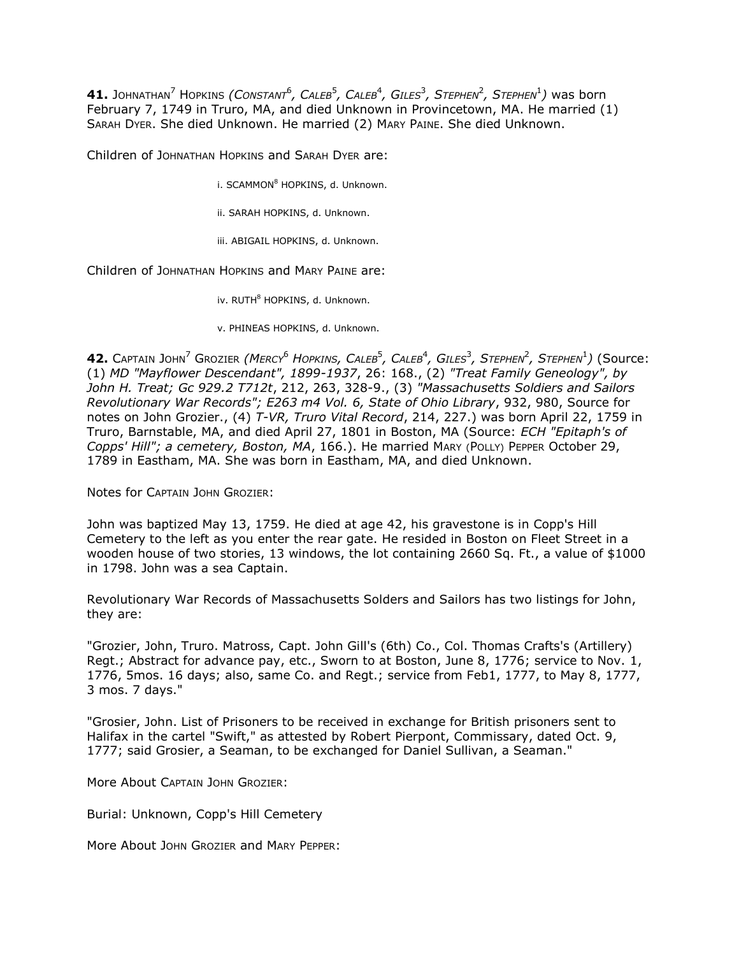$\bf{41.}$  Johnathan<sup>7</sup> Hopkins *(Constant<sup>6</sup>, Caleb<sup>5</sup>, Caleb<sup>4</sup>, Giles<sup>3</sup>, Stephen<sup>2</sup>, Stephen<sup>1</sup>) was born* February 7, 1749 in Truro, MA, and died Unknown in Provincetown, MA. He married (1) SARAH DYER. She died Unknown. He married (2) MARY PAINE. She died Unknown.

Children of JOHNATHAN HOPKINS and SARAH DYER are:

i. SCAMMON<sup>8</sup> HOPKINS, d. Unknown.

ii. SARAH HOPKINS, d. Unknown.

iii. ABIGAIL HOPKINS, d. Unknown.

Children of JOHNATHAN HOPKINS and MARY PAINE are:

iv. RUTH<sup>8</sup> HOPKINS, d. Unknown.

v. PHINEAS HOPKINS, d. Unknown.

 $\bullet$  **42.** Captain John<sup>7</sup> Grozier *(Mercy<sup>6</sup> Hopkins, Caleb<sup>5</sup>, Caleb<sup>4</sup>, Giles<sup>3</sup>, Stephen<sup>2</sup>, Stephen<sup>1</sup>) (Source:* (1) *MD "Mayflower Descendant", 1899-1937*, 26: 168., (2) *"Treat Family Geneology", by John H. Treat; Gc 929.2 T712t*, 212, 263, 328-9., (3) *"Massachusetts Soldiers and Sailors Revolutionary War Records"; E263 m4 Vol. 6, State of Ohio Library*, 932, 980, Source for notes on John Grozier., (4) *T-VR, Truro Vital Record*, 214, 227.) was born April 22, 1759 in Truro, Barnstable, MA, and died April 27, 1801 in Boston, MA (Source: *ECH "Epitaph's of Copps' Hill"; a cemetery, Boston, MA*, 166.). He married MARY (POLLY) PEPPER October 29, 1789 in Eastham, MA. She was born in Eastham, MA, and died Unknown.

Notes for CAPTAIN JOHN GROZIER:

John was baptized May 13, 1759. He died at age 42, his gravestone is in Copp's Hill Cemetery to the left as you enter the rear gate. He resided in Boston on Fleet Street in a wooden house of two stories, 13 windows, the lot containing 2660 Sq. Ft., a value of \$1000 in 1798. John was a sea Captain.

Revolutionary War Records of Massachusetts Solders and Sailors has two listings for John, they are:

"Grozier, John, Truro. Matross, Capt. John Gill's (6th) Co., Col. Thomas Crafts's (Artillery) Regt.; Abstract for advance pay, etc., Sworn to at Boston, June 8, 1776; service to Nov. 1, 1776, 5mos. 16 days; also, same Co. and Regt.; service from Feb1, 1777, to May 8, 1777, 3 mos. 7 days."

"Grosier, John. List of Prisoners to be received in exchange for British prisoners sent to Halifax in the cartel "Swift," as attested by Robert Pierpont, Commissary, dated Oct. 9, 1777; said Grosier, a Seaman, to be exchanged for Daniel Sullivan, a Seaman."

More About CAPTAIN JOHN GROZIER:

Burial: Unknown, Copp's Hill Cemetery

More About JOHN GROZIER and MARY PEPPER: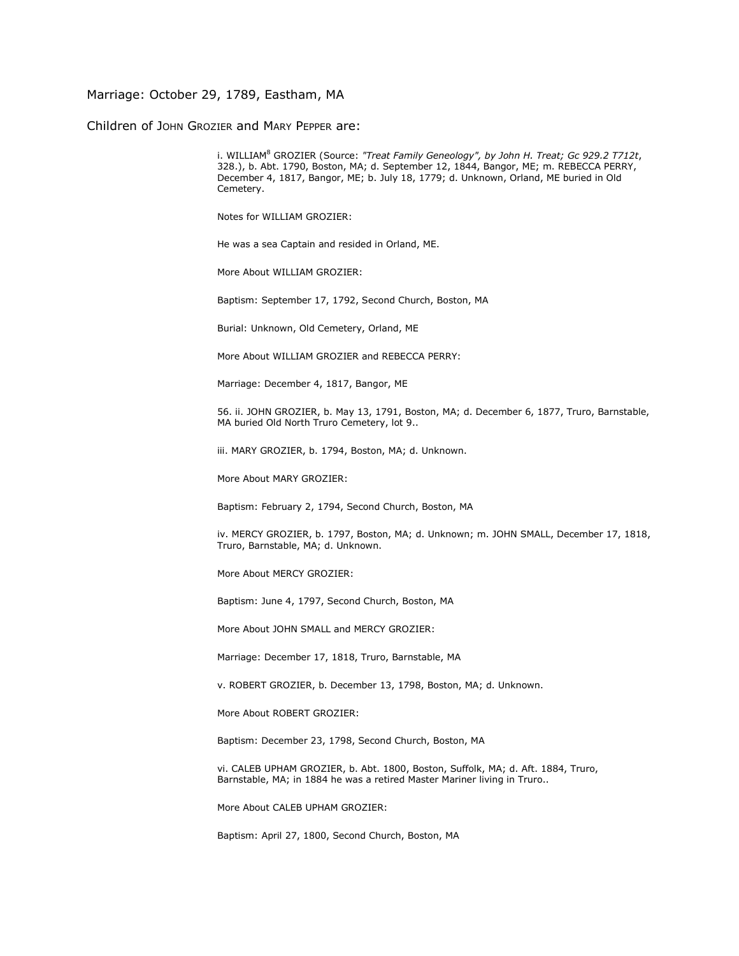## Marriage: October 29, 1789, Eastham, MA

Children of JOHN GROZIER and MARY PEPPER are:

i. WILLIAM<sup>8</sup> GROZIER (Source: *"Treat Family Geneology", by John H. Treat; Gc 929.2 T712t*, 328.), b. Abt. 1790, Boston, MA; d. September 12, 1844, Bangor, ME; m. REBECCA PERRY, December 4, 1817, Bangor, ME; b. July 18, 1779; d. Unknown, Orland, ME buried in Old Cemetery.

Notes for WILLIAM GROZIER:

He was a sea Captain and resided in Orland, ME.

More About WILLIAM GROZIER:

Baptism: September 17, 1792, Second Church, Boston, MA

Burial: Unknown, Old Cemetery, Orland, ME

More About WILLIAM GROZIER and REBECCA PERRY:

Marriage: December 4, 1817, Bangor, ME

56. ii. JOHN GROZIER, b. May 13, 1791, Boston, MA; d. December 6, 1877, Truro, Barnstable, MA buried Old North Truro Cemetery, lot 9..

iii. MARY GROZIER, b. 1794, Boston, MA; d. Unknown.

More About MARY GROZIER:

Baptism: February 2, 1794, Second Church, Boston, MA

iv. MERCY GROZIER, b. 1797, Boston, MA; d. Unknown; m. JOHN SMALL, December 17, 1818, Truro, Barnstable, MA; d. Unknown.

More About MERCY GROZIER:

Baptism: June 4, 1797, Second Church, Boston, MA

More About JOHN SMALL and MERCY GROZIER:

Marriage: December 17, 1818, Truro, Barnstable, MA

v. ROBERT GROZIER, b. December 13, 1798, Boston, MA; d. Unknown.

More About ROBERT GROZIER:

Baptism: December 23, 1798, Second Church, Boston, MA

vi. CALEB UPHAM GROZIER, b. Abt. 1800, Boston, Suffolk, MA; d. Aft. 1884, Truro, Barnstable, MA; in 1884 he was a retired Master Mariner living in Truro..

More About CALEB UPHAM GROZIER:

Baptism: April 27, 1800, Second Church, Boston, MA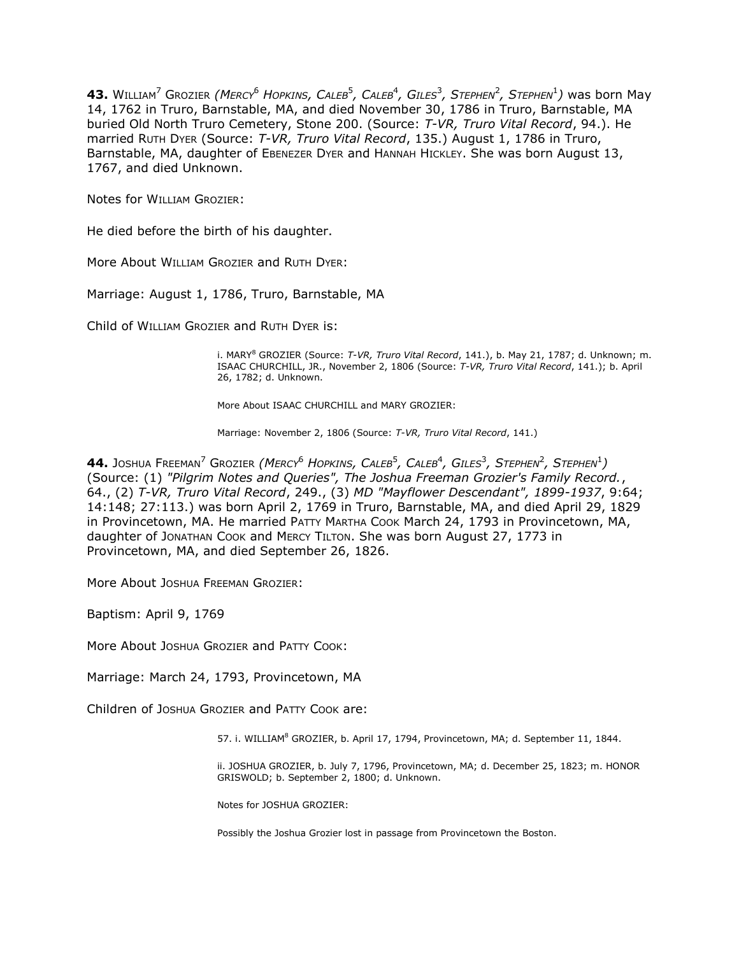**43.** WILLIAM<sup>7</sup> GROZIER *(MERCY*<sup>6</sup> *HOPKINS, CALEB*<sup>5</sup> *, CALEB*<sup>4</sup> *, GILES*<sup>3</sup> *, STEPHEN*<sup>2</sup> *, STEPHEN*<sup>1</sup> *)* was born May 14, 1762 in Truro, Barnstable, MA, and died November 30, 1786 in Truro, Barnstable, MA buried Old North Truro Cemetery, Stone 200. (Source: *T-VR, Truro Vital Record*, 94.). He married RUTH DYER (Source: *T-VR, Truro Vital Record*, 135.) August 1, 1786 in Truro, Barnstable, MA, daughter of EBENEZER DYER and HANNAH HICKLEY. She was born August 13, 1767, and died Unknown.

Notes for WILLIAM GROZIER:

He died before the birth of his daughter.

More About WILLIAM GROZIER and RUTH DYER:

Marriage: August 1, 1786, Truro, Barnstable, MA

Child of WILLIAM GROZIER and RUTH DYER is:

i. MARY<sup>8</sup> GROZIER (Source: *T-VR, Truro Vital Record*, 141.), b. May 21, 1787; d. Unknown; m. ISAAC CHURCHILL, JR., November 2, 1806 (Source: *T-VR, Truro Vital Record*, 141.); b. April 26, 1782; d. Unknown.

More About ISAAC CHURCHILL and MARY GROZIER:

Marriage: November 2, 1806 (Source: *T-VR, Truro Vital Record*, 141.)

 $\bullet$   $\bullet$  Joshua Freeman $^7$  Grozier *(Mercy* $^6$  *Hopkins, Caleb* $^5$ *, Caleb* $^4$ *, Giles* $^3$ *, Stephen* $^2$ *, Stephen* $^1$ *)* (Source: (1) *"Pilgrim Notes and Queries", The Joshua Freeman Grozier's Family Record.*, 64., (2) *T-VR, Truro Vital Record*, 249., (3) *MD "Mayflower Descendant", 1899-1937*, 9:64; 14:148; 27:113.) was born April 2, 1769 in Truro, Barnstable, MA, and died April 29, 1829 in Provincetown, MA. He married PATTY MARTHA COOK March 24, 1793 in Provincetown, MA, daughter of JONATHAN COOK and MERCY TILTON. She was born August 27, 1773 in Provincetown, MA, and died September 26, 1826.

More About JOSHUA FREEMAN GROZIER:

Baptism: April 9, 1769

More About JOSHUA GROZIER and PATTY COOK:

Marriage: March 24, 1793, Provincetown, MA

Children of JOSHUA GROZIER and PATTY COOK are:

57. i. WILLIAM<sup>8</sup> GROZIER, b. April 17, 1794, Provincetown, MA; d. September 11, 1844.

ii. JOSHUA GROZIER, b. July 7, 1796, Provincetown, MA; d. December 25, 1823; m. HONOR GRISWOLD; b. September 2, 1800; d. Unknown.

Notes for JOSHUA GROZIER:

Possibly the Joshua Grozier lost in passage from Provincetown the Boston.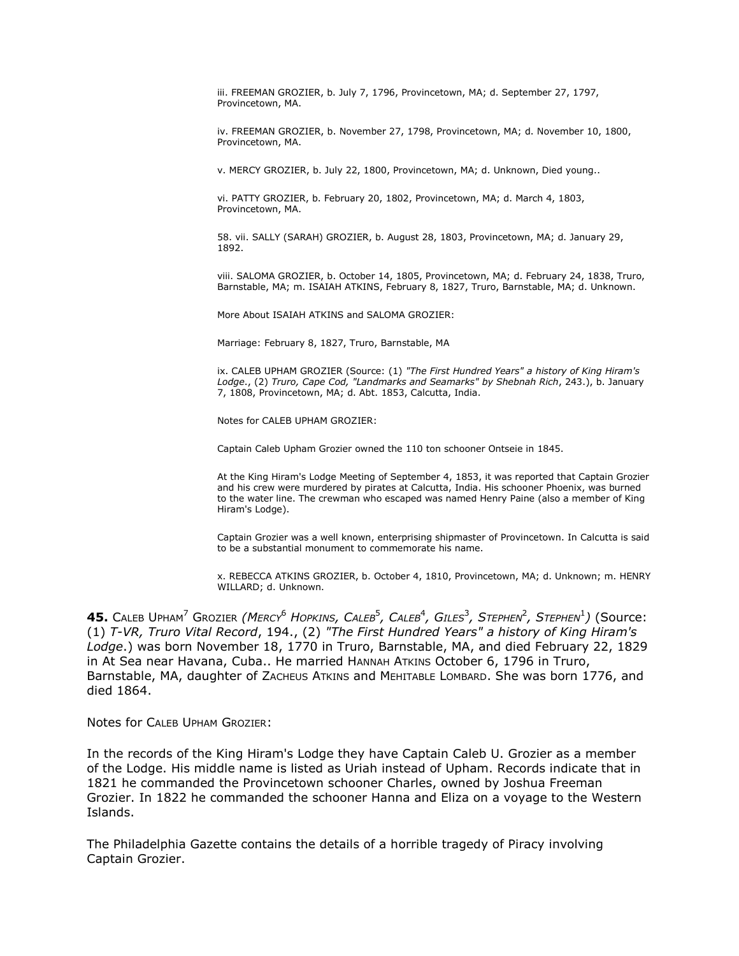iii. FREEMAN GROZIER, b. July 7, 1796, Provincetown, MA; d. September 27, 1797, Provincetown, MA.

iv. FREEMAN GROZIER, b. November 27, 1798, Provincetown, MA; d. November 10, 1800, Provincetown, MA.

v. MERCY GROZIER, b. July 22, 1800, Provincetown, MA; d. Unknown, Died young..

vi. PATTY GROZIER, b. February 20, 1802, Provincetown, MA; d. March 4, 1803, Provincetown, MA.

58. vii. SALLY (SARAH) GROZIER, b. August 28, 1803, Provincetown, MA; d. January 29, 1892.

viii. SALOMA GROZIER, b. October 14, 1805, Provincetown, MA; d. February 24, 1838, Truro, Barnstable, MA; m. ISAIAH ATKINS, February 8, 1827, Truro, Barnstable, MA; d. Unknown.

More About ISAIAH ATKINS and SALOMA GROZIER:

Marriage: February 8, 1827, Truro, Barnstable, MA

ix. CALEB UPHAM GROZIER (Source: (1) *"The First Hundred Years" a history of King Hiram's Lodge*., (2) *Truro, Cape Cod, "Landmarks and Seamarks" by Shebnah Rich*, 243.), b. January 7, 1808, Provincetown, MA; d. Abt. 1853, Calcutta, India.

Notes for CALEB UPHAM GROZIER:

Captain Caleb Upham Grozier owned the 110 ton schooner Ontseie in 1845.

At the King Hiram's Lodge Meeting of September 4, 1853, it was reported that Captain Grozier and his crew were murdered by pirates at Calcutta, India. His schooner Phoenix, was burned to the water line. The crewman who escaped was named Henry Paine (also a member of King Hiram's Lodge).

Captain Grozier was a well known, enterprising shipmaster of Provincetown. In Calcutta is said to be a substantial monument to commemorate his name.

x. REBECCA ATKINS GROZIER, b. October 4, 1810, Provincetown, MA; d. Unknown; m. HENRY WILLARD; d. Unknown.

 $\blacktriangleleft$ 5. Caleb Upham<sup>7</sup> Grozier *(Mercy<sup>6</sup> Hopkins, Caleb<sup>5</sup>, Caleb<sup>4</sup>, Giles<sup>3</sup>, Stephen<sup>2</sup>, Stephen<sup>1</sup>) (Source:* (1) *T-VR, Truro Vital Record*, 194., (2) *"The First Hundred Years" a history of King Hiram's Lodge*.) was born November 18, 1770 in Truro, Barnstable, MA, and died February 22, 1829 in At Sea near Havana, Cuba.. He married HANNAH ATKINS October 6, 1796 in Truro, Barnstable, MA, daughter of ZACHEUS ATKINS and MEHITABLE LOMBARD. She was born 1776, and died 1864.

Notes for CALEB UPHAM GROZIER:

In the records of the King Hiram's Lodge they have Captain Caleb U. Grozier as a member of the Lodge. His middle name is listed as Uriah instead of Upham. Records indicate that in 1821 he commanded the Provincetown schooner Charles, owned by Joshua Freeman Grozier. In 1822 he commanded the schooner Hanna and Eliza on a voyage to the Western Islands.

The Philadelphia Gazette contains the details of a horrible tragedy of Piracy involving Captain Grozier.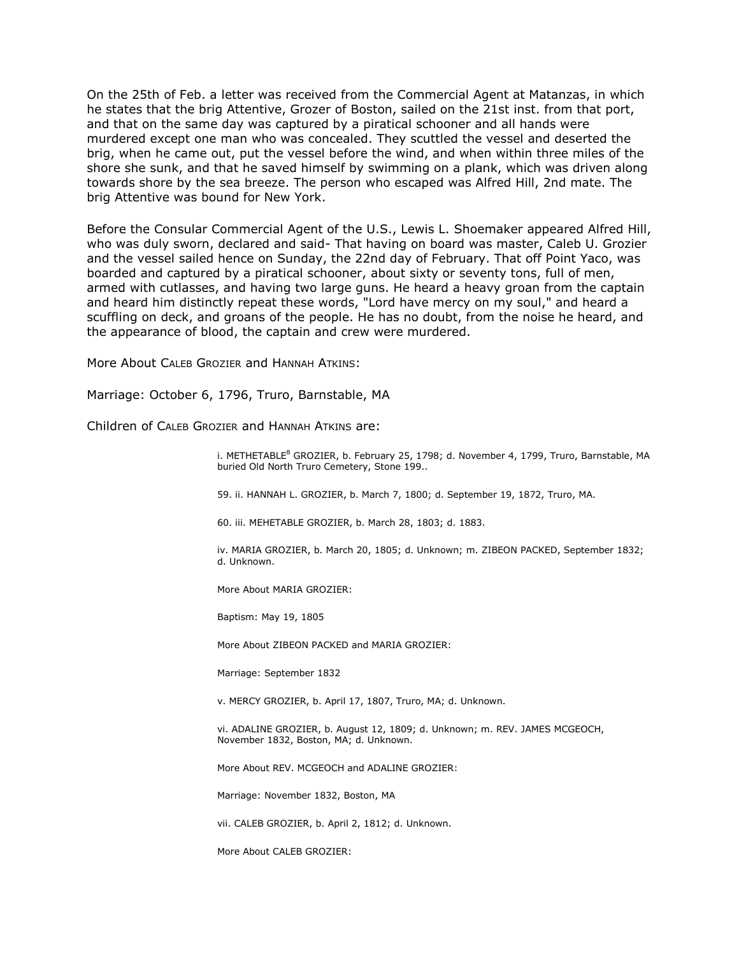On the 25th of Feb. a letter was received from the Commercial Agent at Matanzas, in which he states that the brig Attentive, Grozer of Boston, sailed on the 21st inst. from that port, and that on the same day was captured by a piratical schooner and all hands were murdered except one man who was concealed. They scuttled the vessel and deserted the brig, when he came out, put the vessel before the wind, and when within three miles of the shore she sunk, and that he saved himself by swimming on a plank, which was driven along towards shore by the sea breeze. The person who escaped was Alfred Hill, 2nd mate. The brig Attentive was bound for New York.

Before the Consular Commercial Agent of the U.S., Lewis L. Shoemaker appeared Alfred Hill, who was duly sworn, declared and said- That having on board was master, Caleb U. Grozier and the vessel sailed hence on Sunday, the 22nd day of February. That off Point Yaco, was boarded and captured by a piratical schooner, about sixty or seventy tons, full of men, armed with cutlasses, and having two large guns. He heard a heavy groan from the captain and heard him distinctly repeat these words, "Lord have mercy on my soul," and heard a scuffling on deck, and groans of the people. He has no doubt, from the noise he heard, and the appearance of blood, the captain and crew were murdered.

More About CALEB GROZIER and HANNAH ATKINS:

Marriage: October 6, 1796, Truro, Barnstable, MA

Children of CALEB GROZIER and HANNAH ATKINS are:

i. METHETABLE<sup>8</sup> GROZIER, b. February 25, 1798; d. November 4, 1799, Truro, Barnstable, MA buried Old North Truro Cemetery, Stone 199..

59. ii. HANNAH L. GROZIER, b. March 7, 1800; d. September 19, 1872, Truro, MA.

60. iii. MEHETABLE GROZIER, b. March 28, 1803; d. 1883.

iv. MARIA GROZIER, b. March 20, 1805; d. Unknown; m. ZIBEON PACKED, September 1832; d. Unknown.

More About MARIA GROZIER:

Baptism: May 19, 1805

More About ZIBEON PACKED and MARIA GROZIER:

Marriage: September 1832

v. MERCY GROZIER, b. April 17, 1807, Truro, MA; d. Unknown.

vi. ADALINE GROZIER, b. August 12, 1809; d. Unknown; m. REV. JAMES MCGEOCH, November 1832, Boston, MA; d. Unknown.

More About REV. MCGEOCH and ADALINE GROZIER:

Marriage: November 1832, Boston, MA

vii. CALEB GROZIER, b. April 2, 1812; d. Unknown.

More About CALEB GROZIER: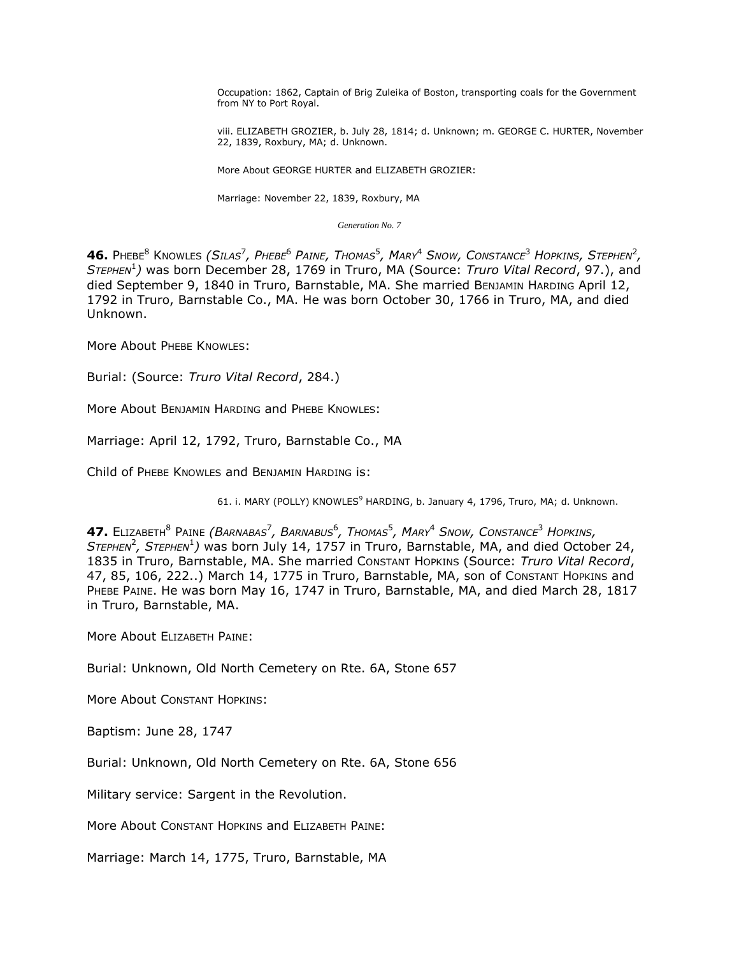Occupation: 1862, Captain of Brig Zuleika of Boston, transporting coals for the Government from NY to Port Royal.

viii. ELIZABETH GROZIER, b. July 28, 1814; d. Unknown; m. GEORGE C. HURTER, November 22, 1839, Roxbury, MA; d. Unknown.

More About GEORGE HURTER and ELIZABETH GROZIER:

Marriage: November 22, 1839, Roxbury, MA

*Generation No. 7*

 ${\bf 46.}$  Phebe $^8$  Knowles (Silas $^7$ , Phebe $^6$  Paine, Thomas $^5$ , Mary $^4$  Snow, Constance $^3$  Hopkins, Stephen $^2$ , *STEPHEN*<sup>1</sup> *)* was born December 28, 1769 in Truro, MA (Source: *Truro Vital Record*, 97.), and died September 9, 1840 in Truro, Barnstable, MA. She married BENJAMIN HARDING April 12, 1792 in Truro, Barnstable Co., MA. He was born October 30, 1766 in Truro, MA, and died Unknown.

More About PHEBE KNOWLES:

Burial: (Source: *Truro Vital Record*, 284.)

More About BENJAMIN HARDING and PHEBE KNOWLES:

Marriage: April 12, 1792, Truro, Barnstable Co., MA

Child of PHEBE KNOWLES and BENJAMIN HARDING is:

61. i. MARY (POLLY) KNOWLES<sup>9</sup> HARDING, b. January 4, 1796, Truro, MA; d. Unknown.

 $\bm{47.}$  Elizabeth $^8$  Paine *(Barnabas<sup>7</sup>, Barnabus* $^6$ *, Thomas* $^5$ *, Mary* $^4$  *Snow, Constance* $^3$  *Hopkins,* S*TEPHEN<sup>2</sup>*, STEPHEN<sup>1</sup>) was born July 14, 1757 in Truro, Barnstable, MA, and died October 24, 1835 in Truro, Barnstable, MA. She married CONSTANT HOPKINS (Source: *Truro Vital Record*, 47, 85, 106, 222..) March 14, 1775 in Truro, Barnstable, MA, son of CONSTANT HOPKINS and PHEBE PAINE. He was born May 16, 1747 in Truro, Barnstable, MA, and died March 28, 1817 in Truro, Barnstable, MA.

More About ELIZABETH PAINE:

Burial: Unknown, Old North Cemetery on Rte. 6A, Stone 657

More About CONSTANT HOPKINS:

Baptism: June 28, 1747

Burial: Unknown, Old North Cemetery on Rte. 6A, Stone 656

Military service: Sargent in the Revolution.

More About CONSTANT HOPKINS and ELIZABETH PAINE:

Marriage: March 14, 1775, Truro, Barnstable, MA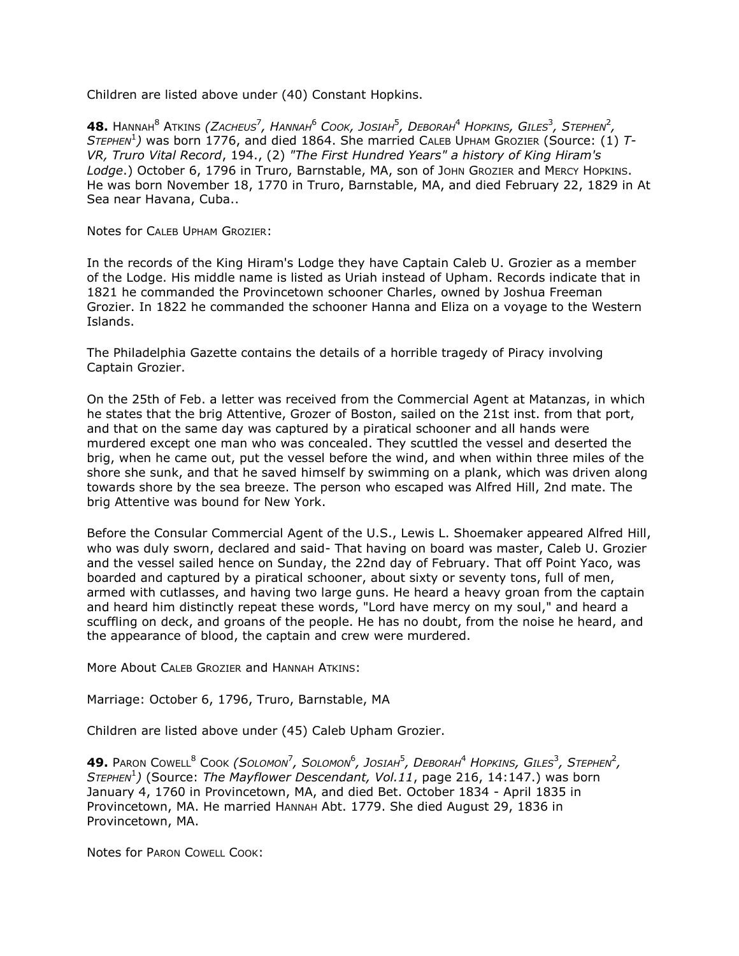Children are listed above under (40) Constant Hopkins.

 $\bullet$   $\bullet$  Hannah $^8$  Atkins *(Zacheus<sup>7</sup>, Hannah* $^6$  *Cook, Josiah* $^5$ *, Deborah* $^4$  *Hopkins, Giles* $^3$ *, Stephen* $^2$ *, STEPHEN*<sup>1</sup> *)* was born 1776, and died 1864. She married CALEB UPHAM GROZIER (Source: (1) *T-VR, Truro Vital Record*, 194., (2) *"The First Hundred Years" a history of King Hiram's*  Lodge.) October 6, 1796 in Truro, Barnstable, MA, son of John Grozier and Mercy Hopkins. He was born November 18, 1770 in Truro, Barnstable, MA, and died February 22, 1829 in At Sea near Havana, Cuba..

Notes for CALEB UPHAM GROZIER:

In the records of the King Hiram's Lodge they have Captain Caleb U. Grozier as a member of the Lodge. His middle name is listed as Uriah instead of Upham. Records indicate that in 1821 he commanded the Provincetown schooner Charles, owned by Joshua Freeman Grozier. In 1822 he commanded the schooner Hanna and Eliza on a voyage to the Western Islands.

The Philadelphia Gazette contains the details of a horrible tragedy of Piracy involving Captain Grozier.

On the 25th of Feb. a letter was received from the Commercial Agent at Matanzas, in which he states that the brig Attentive, Grozer of Boston, sailed on the 21st inst. from that port, and that on the same day was captured by a piratical schooner and all hands were murdered except one man who was concealed. They scuttled the vessel and deserted the brig, when he came out, put the vessel before the wind, and when within three miles of the shore she sunk, and that he saved himself by swimming on a plank, which was driven along towards shore by the sea breeze. The person who escaped was Alfred Hill, 2nd mate. The brig Attentive was bound for New York.

Before the Consular Commercial Agent of the U.S., Lewis L. Shoemaker appeared Alfred Hill, who was duly sworn, declared and said- That having on board was master, Caleb U. Grozier and the vessel sailed hence on Sunday, the 22nd day of February. That off Point Yaco, was boarded and captured by a piratical schooner, about sixty or seventy tons, full of men, armed with cutlasses, and having two large guns. He heard a heavy groan from the captain and heard him distinctly repeat these words, "Lord have mercy on my soul," and heard a scuffling on deck, and groans of the people. He has no doubt, from the noise he heard, and the appearance of blood, the captain and crew were murdered.

More About CALEB GROZIER and HANNAH ATKINS:

Marriage: October 6, 1796, Truro, Barnstable, MA

Children are listed above under (45) Caleb Upham Grozier.

 $\bullet$  **49.** Paron Cowell $^8$  Cook *(Solomon<sup>7</sup>, Solomon* $^6$ *, Josiah* $^5$ *, Deborah* $^4$  *Hopkins, Giles* $^3$ *, Stephen* $^2$ *, STEPHEN*<sup>1</sup> *)* (Source: *The Mayflower Descendant, Vol.11*, page 216, 14:147.) was born January 4, 1760 in Provincetown, MA, and died Bet. October 1834 - April 1835 in Provincetown, MA. He married HANNAH Abt. 1779. She died August 29, 1836 in Provincetown, MA.

Notes for PARON COWELL COOK: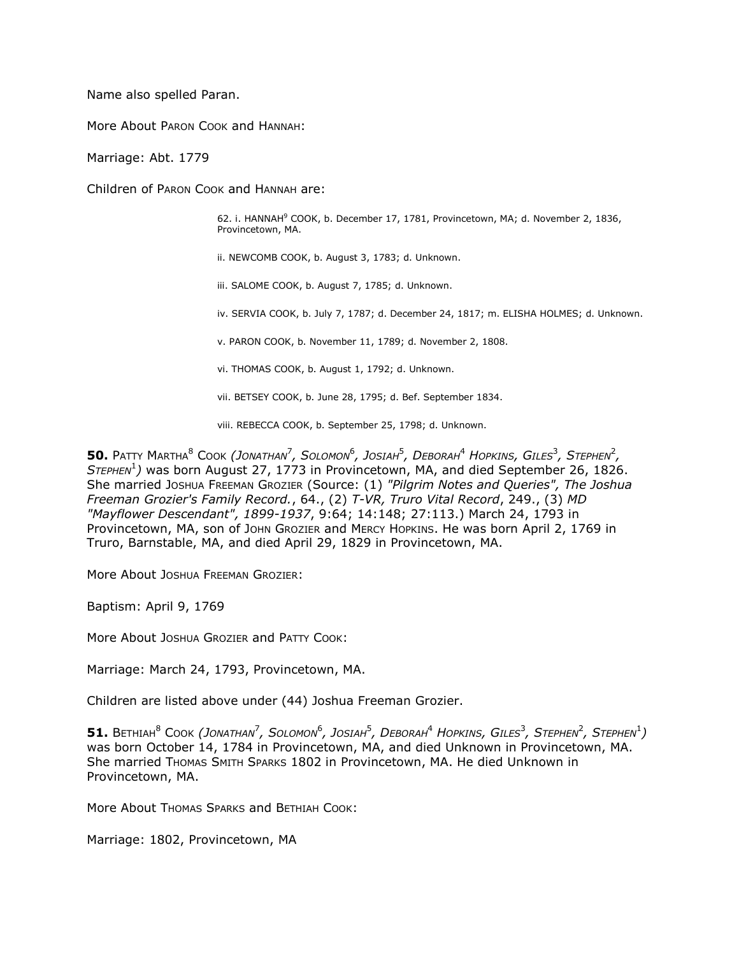Name also spelled Paran.

More About PARON COOK and HANNAH:

Marriage: Abt. 1779

Children of PARON COOK and HANNAH are:

62. i. HANNAH<sup>9</sup> COOK, b. December 17, 1781, Provincetown, MA; d. November 2, 1836, Provincetown, MA.

ii. NEWCOMB COOK, b. August 3, 1783; d. Unknown.

iii. SALOME COOK, b. August 7, 1785; d. Unknown.

iv. SERVIA COOK, b. July 7, 1787; d. December 24, 1817; m. ELISHA HOLMES; d. Unknown.

v. PARON COOK, b. November 11, 1789; d. November 2, 1808.

vi. THOMAS COOK, b. August 1, 1792; d. Unknown.

vii. BETSEY COOK, b. June 28, 1795; d. Bef. September 1834.

viii. REBECCA COOK, b. September 25, 1798; d. Unknown.

 $50$ . Patty Martha $^8$  Cook *(Jonathan<sup>7</sup>, Solomon* $^6$ *, Josiah* $^5$ *, Deborah* $^4$  *Hopkins, Giles* $^3$ *, Stephen* $^2$ *, STEPHEN*<sup>1</sup> *)* was born August 27, 1773 in Provincetown, MA, and died September 26, 1826. She married JOSHUA FREEMAN GROZIER (Source: (1) *"Pilgrim Notes and Queries", The Joshua Freeman Grozier's Family Record.*, 64., (2) *T-VR, Truro Vital Record*, 249., (3) *MD "Mayflower Descendant", 1899-1937*, 9:64; 14:148; 27:113.) March 24, 1793 in Provincetown, MA, son of JOHN GROZIER and MERCY HOPKINS. He was born April 2, 1769 in Truro, Barnstable, MA, and died April 29, 1829 in Provincetown, MA.

More About JOSHUA FREEMAN GROZIER:

Baptism: April 9, 1769

More About JOSHUA GROZIER and PATTY COOK:

Marriage: March 24, 1793, Provincetown, MA.

Children are listed above under (44) Joshua Freeman Grozier.

 ${\sf 51.~B}$ ethiah $^8$  Cook (Jonathan $^7$ , Solomon $^6$ , Josiah $^5$ , Deborah $^4$  Hopkins, Giles $^3$ , Stephen $^2$ , Stephen $^1)$ was born October 14, 1784 in Provincetown, MA, and died Unknown in Provincetown, MA. She married THOMAS SMITH SPARKS 1802 in Provincetown, MA. He died Unknown in Provincetown, MA.

More About Thomas Sparks and BETHIAH COOK:

Marriage: 1802, Provincetown, MA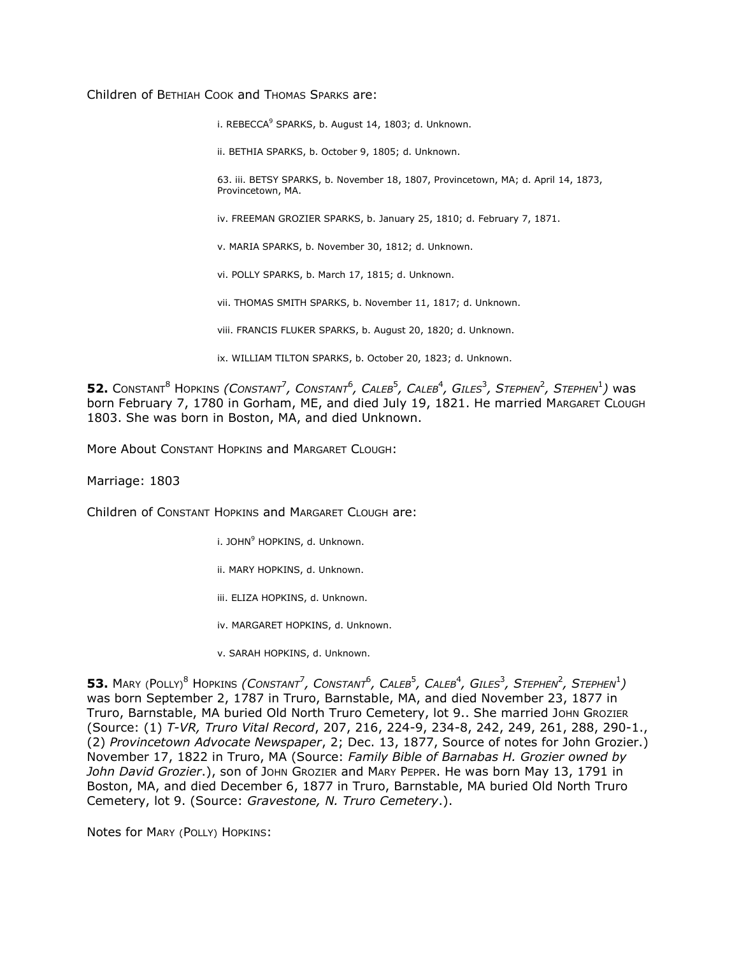Children of BETHIAH COOK and THOMAS SPARKS are:

i. REBECCA<sup>9</sup> SPARKS, b. August 14, 1803; d. Unknown.

ii. BETHIA SPARKS, b. October 9, 1805; d. Unknown.

63. iii. BETSY SPARKS, b. November 18, 1807, Provincetown, MA; d. April 14, 1873, Provincetown, MA.

iv. FREEMAN GROZIER SPARKS, b. January 25, 1810; d. February 7, 1871.

v. MARIA SPARKS, b. November 30, 1812; d. Unknown.

vi. POLLY SPARKS, b. March 17, 1815; d. Unknown.

vii. THOMAS SMITH SPARKS, b. November 11, 1817; d. Unknown.

viii. FRANCIS FLUKER SPARKS, b. August 20, 1820; d. Unknown.

ix. WILLIAM TILTON SPARKS, b. October 20, 1823; d. Unknown.

 $52.$  Constant<sup>8</sup> Hopkins *(Constant<sup>7</sup>, Constant<sup>6</sup>, Caleb<sup>5</sup>, Caleb<sup>4</sup>, Giles<sup>3</sup>, Stephen<sup>2</sup>, Stephen<sup>1</sup>) was* born February 7, 1780 in Gorham, ME, and died July 19, 1821. He married MARGARET CLOUGH 1803. She was born in Boston, MA, and died Unknown.

More About CONSTANT HOPKINS and MARGARET CLOUGH:

Marriage: 1803

Children of CONSTANT HOPKINS and MARGARET CLOUGH are:

i. JOHN<sup>9</sup> HOPKINS, d. Unknown.

ii. MARY HOPKINS, d. Unknown.

iii. ELIZA HOPKINS, d. Unknown.

iv. MARGARET HOPKINS, d. Unknown.

v. SARAH HOPKINS, d. Unknown.

 $53.$  Mary (Polly) $^8$  Hopkins *(Constant<sup>7</sup>, Constant<sup>6</sup>, Caleb<sup>5</sup>, Caleb<sup>4</sup>, Giles<sup>3</sup>, Stephen<sup>2</sup>, Stephen<sup>1</sup>)* was born September 2, 1787 in Truro, Barnstable, MA, and died November 23, 1877 in Truro, Barnstable, MA buried Old North Truro Cemetery, lot 9.. She married JOHN GROZIER (Source: (1) *T-VR, Truro Vital Record*, 207, 216, 224-9, 234-8, 242, 249, 261, 288, 290-1., (2) *Provincetown Advocate Newspaper*, 2; Dec. 13, 1877, Source of notes for John Grozier.) November 17, 1822 in Truro, MA (Source: *Family Bible of Barnabas H. Grozier owned by John David Grozier*.), son of JOHN GROZIER and MARY PEPPER. He was born May 13, 1791 in Boston, MA, and died December 6, 1877 in Truro, Barnstable, MA buried Old North Truro Cemetery, lot 9. (Source: *Gravestone, N. Truro Cemetery*.).

Notes for MARY (POLLY) HOPKINS: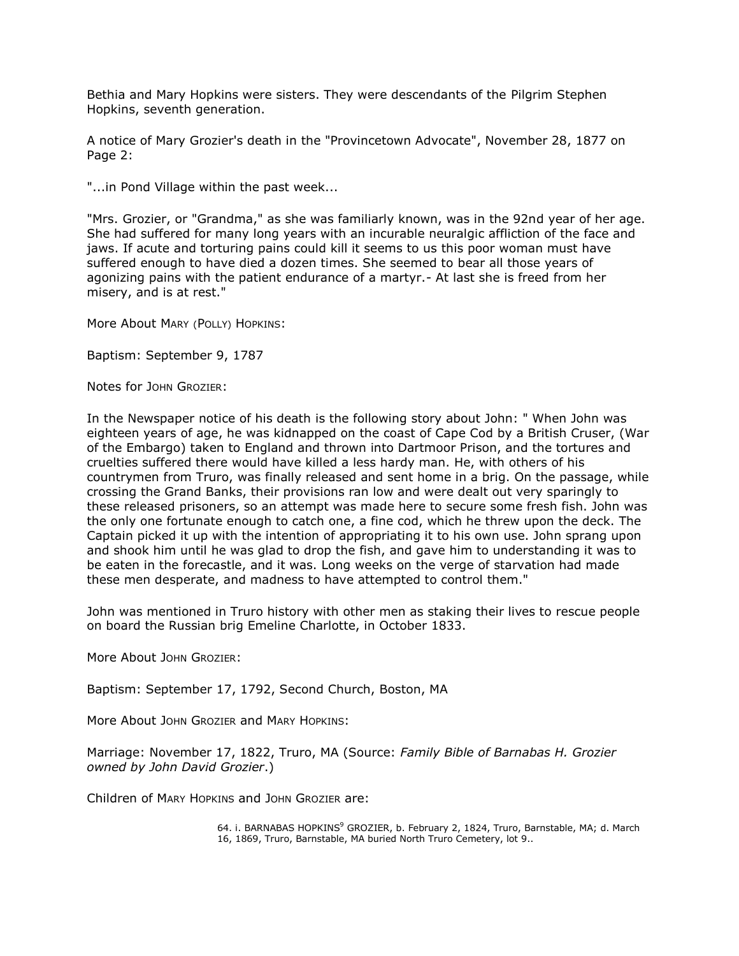Bethia and Mary Hopkins were sisters. They were descendants of the Pilgrim Stephen Hopkins, seventh generation.

A notice of Mary Grozier's death in the "Provincetown Advocate", November 28, 1877 on Page 2:

"...in Pond Village within the past week...

"Mrs. Grozier, or "Grandma," as she was familiarly known, was in the 92nd year of her age. She had suffered for many long years with an incurable neuralgic affliction of the face and jaws. If acute and torturing pains could kill it seems to us this poor woman must have suffered enough to have died a dozen times. She seemed to bear all those years of agonizing pains with the patient endurance of a martyr.- At last she is freed from her misery, and is at rest."

More About MARY (POLLY) HOPKINS:

Baptism: September 9, 1787

Notes for JOHN GROZIER:

In the Newspaper notice of his death is the following story about John: " When John was eighteen years of age, he was kidnapped on the coast of Cape Cod by a British Cruser, (War of the Embargo) taken to England and thrown into Dartmoor Prison, and the tortures and cruelties suffered there would have killed a less hardy man. He, with others of his countrymen from Truro, was finally released and sent home in a brig. On the passage, while crossing the Grand Banks, their provisions ran low and were dealt out very sparingly to these released prisoners, so an attempt was made here to secure some fresh fish. John was the only one fortunate enough to catch one, a fine cod, which he threw upon the deck. The Captain picked it up with the intention of appropriating it to his own use. John sprang upon and shook him until he was glad to drop the fish, and gave him to understanding it was to be eaten in the forecastle, and it was. Long weeks on the verge of starvation had made these men desperate, and madness to have attempted to control them."

John was mentioned in Truro history with other men as staking their lives to rescue people on board the Russian brig Emeline Charlotte, in October 1833.

More About JOHN GROZIER:

Baptism: September 17, 1792, Second Church, Boston, MA

More About JOHN GROZIER and MARY HOPKINS:

Marriage: November 17, 1822, Truro, MA (Source: *Family Bible of Barnabas H. Grozier owned by John David Grozier*.)

Children of MARY HOPKINS and JOHN GROZIER are:

64. i. BARNABAS HOPKINS<sup>9</sup> GROZIER, b. February 2, 1824, Truro, Barnstable, MA; d. March 16, 1869, Truro, Barnstable, MA buried North Truro Cemetery, lot 9..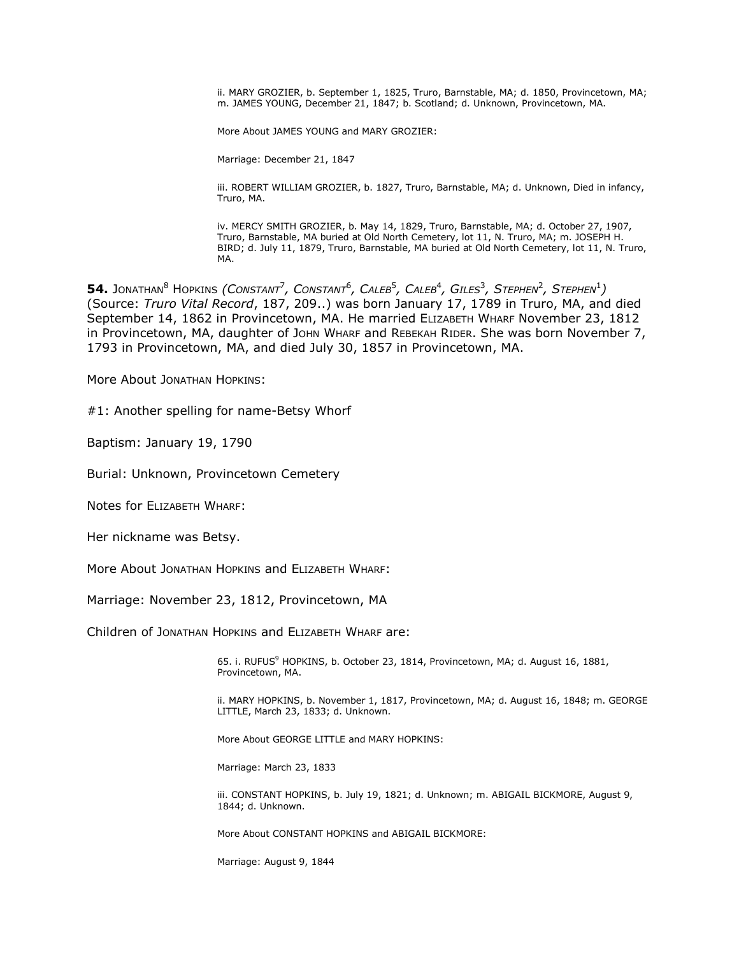ii. MARY GROZIER, b. September 1, 1825, Truro, Barnstable, MA; d. 1850, Provincetown, MA; m. JAMES YOUNG, December 21, 1847; b. Scotland; d. Unknown, Provincetown, MA.

More About JAMES YOUNG and MARY GROZIER:

Marriage: December 21, 1847

iii. ROBERT WILLIAM GROZIER, b. 1827, Truro, Barnstable, MA; d. Unknown, Died in infancy, Truro, MA.

iv. MERCY SMITH GROZIER, b. May 14, 1829, Truro, Barnstable, MA; d. October 27, 1907, Truro, Barnstable, MA buried at Old North Cemetery, lot 11, N. Truro, MA; m. JOSEPH H. BIRD; d. July 11, 1879, Truro, Barnstable, MA buried at Old North Cemetery, lot 11, N. Truro, MA.

 $\mathsf{54.}\;$  Jonathan $^8$  Hopkins *(Constant<sup>7</sup>, Constant* $^6$ *, Caleb* $^5$ *, Caleb* $^4$ *, Giles* $^3$ *, Stephen* $^2$ *, Stephen* $^1$ *)* (Source: *Truro Vital Record*, 187, 209..) was born January 17, 1789 in Truro, MA, and died September 14, 1862 in Provincetown, MA. He married ELIZABETH WHARF November 23, 1812 in Provincetown, MA, daughter of JOHN WHARF and REBEKAH RIDER. She was born November 7, 1793 in Provincetown, MA, and died July 30, 1857 in Provincetown, MA.

More About JONATHAN HOPKINS:

#1: Another spelling for name-Betsy Whorf

Baptism: January 19, 1790

Burial: Unknown, Provincetown Cemetery

Notes for ELIZABETH WHARF:

Her nickname was Betsy.

More About JONATHAN HOPKINS and ELIZABETH WHARF:

Marriage: November 23, 1812, Provincetown, MA

Children of JONATHAN HOPKINS and ELIZABETH WHARF are:

65. i. RUFUS<sup>9</sup> HOPKINS, b. October 23, 1814, Provincetown, MA; d. August 16, 1881, Provincetown, MA.

ii. MARY HOPKINS, b. November 1, 1817, Provincetown, MA; d. August 16, 1848; m. GEORGE LITTLE, March 23, 1833; d. Unknown.

More About GEORGE LITTLE and MARY HOPKINS:

Marriage: March 23, 1833

iii. CONSTANT HOPKINS, b. July 19, 1821; d. Unknown; m. ABIGAIL BICKMORE, August 9, 1844; d. Unknown.

More About CONSTANT HOPKINS and ABIGAIL BICKMORE:

Marriage: August 9, 1844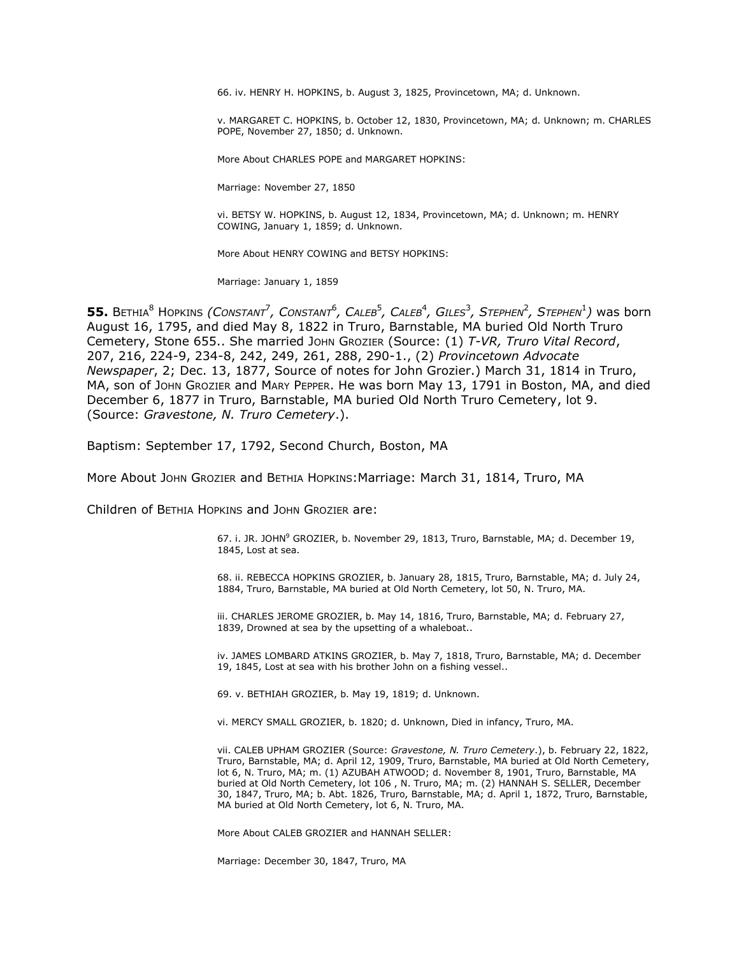66. iv. HENRY H. HOPKINS, b. August 3, 1825, Provincetown, MA; d. Unknown.

v. MARGARET C. HOPKINS, b. October 12, 1830, Provincetown, MA; d. Unknown; m. CHARLES POPE, November 27, 1850; d. Unknown.

More About CHARLES POPE and MARGARET HOPKINS:

Marriage: November 27, 1850

vi. BETSY W. HOPKINS, b. August 12, 1834, Provincetown, MA; d. Unknown; m. HENRY COWING, January 1, 1859; d. Unknown.

More About HENRY COWING and BETSY HOPKINS:

Marriage: January 1, 1859

 $55.$  Bethia<sup>8</sup> Hopkins *(Constant<sup>7</sup>, Constant<sup>6</sup>, Caleb<sup>5</sup>, Caleb<sup>4</sup>, Giles<sup>3</sup>, Stephen<sup>2</sup>, Stephen<sup>1</sup>) was born* August 16, 1795, and died May 8, 1822 in Truro, Barnstable, MA buried Old North Truro Cemetery, Stone 655.. She married JOHN GROZIER (Source: (1) *T-VR, Truro Vital Record*, 207, 216, 224-9, 234-8, 242, 249, 261, 288, 290-1., (2) *Provincetown Advocate Newspaper*, 2; Dec. 13, 1877, Source of notes for John Grozier.) March 31, 1814 in Truro, MA, son of JOHN GROZIER and MARY PEPPER. He was born May 13, 1791 in Boston, MA, and died December 6, 1877 in Truro, Barnstable, MA buried Old North Truro Cemetery, lot 9. (Source: *Gravestone, N. Truro Cemetery*.).

Baptism: September 17, 1792, Second Church, Boston, MA

More About JOHN GROZIER and BETHIA HOPKINS:Marriage: March 31, 1814, Truro, MA

Children of BETHIA HOPKINS and JOHN GROZIER are:

67. i. JR. JOHN<sup>9</sup> GROZIER, b. November 29, 1813, Truro, Barnstable, MA; d. December 19, 1845, Lost at sea.

68. ii. REBECCA HOPKINS GROZIER, b. January 28, 1815, Truro, Barnstable, MA; d. July 24, 1884, Truro, Barnstable, MA buried at Old North Cemetery, lot 50, N. Truro, MA.

iii. CHARLES JEROME GROZIER, b. May 14, 1816, Truro, Barnstable, MA; d. February 27, 1839, Drowned at sea by the upsetting of a whaleboat..

iv. JAMES LOMBARD ATKINS GROZIER, b. May 7, 1818, Truro, Barnstable, MA; d. December 19, 1845, Lost at sea with his brother John on a fishing vessel..

69. v. BETHIAH GROZIER, b. May 19, 1819; d. Unknown.

vi. MERCY SMALL GROZIER, b. 1820; d. Unknown, Died in infancy, Truro, MA.

vii. CALEB UPHAM GROZIER (Source: *Gravestone, N. Truro Cemetery*.), b. February 22, 1822, Truro, Barnstable, MA; d. April 12, 1909, Truro, Barnstable, MA buried at Old North Cemetery, lot 6, N. Truro, MA; m. (1) AZUBAH ATWOOD; d. November 8, 1901, Truro, Barnstable, MA buried at Old North Cemetery, lot 106 , N. Truro, MA; m. (2) HANNAH S. SELLER, December 30, 1847, Truro, MA; b. Abt. 1826, Truro, Barnstable, MA; d. April 1, 1872, Truro, Barnstable, MA buried at Old North Cemetery, lot 6, N. Truro, MA.

More About CALEB GROZIER and HANNAH SELLER:

Marriage: December 30, 1847, Truro, MA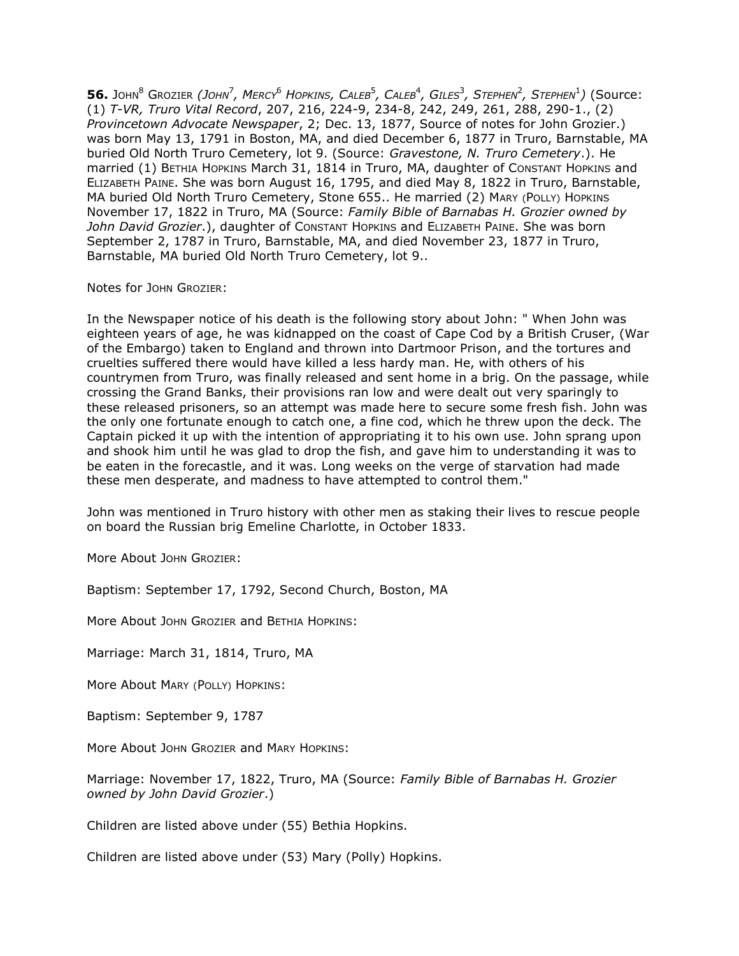56. John $^8$  Grozier *(John<sup>7</sup>, Mercy<sup>6</sup> Hopkins, Caleb<sup>5</sup>, Caleb<sup>4</sup>, Giles<sup>3</sup>, Stephen<sup>2</sup>, Stephen<sup>1</sup>) (Source:* (1) *T-VR, Truro Vital Record*, 207, 216, 224-9, 234-8, 242, 249, 261, 288, 290-1., (2) *Provincetown Advocate Newspaper*, 2; Dec. 13, 1877, Source of notes for John Grozier.) was born May 13, 1791 in Boston, MA, and died December 6, 1877 in Truro, Barnstable, MA buried Old North Truro Cemetery, lot 9. (Source: *Gravestone, N. Truro Cemetery*.). He married (1) BETHIA HOPKINS March 31, 1814 in Truro, MA, daughter of CONSTANT HOPKINS and ELIZABETH PAINE. She was born August 16, 1795, and died May 8, 1822 in Truro, Barnstable, MA buried Old North Truro Cemetery, Stone 655.. He married (2) MARY (POLLY) HOPKINS November 17, 1822 in Truro, MA (Source: *Family Bible of Barnabas H. Grozier owned by John David Grozier*.), daughter of CONSTANT HOPKINS and ELIZABETH PAINE. She was born September 2, 1787 in Truro, Barnstable, MA, and died November 23, 1877 in Truro, Barnstable, MA buried Old North Truro Cemetery, lot 9..

Notes for JOHN GROZIER:

In the Newspaper notice of his death is the following story about John: " When John was eighteen years of age, he was kidnapped on the coast of Cape Cod by a British Cruser, (War of the Embargo) taken to England and thrown into Dartmoor Prison, and the tortures and cruelties suffered there would have killed a less hardy man. He, with others of his countrymen from Truro, was finally released and sent home in a brig. On the passage, while crossing the Grand Banks, their provisions ran low and were dealt out very sparingly to these released prisoners, so an attempt was made here to secure some fresh fish. John was the only one fortunate enough to catch one, a fine cod, which he threw upon the deck. The Captain picked it up with the intention of appropriating it to his own use. John sprang upon and shook him until he was glad to drop the fish, and gave him to understanding it was to be eaten in the forecastle, and it was. Long weeks on the verge of starvation had made these men desperate, and madness to have attempted to control them."

John was mentioned in Truro history with other men as staking their lives to rescue people on board the Russian brig Emeline Charlotte, in October 1833.

More About JOHN GROZIER:

Baptism: September 17, 1792, Second Church, Boston, MA

More About JOHN GROZIER and BETHIA HOPKINS:

Marriage: March 31, 1814, Truro, MA

More About MARY (POLLY) HOPKINS:

Baptism: September 9, 1787

More About JOHN GROZIER and MARY HOPKINS:

Marriage: November 17, 1822, Truro, MA (Source: *Family Bible of Barnabas H. Grozier owned by John David Grozier*.)

Children are listed above under (55) Bethia Hopkins.

Children are listed above under (53) Mary (Polly) Hopkins.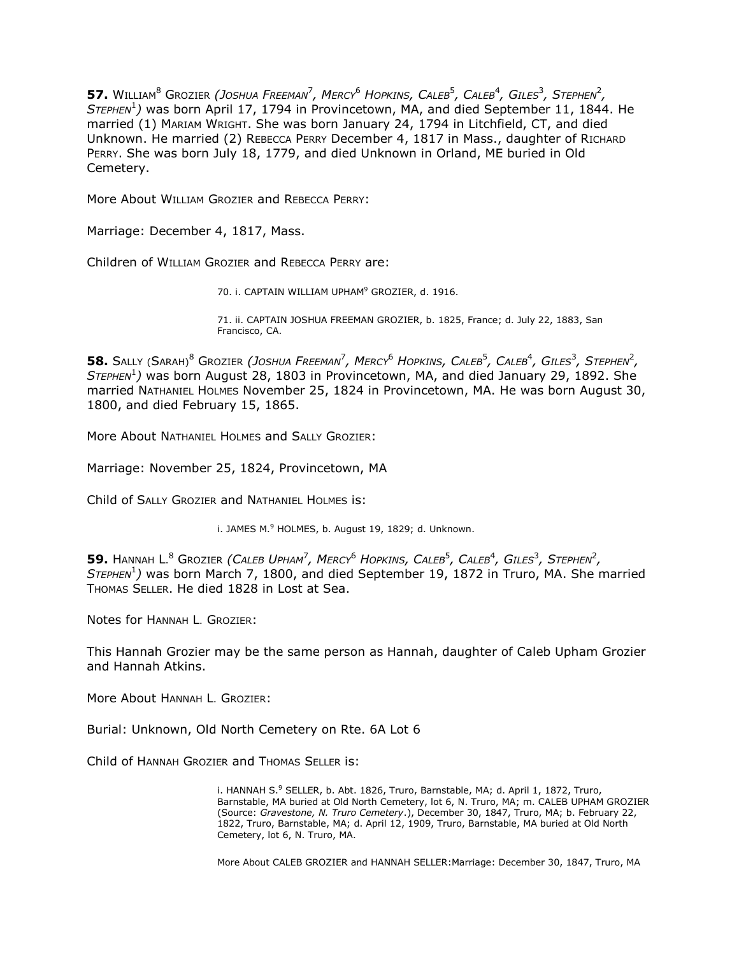**57.** WILLIAM<sup>8</sup> GROZIER *(JOSHUA FREEMAN*<sup>7</sup> *, MERCY*<sup>6</sup> *HOPKINS, CALEB*<sup>5</sup> *, CALEB*<sup>4</sup> *, GILES*<sup>3</sup> *, STEPHEN*<sup>2</sup> *, STEPHEN*<sup>1</sup> *)* was born April 17, 1794 in Provincetown, MA, and died September 11, 1844. He married (1) MARIAM WRIGHT. She was born January 24, 1794 in Litchfield, CT, and died Unknown. He married (2) REBECCA PERRY December 4, 1817 in Mass., daughter of RICHARD PERRY. She was born July 18, 1779, and died Unknown in Orland, ME buried in Old Cemetery.

More About WILLIAM GROZIER and REBECCA PERRY:

Marriage: December 4, 1817, Mass.

Children of WILLIAM GROZIER and REBECCA PERRY are:

70. i. CAPTAIN WILLIAM UPHAM<sup>9</sup> GROZIER, d. 1916.

71. ii. CAPTAIN JOSHUA FREEMAN GROZIER, b. 1825, France; d. July 22, 1883, San Francisco, CA.

**58.** Sally (Sarah) $^8$  Grozier *(Joshua Freeman<sup>7</sup>, Mercy* $^6$  *Hopkins, Caleb* $^5$ *, Caleb* $^4$ *, Giles* $^3$ *, Stephen* $^2$ *, STEPHEN*<sup>1</sup> *)* was born August 28, 1803 in Provincetown, MA, and died January 29, 1892. She married NATHANIEL HOLMES November 25, 1824 in Provincetown, MA. He was born August 30, 1800, and died February 15, 1865.

More About NATHANIEL HOLMES and SALLY GROZIER:

Marriage: November 25, 1824, Provincetown, MA

Child of SALLY GROZIER and NATHANIEL HOLMES is:

i. JAMES  $M<sup>9</sup>$  HOLMES, b. August 19, 1829; d. Unknown.

**59.** HANNAH L. <sup>8</sup> GROZIER *(CALEB UPHAM*<sup>7</sup> *, MERCY*<sup>6</sup> *HOPKINS, CALEB*<sup>5</sup> *, CALEB*<sup>4</sup> *, GILES*<sup>3</sup> *, STEPHEN*<sup>2</sup> *, STEPHEN*<sup>1</sup> *)* was born March 7, 1800, and died September 19, 1872 in Truro, MA. She married THOMAS SELLER. He died 1828 in Lost at Sea.

Notes for HANNAH L. GROZIER:

This Hannah Grozier may be the same person as Hannah, daughter of Caleb Upham Grozier and Hannah Atkins.

More About HANNAH L. GROZIER:

Burial: Unknown, Old North Cemetery on Rte. 6A Lot 6

Child of HANNAH GROZIER and THOMAS SELLER is:

i. HANNAH S. $9$  SELLER, b. Abt. 1826, Truro, Barnstable, MA; d. April 1, 1872, Truro, Barnstable, MA buried at Old North Cemetery, lot 6, N. Truro, MA; m. CALEB UPHAM GROZIER (Source: *Gravestone, N. Truro Cemetery*.), December 30, 1847, Truro, MA; b. February 22, 1822, Truro, Barnstable, MA; d. April 12, 1909, Truro, Barnstable, MA buried at Old North Cemetery, lot 6, N. Truro, MA.

More About CALEB GROZIER and HANNAH SELLER:Marriage: December 30, 1847, Truro, MA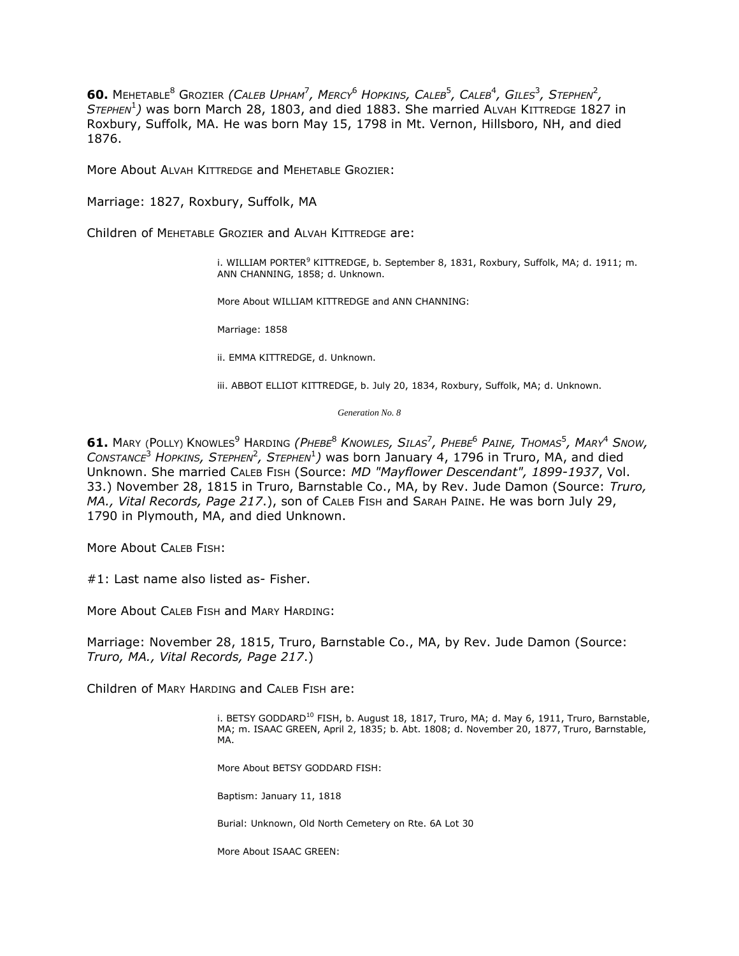**60.** Mehetable<sup>8</sup> Grozier *(Caleb Upham<sup>7</sup>, Mercy<sup>6</sup> Hopkins, Caleb<sup>5</sup>, Caleb<sup>4</sup>, Giles<sup>3</sup>, Stephen<sup>2</sup>, STEPHEN*<sup>1</sup> *)* was born March 28, 1803, and died 1883. She married ALVAH KITTREDGE 1827 in Roxbury, Suffolk, MA. He was born May 15, 1798 in Mt. Vernon, Hillsboro, NH, and died 1876.

More About ALVAH KITTREDGE and MEHETABLE GROZIER:

Marriage: 1827, Roxbury, Suffolk, MA

Children of MEHETABLE GROZIER and ALVAH KITTREDGE are:

i. WILLIAM PORTER<sup>9</sup> KITTREDGE, b. September 8, 1831, Roxbury, Suffolk, MA; d. 1911; m. ANN CHANNING, 1858; d. Unknown.

More About WILLIAM KITTREDGE and ANN CHANNING:

Marriage: 1858

ii. EMMA KITTREDGE, d. Unknown.

iii. ABBOT ELLIOT KITTREDGE, b. July 20, 1834, Roxbury, Suffolk, MA; d. Unknown.

*Generation No. 8*

**61.** MARY (POLLY) KNOWLES<sup>9</sup> HARDING *(PHEBE*<sup>8</sup> *KNOWLES, SILAS*<sup>7</sup> *, PHEBE*<sup>6</sup> *PAINE, THOMAS*<sup>5</sup> *, MARY*<sup>4</sup> *SNOW,*   $\alpha$ *CONSTANCE<sup>3</sup> HOPKINS, STEPHEN<sup>2</sup>, STEPHEN<sup>1</sup>) was born January 4, 1796 in Truro, MA, and died* Unknown. She married CALEB FISH (Source: *MD "Mayflower Descendant", 1899-1937*, Vol. 33.) November 28, 1815 in Truro, Barnstable Co., MA, by Rev. Jude Damon (Source: *Truro, MA., Vital Records, Page 217*.), son of CALEB FISH and SARAH PAINE. He was born July 29, 1790 in Plymouth, MA, and died Unknown.

More About CALEB FISH:

#1: Last name also listed as- Fisher.

More About CALEB FISH and MARY HARDING:

Marriage: November 28, 1815, Truro, Barnstable Co., MA, by Rev. Jude Damon (Source: *Truro, MA., Vital Records, Page 217*.)

Children of MARY HARDING and CALEB FISH are:

i. BETSY GODDARD<sup>10</sup> FISH, b. August 18, 1817, Truro, MA; d. May 6, 1911, Truro, Barnstable, MA; m. ISAAC GREEN, April 2, 1835; b. Abt. 1808; d. November 20, 1877, Truro, Barnstable, MA.

More About BETSY GODDARD FISH:

Baptism: January 11, 1818

Burial: Unknown, Old North Cemetery on Rte. 6A Lot 30

More About ISAAC GREEN: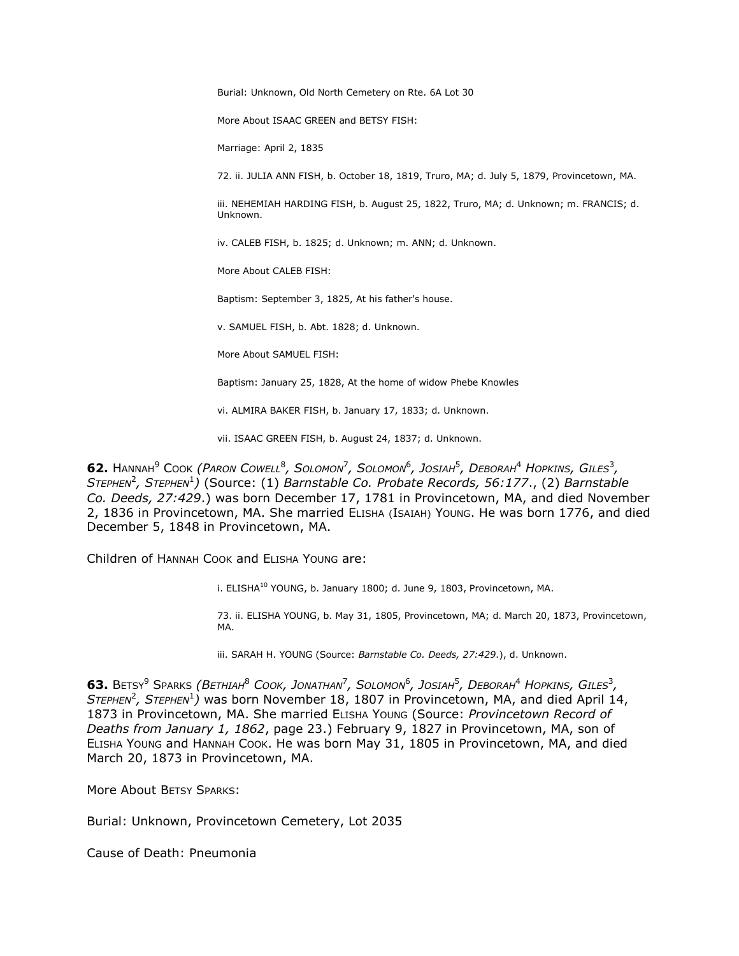Burial: Unknown, Old North Cemetery on Rte. 6A Lot 30

More About ISAAC GREEN and BETSY FISH:

Marriage: April 2, 1835

72. ii. JULIA ANN FISH, b. October 18, 1819, Truro, MA; d. July 5, 1879, Provincetown, MA.

iii. NEHEMIAH HARDING FISH, b. August 25, 1822, Truro, MA; d. Unknown; m. FRANCIS; d. Unknown.

iv. CALEB FISH, b. 1825; d. Unknown; m. ANN; d. Unknown.

More About CALEB FISH:

Baptism: September 3, 1825, At his father's house.

v. SAMUEL FISH, b. Abt. 1828; d. Unknown.

More About SAMUEL FISH:

Baptism: January 25, 1828, At the home of widow Phebe Knowles

vi. ALMIRA BAKER FISH, b. January 17, 1833; d. Unknown.

vii. ISAAC GREEN FISH, b. August 24, 1837; d. Unknown.

**62.** HANNAH<sup>9</sup> COOK *(PARON COWELL*<sup>8</sup> *, SOLOMON*<sup>7</sup> *, SOLOMON* 6 *, JOSIAH*<sup>5</sup> *, DEBORAH*<sup>4</sup> *HOPKINS, GILES*<sup>3</sup> *,*   $S$ *TEPHEN<sup>2</sup>*, STEPHEN<sup>1</sup>) (Source: (1) *Barnstable Co. Probate Records*, 56:177., (2) *Barnstable Co. Deeds, 27:429*.) was born December 17, 1781 in Provincetown, MA, and died November 2, 1836 in Provincetown, MA. She married ELISHA (ISAIAH) YOUNG. He was born 1776, and died December 5, 1848 in Provincetown, MA.

Children of HANNAH COOK and ELISHA YOUNG are:

i. ELISHA<sup>10</sup> YOUNG, b. January 1800; d. June 9, 1803, Provincetown, MA.

73. ii. ELISHA YOUNG, b. May 31, 1805, Provincetown, MA; d. March 20, 1873, Provincetown, MA.

iii. SARAH H. YOUNG (Source: *Barnstable Co. Deeds, 27:429*.), d. Unknown.

 $\bullet$  3. Betsy<sup>9</sup> Sparks *(Bethiah<sup>8</sup> Cook, Jonathan<sup>7</sup>, Solomon<sup>6</sup>, Josiah<sup>5</sup>, Deborah<sup>4</sup> Hopkins, Giles<sup>3</sup>,* STEPHEN<sup>2</sup>, STEPHEN<sup>1</sup>) was born November 18, 1807 in Provincetown, MA, and died April 14, 1873 in Provincetown, MA. She married ELISHA YOUNG (Source: *Provincetown Record of Deaths from January 1, 1862*, page 23.) February 9, 1827 in Provincetown, MA, son of ELISHA YOUNG and HANNAH COOK. He was born May 31, 1805 in Provincetown, MA, and died March 20, 1873 in Provincetown, MA.

More About BETSY SPARKS:

Burial: Unknown, Provincetown Cemetery, Lot 2035

Cause of Death: Pneumonia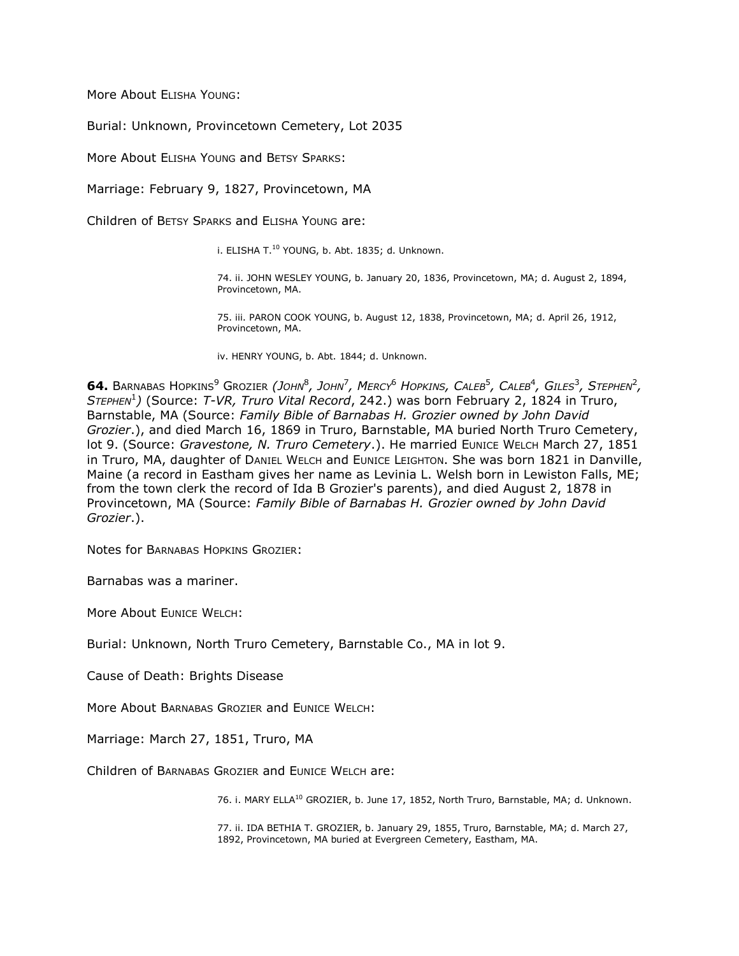More About ELISHA YOUNG:

Burial: Unknown, Provincetown Cemetery, Lot 2035

More About ELISHA YOUNG and BETSY SPARKS:

Marriage: February 9, 1827, Provincetown, MA

Children of BETSY SPARKS and ELISHA YOUNG are:

i. ELISHA T.<sup>10</sup> YOUNG, b. Abt. 1835; d. Unknown.

74. ii. JOHN WESLEY YOUNG, b. January 20, 1836, Provincetown, MA; d. August 2, 1894, Provincetown, MA.

75. iii. PARON COOK YOUNG, b. August 12, 1838, Provincetown, MA; d. April 26, 1912, Provincetown, MA.

iv. HENRY YOUNG, b. Abt. 1844; d. Unknown.

**64.** Barnabas Hopkins $^9$  Grozier *(John* $^8$ *, John* $^7$ *, Mercy* $^6$  *Hopkins, Caleb* $^5$ *, Caleb* $^4$ *, Giles* $^3$ *, Stephen* $^2$ *, STEPHEN*<sup>1</sup> *)* (Source: *T-VR, Truro Vital Record*, 242.) was born February 2, 1824 in Truro, Barnstable, MA (Source: *Family Bible of Barnabas H. Grozier owned by John David Grozier*.), and died March 16, 1869 in Truro, Barnstable, MA buried North Truro Cemetery, lot 9. (Source: Gravestone, N. Truro Cemetery.). He married EUNICE WELCH March 27, 1851 in Truro, MA, daughter of DANIEL WELCH and EUNICE LEIGHTON. She was born 1821 in Danville, Maine (a record in Eastham gives her name as Levinia L. Welsh born in Lewiston Falls, ME; from the town clerk the record of Ida B Grozier's parents), and died August 2, 1878 in Provincetown, MA (Source: *Family Bible of Barnabas H. Grozier owned by John David Grozier*.).

Notes for BARNABAS HOPKINS GROZIER:

Barnabas was a mariner.

More About EUNICE WELCH:

Burial: Unknown, North Truro Cemetery, Barnstable Co., MA in lot 9.

Cause of Death: Brights Disease

More About BARNABAS GROZIER and EUNICE WELCH:

Marriage: March 27, 1851, Truro, MA

Children of BARNABAS GROZIER and EUNICE WELCH are:

76. i. MARY ELLA<sup>10</sup> GROZIER, b. June 17, 1852, North Truro, Barnstable, MA; d. Unknown.

77. ii. IDA BETHIA T. GROZIER, b. January 29, 1855, Truro, Barnstable, MA; d. March 27, 1892, Provincetown, MA buried at Evergreen Cemetery, Eastham, MA.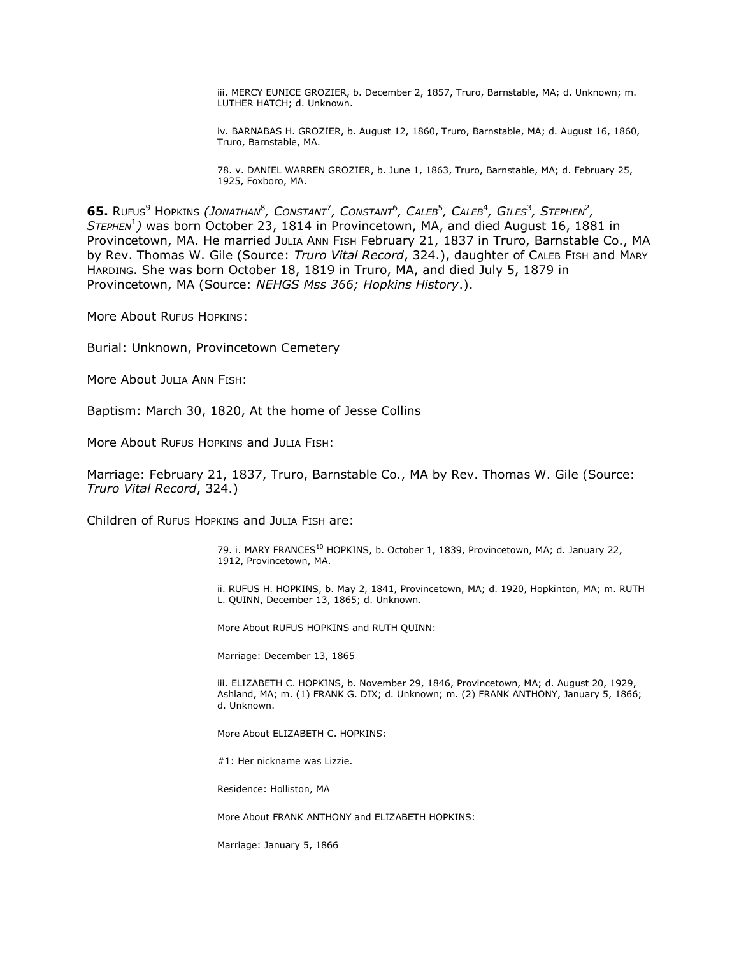iii. MERCY EUNICE GROZIER, b. December 2, 1857, Truro, Barnstable, MA; d. Unknown; m. LUTHER HATCH; d. Unknown.

iv. BARNABAS H. GROZIER, b. August 12, 1860, Truro, Barnstable, MA; d. August 16, 1860, Truro, Barnstable, MA.

78. v. DANIEL WARREN GROZIER, b. June 1, 1863, Truro, Barnstable, MA; d. February 25, 1925, Foxboro, MA.

65. Rufus<sup>9</sup> Hopkins *(Jonathan<sup>8</sup>, Constant<sup>7</sup>, Constant<sup>6</sup>, Caleb<sup>5</sup>, Caleb<sup>4</sup>, Giles<sup>3</sup>, Stephen<sup>2</sup>, STEPHEN*<sup>1</sup> *)* was born October 23, 1814 in Provincetown, MA, and died August 16, 1881 in Provincetown, MA. He married JULIA ANN FISH February 21, 1837 in Truro, Barnstable Co., MA by Rev. Thomas W. Gile (Source: *Truro Vital Record*, 324.), daughter of CALEB FISH and MARY HARDING. She was born October 18, 1819 in Truro, MA, and died July 5, 1879 in Provincetown, MA (Source: *NEHGS Mss 366; Hopkins History*.).

More About RUFUS HOPKINS:

Burial: Unknown, Provincetown Cemetery

More About JULIA ANN FISH:

Baptism: March 30, 1820, At the home of Jesse Collins

More About RUFUS HOPKINS and JULIA FISH:

Marriage: February 21, 1837, Truro, Barnstable Co., MA by Rev. Thomas W. Gile (Source: *Truro Vital Record*, 324.)

Children of RUFUS HOPKINS and JULIA FISH are:

79. i. MARY FRANCES<sup>10</sup> HOPKINS, b. October 1, 1839, Provincetown, MA; d. January 22, 1912, Provincetown, MA.

ii. RUFUS H. HOPKINS, b. May 2, 1841, Provincetown, MA; d. 1920, Hopkinton, MA; m. RUTH L. QUINN, December 13, 1865; d. Unknown.

More About RUFUS HOPKINS and RUTH QUINN:

Marriage: December 13, 1865

iii. ELIZABETH C. HOPKINS, b. November 29, 1846, Provincetown, MA; d. August 20, 1929, Ashland, MA; m. (1) FRANK G. DIX; d. Unknown; m. (2) FRANK ANTHONY, January 5, 1866; d. Unknown.

More About ELIZABETH C. HOPKINS:

#1: Her nickname was Lizzie.

Residence: Holliston, MA

More About FRANK ANTHONY and ELIZABETH HOPKINS:

Marriage: January 5, 1866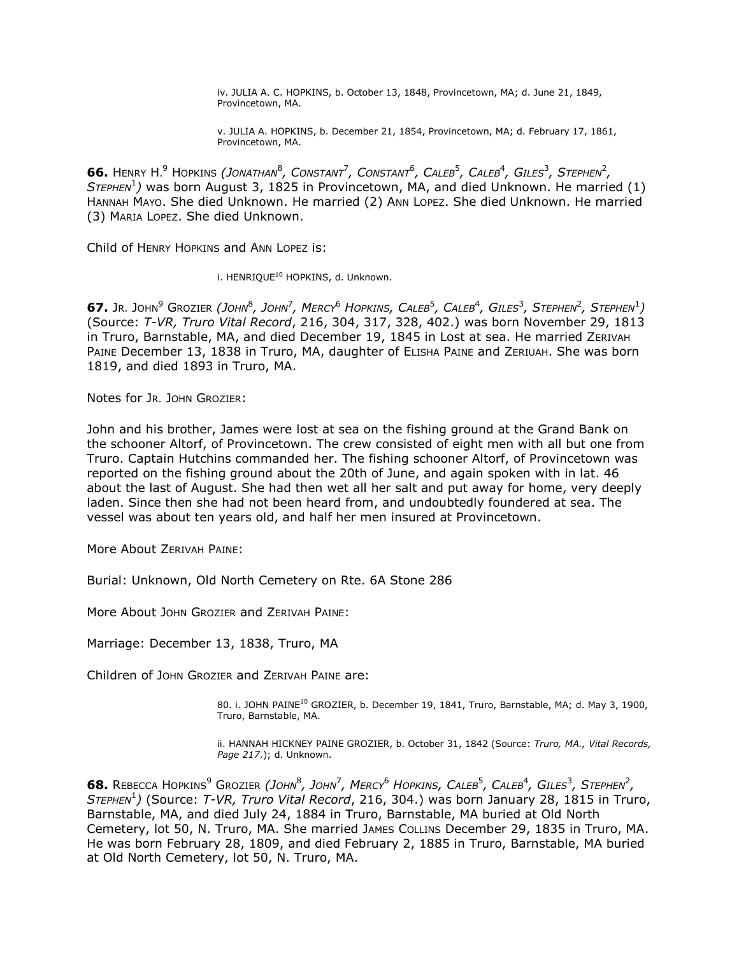iv. JULIA A. C. HOPKINS, b. October 13, 1848, Provincetown, MA; d. June 21, 1849, Provincetown, MA.

v. JULIA A. HOPKINS, b. December 21, 1854, Provincetown, MA; d. February 17, 1861, Provincetown, MA.

66. Henry H.<sup>9</sup> Hopkins *(Jonathan<sup>8</sup>, Constant<sup>7</sup>, Constant<sup>6</sup>, Caleb<sup>5</sup>, Caleb<sup>4</sup>, Giles<sup>3</sup>, Stephen<sup>2</sup>, STEPHEN*<sup>1</sup> *)* was born August 3, 1825 in Provincetown, MA, and died Unknown. He married (1) HANNAH MAYO. She died Unknown. He married (2) ANN LOPEZ. She died Unknown. He married (3) MARIA LOPEZ. She died Unknown.

Child of HENRY HOPKINS and ANN LOPEZ is:

i. HENRIQUE<sup>10</sup> HOPKINS, d. Unknown.

67. Jr. John $^9$  Grozier *(John* $^8$ *, John* $^7$ *, Mercy* $^6$  *Hopkins, Caleb* $^5$ *, Caleb* $^4$ *, Giles* $^3$ *, Stephen* $^2$ *, Stephen* $^1$ *)* (Source: *T-VR, Truro Vital Record*, 216, 304, 317, 328, 402.) was born November 29, 1813 in Truro, Barnstable, MA, and died December 19, 1845 in Lost at sea. He married ZERIVAH PAINE December 13, 1838 in Truro, MA, daughter of ELISHA PAINE and ZERIUAH. She was born 1819, and died 1893 in Truro, MA.

Notes for JR. JOHN GROZIER:

John and his brother, James were lost at sea on the fishing ground at the Grand Bank on the schooner Altorf, of Provincetown. The crew consisted of eight men with all but one from Truro. Captain Hutchins commanded her. The fishing schooner Altorf, of Provincetown was reported on the fishing ground about the 20th of June, and again spoken with in lat. 46 about the last of August. She had then wet all her salt and put away for home, very deeply laden. Since then she had not been heard from, and undoubtedly foundered at sea. The vessel was about ten years old, and half her men insured at Provincetown.

More About ZERIVAH PAINE:

Burial: Unknown, Old North Cemetery on Rte. 6A Stone 286

More About JOHN GROZIER and ZERIVAH PAINE:

Marriage: December 13, 1838, Truro, MA

Children of JOHN GROZIER and ZERIVAH PAINE are:

80. i. JOHN PAINE<sup>10</sup> GROZIER, b. December 19, 1841, Truro, Barnstable, MA; d. May 3, 1900, Truro, Barnstable, MA.

ii. HANNAH HICKNEY PAINE GROZIER, b. October 31, 1842 (Source: *Truro, MA., Vital Records, Page 217*.); d. Unknown.

**68.** Rebecca Hopkins<sup>9</sup> Grozier *(John<sup>8</sup>, John<sup>7</sup>, Mercy<sup>6</sup> Hopkins, Caleb<sup>5</sup>, Caleb<sup>4</sup>, Giles<sup>3</sup>, Stephen<sup>2</sup>, STEPHEN*<sup>1</sup> *)* (Source: *T-VR, Truro Vital Record*, 216, 304.) was born January 28, 1815 in Truro, Barnstable, MA, and died July 24, 1884 in Truro, Barnstable, MA buried at Old North Cemetery, lot 50, N. Truro, MA. She married JAMES COLLINS December 29, 1835 in Truro, MA. He was born February 28, 1809, and died February 2, 1885 in Truro, Barnstable, MA buried at Old North Cemetery, lot 50, N. Truro, MA.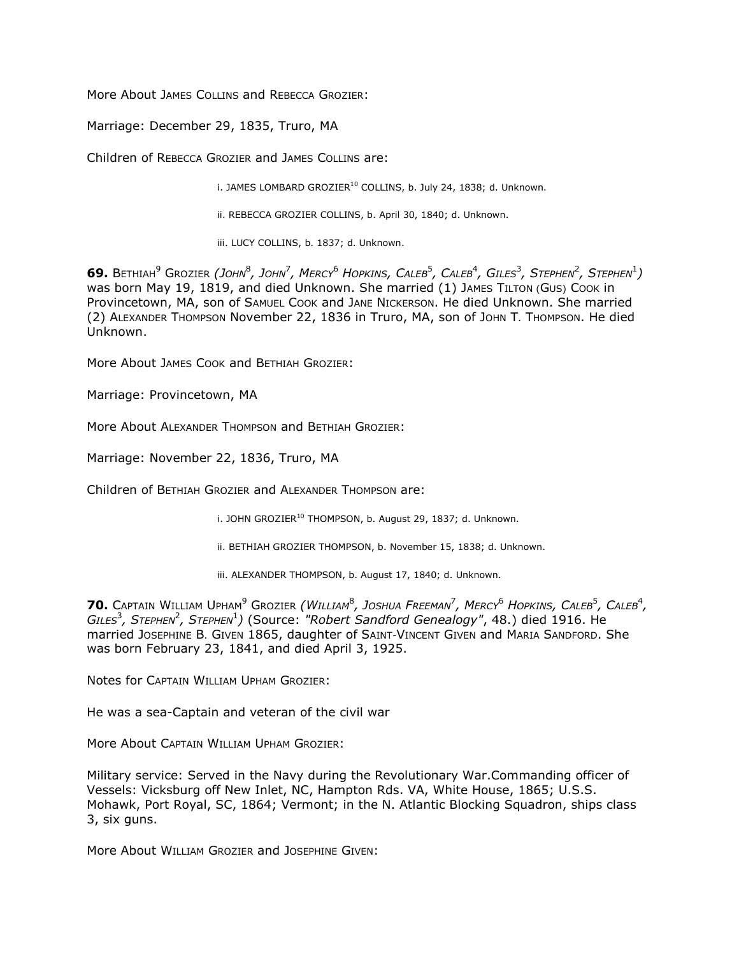More About JAMES COLLINS and REBECCA GROZIER:

Marriage: December 29, 1835, Truro, MA

Children of REBECCA GROZIER and JAMES COLLINS are:

i. JAMES LOMBARD GROZIER<sup>10</sup> COLLINS, b. July 24, 1838; d. Unknown.

ii. REBECCA GROZIER COLLINS, b. April 30, 1840; d. Unknown.

iii. LUCY COLLINS, b. 1837; d. Unknown.

69. Bethiah $^9$  Grozier *(John* $^8$ *, John* $^7$ *, Mercy* $^6$  *Hopkins, Caleb* $^5$ *, Caleb* $^4$ *, Giles* $^3$ *, Stephen* $^2$ *, Stephen* $^1)$ was born May 19, 1819, and died Unknown. She married (1) JAMES TILTON (GUS) COOK in Provincetown, MA, son of SAMUEL COOK and JANE NICKERSON. He died Unknown. She married (2) ALEXANDER THOMPSON November 22, 1836 in Truro, MA, son of JOHN T. THOMPSON. He died Unknown.

More About JAMES COOK and BETHIAH GROZIER:

Marriage: Provincetown, MA

More About ALEXANDER THOMPSON and BETHIAH GROZIER:

Marriage: November 22, 1836, Truro, MA

Children of BETHIAH GROZIER and ALEXANDER THOMPSON are:

i. JOHN GROZIER<sup>10</sup> THOMPSON, b. August 29, 1837; d. Unknown.

ii. BETHIAH GROZIER THOMPSON, b. November 15, 1838; d. Unknown.

iii. ALEXANDER THOMPSON, b. August 17, 1840; d. Unknown.

**70.** CAPTAIN WILLIAM UPHAM<sup>9</sup> GROZIER *(WILLIAM*<sup>8</sup> *, JOSHUA FREEMAN*<sup>7</sup> *, MERCY*<sup>6</sup> *HOPKINS, CALEB*<sup>5</sup> *, CALEB*<sup>4</sup> *,*   $GILES<sup>3</sup>$ , *Sтернем<sup>2</sup>*, *Sтернем*<sup>1</sup>) (Source: "Robert Sandford Genealogy", 48.) died 1916. He married JOSEPHINE B. GIVEN 1865, daughter of SAINT-VINCENT GIVEN and MARIA SANDFORD. She was born February 23, 1841, and died April 3, 1925.

Notes for CAPTAIN WILLIAM UPHAM GROZIER:

He was a sea-Captain and veteran of the civil war

More About CAPTAIN WILLIAM UPHAM GROZIER:

Military service: Served in the Navy during the Revolutionary War.Commanding officer of Vessels: Vicksburg off New Inlet, NC, Hampton Rds. VA, White House, 1865; U.S.S. Mohawk, Port Royal, SC, 1864; Vermont; in the N. Atlantic Blocking Squadron, ships class 3, six guns.

More About WILLIAM GROZIER and JOSEPHINE GIVEN: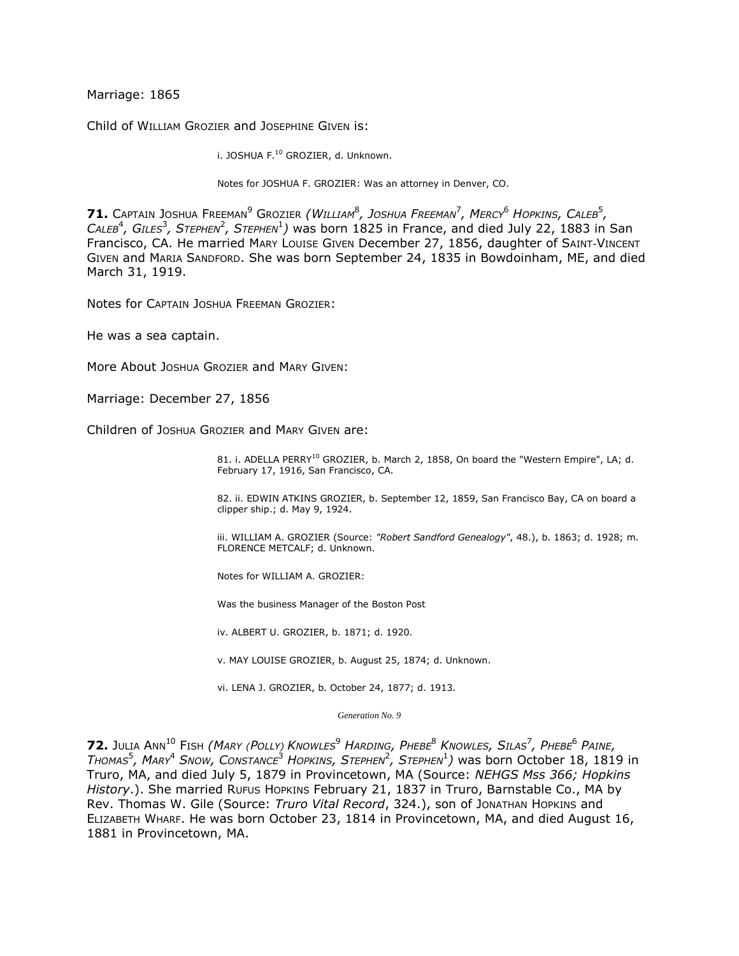Marriage: 1865

Child of WILLIAM GROZIER and JOSEPHINE GIVEN is:

i. JOSHUA F.<sup>10</sup> GROZIER, d. Unknown.

Notes for JOSHUA F. GROZIER: Was an attorney in Denver, CO.

**71.** CAPTAIN JOSHUA FREEMAN<sup>9</sup> GROZIER *(WILLIAM*<sup>8</sup> *, JOSHUA FREEMAN*<sup>7</sup> *, MERCY*<sup>6</sup> *HOPKINS, CALEB*<sup>5</sup> *,*  CALEB<sup>4</sup>, GILES<sup>3</sup>, STEPHEN<sup>2</sup>, STEPHEN<sup>1</sup>) was born 1825 in France, and died July 22, 1883 in San Francisco, CA. He married MARY LOUISE GIVEN December 27, 1856, daughter of SAINT-VINCENT GIVEN and MARIA SANDFORD. She was born September 24, 1835 in Bowdoinham, ME, and died March 31, 1919.

Notes for CAPTAIN JOSHUA FREEMAN GROZIER:

He was a sea captain.

More About JOSHUA GROZIER and MARY GIVEN:

Marriage: December 27, 1856

Children of JOSHUA GROZIER and MARY GIVEN are:

81. i. ADELLA PERRY<sup>10</sup> GROZIER, b. March 2, 1858, On board the "Western Empire", LA; d. February 17, 1916, San Francisco, CA.

82. ii. EDWIN ATKINS GROZIER, b. September 12, 1859, San Francisco Bay, CA on board a clipper ship.; d. May 9, 1924.

iii. WILLIAM A. GROZIER (Source: *"Robert Sandford Genealogy"*, 48.), b. 1863; d. 1928; m. FLORENCE METCALF; d. Unknown.

Notes for WILLIAM A. GROZIER:

Was the business Manager of the Boston Post

iv. ALBERT U. GROZIER, b. 1871; d. 1920.

v. MAY LOUISE GROZIER, b. August 25, 1874; d. Unknown.

vi. LENA J. GROZIER, b. October 24, 1877; d. 1913.

*Generation No. 9*

**72.** Julia Ann<sup>10</sup> Fish *(Mary (Polly) Knowles* $^9$  *Harding, Phebe* $^8$  *Knowles, Silas* $^7$ *, Phebe* $^6$  *Paine, THOMAS*<sup>5</sup> *, MARY*<sup>4</sup> *SNOW, CONSTANCE*<sup>3</sup> *HOPKINS, STEPHEN*<sup>2</sup> *, STEPHEN*<sup>1</sup> *)* was born October 18, 1819 in Truro, MA, and died July 5, 1879 in Provincetown, MA (Source: *NEHGS Mss 366; Hopkins History*.). She married RUFUS HOPKINS February 21, 1837 in Truro, Barnstable Co., MA by Rev. Thomas W. Gile (Source: *Truro Vital Record*, 324.), son of JONATHAN HOPKINS and ELIZABETH WHARF. He was born October 23, 1814 in Provincetown, MA, and died August 16, 1881 in Provincetown, MA.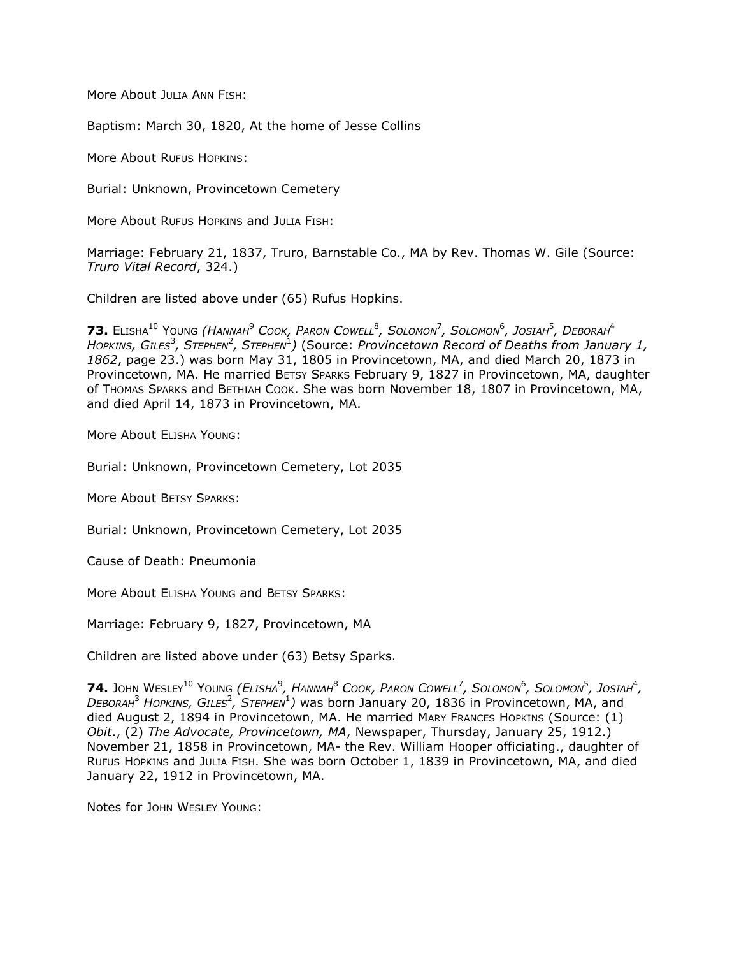More About JULIA ANN FISH:

Baptism: March 30, 1820, At the home of Jesse Collins

More About RUFUS HOPKINS:

Burial: Unknown, Provincetown Cemetery

More About RUFUS HOPKINS and JULIA FISH:

Marriage: February 21, 1837, Truro, Barnstable Co., MA by Rev. Thomas W. Gile (Source: *Truro Vital Record*, 324.)

Children are listed above under (65) Rufus Hopkins.

 $\bullet$  **73.** Elisha $^{10}$  Young *(Hannah* $^{9}$  *Cook, Paron Cowell* $^{8}$ *, Solomon* $^{7}$ *, Solomon* $^{6}$ *, Josiah* $^{5}$ *, Deborah* $^{4}$ *HOPKINS, GILES*<sup>3</sup> *, STEPHEN*<sup>2</sup> *, STEPHEN*<sup>1</sup> *)* (Source: *Provincetown Record of Deaths from January 1, 1862*, page 23.) was born May 31, 1805 in Provincetown, MA, and died March 20, 1873 in Provincetown, MA. He married BETSY SPARKS February 9, 1827 in Provincetown, MA, daughter of THOMAS SPARKS and BETHIAH COOK. She was born November 18, 1807 in Provincetown, MA, and died April 14, 1873 in Provincetown, MA.

More About ELISHA YOUNG:

Burial: Unknown, Provincetown Cemetery, Lot 2035

More About BETSY SPARKS:

Burial: Unknown, Provincetown Cemetery, Lot 2035

Cause of Death: Pneumonia

More About ELISHA YOUNG and BETSY SPARKS:

Marriage: February 9, 1827, Provincetown, MA

Children are listed above under (63) Betsy Sparks.

 $74$ , John Wesley $^{10}$  Young *(Elisha* $^9$ *, Hannah* $^8$  *Cook, Paron Cowell* $^7$ *, Solomon* $^6$ *, Solomon* $^5$ *, Josiah* $^4$ *, DEBORAH*<sup>3</sup> *HOPKINS, GILES*<sup>2</sup> *, STEPHEN*<sup>1</sup> *)* was born January 20, 1836 in Provincetown, MA, and died August 2, 1894 in Provincetown, MA. He married MARY FRANCES HOPKINS (Source: (1) *Obit*., (2) *The Advocate, Provincetown, MA*, Newspaper, Thursday, January 25, 1912.) November 21, 1858 in Provincetown, MA- the Rev. William Hooper officiating., daughter of RUFUS HOPKINS and JULIA FISH. She was born October 1, 1839 in Provincetown, MA, and died January 22, 1912 in Provincetown, MA.

Notes for JOHN WESLEY YOUNG: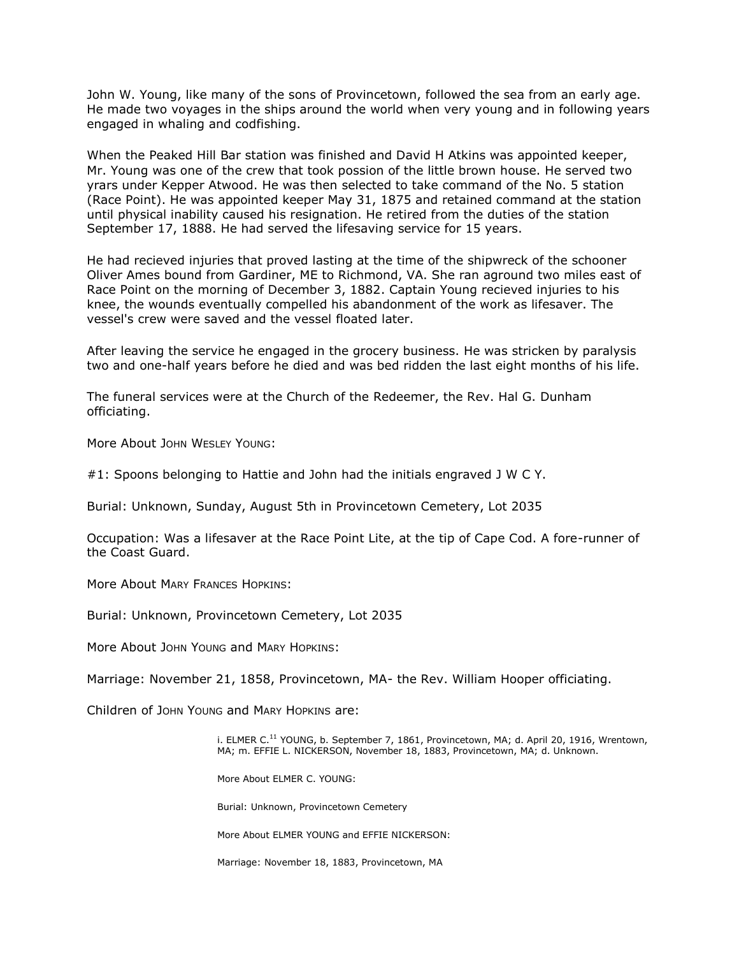John W. Young, like many of the sons of Provincetown, followed the sea from an early age. He made two voyages in the ships around the world when very young and in following years engaged in whaling and codfishing.

When the Peaked Hill Bar station was finished and David H Atkins was appointed keeper, Mr. Young was one of the crew that took possion of the little brown house. He served two yrars under Kepper Atwood. He was then selected to take command of the No. 5 station (Race Point). He was appointed keeper May 31, 1875 and retained command at the station until physical inability caused his resignation. He retired from the duties of the station September 17, 1888. He had served the lifesaving service for 15 years.

He had recieved injuries that proved lasting at the time of the shipwreck of the schooner Oliver Ames bound from Gardiner, ME to Richmond, VA. She ran aground two miles east of Race Point on the morning of December 3, 1882. Captain Young recieved injuries to his knee, the wounds eventually compelled his abandonment of the work as lifesaver. The vessel's crew were saved and the vessel floated later.

After leaving the service he engaged in the grocery business. He was stricken by paralysis two and one-half years before he died and was bed ridden the last eight months of his life.

The funeral services were at the Church of the Redeemer, the Rev. Hal G. Dunham officiating.

More About JOHN WESLEY YOUNG:

#1: Spoons belonging to Hattie and John had the initials engraved J W C Y.

Burial: Unknown, Sunday, August 5th in Provincetown Cemetery, Lot 2035

Occupation: Was a lifesaver at the Race Point Lite, at the tip of Cape Cod. A fore-runner of the Coast Guard.

More About MARY FRANCES HOPKINS:

Burial: Unknown, Provincetown Cemetery, Lot 2035

More About JOHN YOUNG and MARY HOPKINS:

Marriage: November 21, 1858, Provincetown, MA- the Rev. William Hooper officiating.

Children of JOHN YOUNG and MARY HOPKINS are:

i. ELMER  $C<sup>11</sup>$  YOUNG, b. September 7, 1861, Provincetown, MA; d. April 20, 1916, Wrentown, MA; m. EFFIE L. NICKERSON, November 18, 1883, Provincetown, MA; d. Unknown.

More About ELMER C. YOUNG:

Burial: Unknown, Provincetown Cemetery

More About ELMER YOUNG and EFFIE NICKERSON:

Marriage: November 18, 1883, Provincetown, MA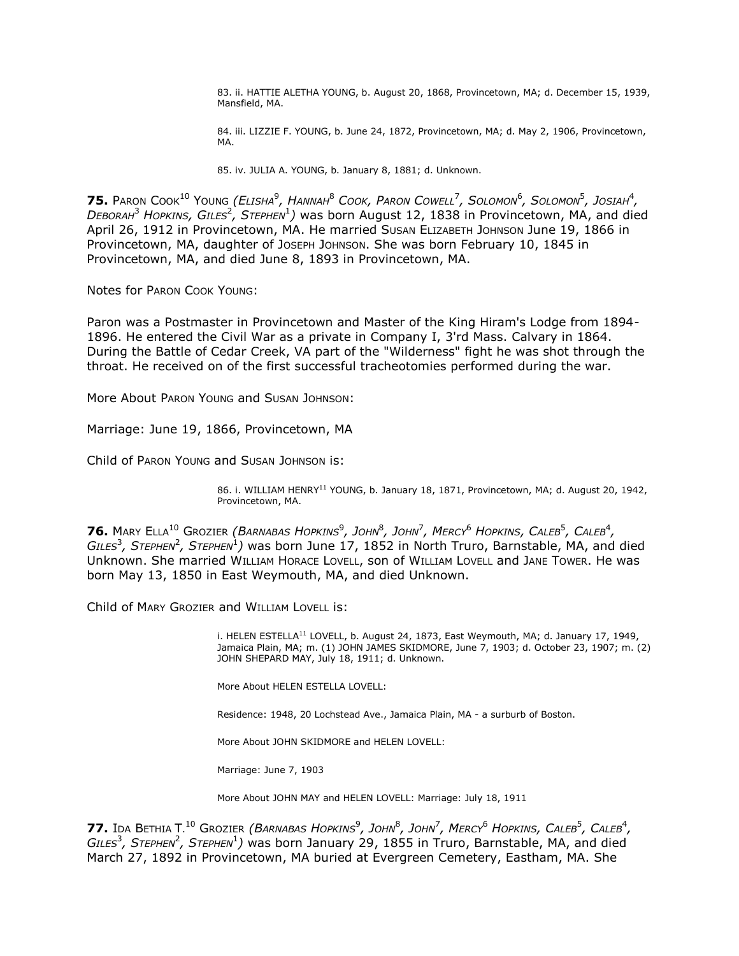83. ii. HATTIE ALETHA YOUNG, b. August 20, 1868, Provincetown, MA; d. December 15, 1939, Mansfield, MA.

84. iii. LIZZIE F. YOUNG, b. June 24, 1872, Provincetown, MA; d. May 2, 1906, Provincetown, MA.

85. iv. JULIA A. YOUNG, b. January 8, 1881; d. Unknown.

 $75.$  Paron Cook $^{10}$  Young *(Elisha* $^9$ *, Hannah* $^8$  *Cook, Paron Cowell<sup>7</sup>, Solomon* $^6$ *, Solomon* $^5$ *, Josiah* $^4$ *, DEBORAH*<sup>3</sup> *HOPKINS, GILES*<sup>2</sup> *, STEPHEN*<sup>1</sup> *)* was born August 12, 1838 in Provincetown, MA, and died April 26, 1912 in Provincetown, MA. He married Susan ELIZABETH JOHNSON June 19, 1866 in Provincetown, MA, daughter of JOSEPH JOHNSON. She was born February 10, 1845 in Provincetown, MA, and died June 8, 1893 in Provincetown, MA.

Notes for PARON COOK YOUNG:

Paron was a Postmaster in Provincetown and Master of the King Hiram's Lodge from 1894- 1896. He entered the Civil War as a private in Company I, 3'rd Mass. Calvary in 1864. During the Battle of Cedar Creek, VA part of the "Wilderness" fight he was shot through the throat. He received on of the first successful tracheotomies performed during the war.

More About PARON YOUNG and SUSAN JOHNSON:

Marriage: June 19, 1866, Provincetown, MA

Child of PARON YOUNG and SUSAN JOHNSON is:

86. i. WILLIAM HENRY<sup>11</sup> YOUNG, b. January 18, 1871, Provincetown, MA; d. August 20, 1942, Provincetown, MA.

 $\bm{76}$ . Mary Ella<sup>10</sup> Grozier *(Barnabas Hopkins* $^9$ *, John* $^8$ *, John* $^7$ *, Mercy* $^6$  *Hopkins, Caleb* $^5$ *, Caleb* $^4$ *,* GILES<sup>3</sup>, Sтернем<sup>2</sup>, Sтернем<sup>1</sup>) was born June 17, 1852 in North Truro, Barnstable, MA, and died Unknown. She married WILLIAM HORACE LOVELL, son of WILLIAM LOVELL and JANE TOWER. He was born May 13, 1850 in East Weymouth, MA, and died Unknown.

Child of MARY GROZIER and WILLIAM LOVELL is:

i. HELEN ESTELLA<sup>11</sup> LOVELL, b. August 24, 1873, East Weymouth, MA; d. January 17, 1949, Jamaica Plain, MA; m. (1) JOHN JAMES SKIDMORE, June 7, 1903; d. October 23, 1907; m. (2) JOHN SHEPARD MAY, July 18, 1911; d. Unknown.

More About HELEN ESTELLA LOVELL:

Residence: 1948, 20 Lochstead Ave., Jamaica Plain, MA - a surburb of Boston.

More About JOHN SKIDMORE and HELEN LOVELL:

Marriage: June 7, 1903

More About JOHN MAY and HELEN LOVELL: Marriage: July 18, 1911

**77.** Ida Bethia T. $^{10}$  Grozier *(Barnabas Hopkins* $^9$ *, John* $^8$ *, John* $^7$ *, Mercy* $^6$  *Hopkins, Caleb* $^5$ *, Caleb* $^4$ *,*  $GILES<sup>3</sup>$ , *Sтернем<sup>2</sup>*, *Sтернем*<sup>1</sup>) was born January 29, 1855 in Truro, Barnstable, MA, and died March 27, 1892 in Provincetown, MA buried at Evergreen Cemetery, Eastham, MA. She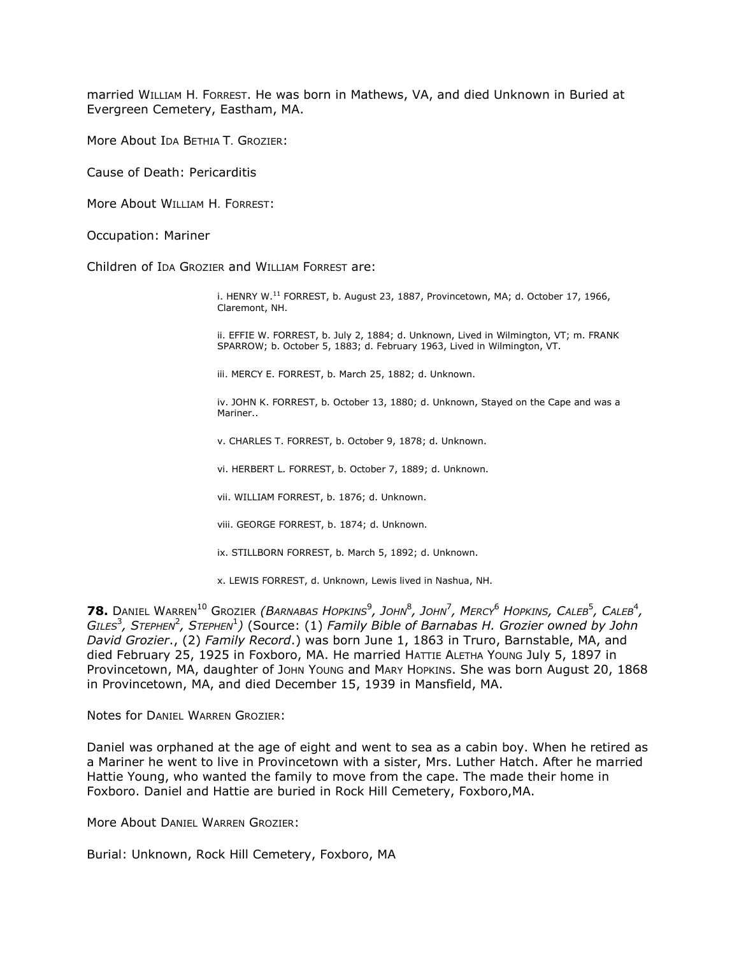married WILLIAM H. FORREST. He was born in Mathews, VA, and died Unknown in Buried at Evergreen Cemetery, Eastham, MA.

More About IDA BETHIA T. GROZIER:

Cause of Death: Pericarditis

More About WILLIAM H. FORREST:

Occupation: Mariner

Children of IDA GROZIER and WILLIAM FORREST are:

i. HENRY W.<sup>11</sup> FORREST, b. August 23, 1887, Provincetown, MA; d. October 17, 1966, Claremont, NH.

ii. EFFIE W. FORREST, b. July 2, 1884; d. Unknown, Lived in Wilmington, VT; m. FRANK SPARROW; b. October 5, 1883; d. February 1963, Lived in Wilmington, VT.

iii. MERCY E. FORREST, b. March 25, 1882; d. Unknown.

iv. JOHN K. FORREST, b. October 13, 1880; d. Unknown, Stayed on the Cape and was a Mariner..

v. CHARLES T. FORREST, b. October 9, 1878; d. Unknown.

vi. HERBERT L. FORREST, b. October 7, 1889; d. Unknown.

vii. WILLIAM FORREST, b. 1876; d. Unknown.

viii. GEORGE FORREST, b. 1874; d. Unknown.

ix. STILLBORN FORREST, b. March 5, 1892; d. Unknown.

x. LEWIS FORREST, d. Unknown, Lewis lived in Nashua, NH.

**78.** Daniel Warren $^{10}$  Grozier *(Barnabas Hopkins* $^9$ *, John* $^8$ *, John* $^7$ *, Mercy* $^6$  *Hopkins, Caleb* $^5$ *, Caleb* $^4$ *,*  $GILES<sup>3</sup>$ , Sтернем<sup>2</sup>, Sтернем<sup>1</sup>) (Source: (1) *Family Bible of Barnabas H. Grozier owned by John David Grozier*., (2) *Family Record*.) was born June 1, 1863 in Truro, Barnstable, MA, and died February 25, 1925 in Foxboro, MA. He married HATTIE ALETHA YOUNG July 5, 1897 in Provincetown, MA, daughter of John Young and MARY HOPKINS. She was born August 20, 1868 in Provincetown, MA, and died December 15, 1939 in Mansfield, MA.

Notes for DANIEL WARREN GROZIER:

Daniel was orphaned at the age of eight and went to sea as a cabin boy. When he retired as a Mariner he went to live in Provincetown with a sister, Mrs. Luther Hatch. After he married Hattie Young, who wanted the family to move from the cape. The made their home in Foxboro. Daniel and Hattie are buried in Rock Hill Cemetery, Foxboro,MA.

More About DANIEL WARREN GROZIER:

Burial: Unknown, Rock Hill Cemetery, Foxboro, MA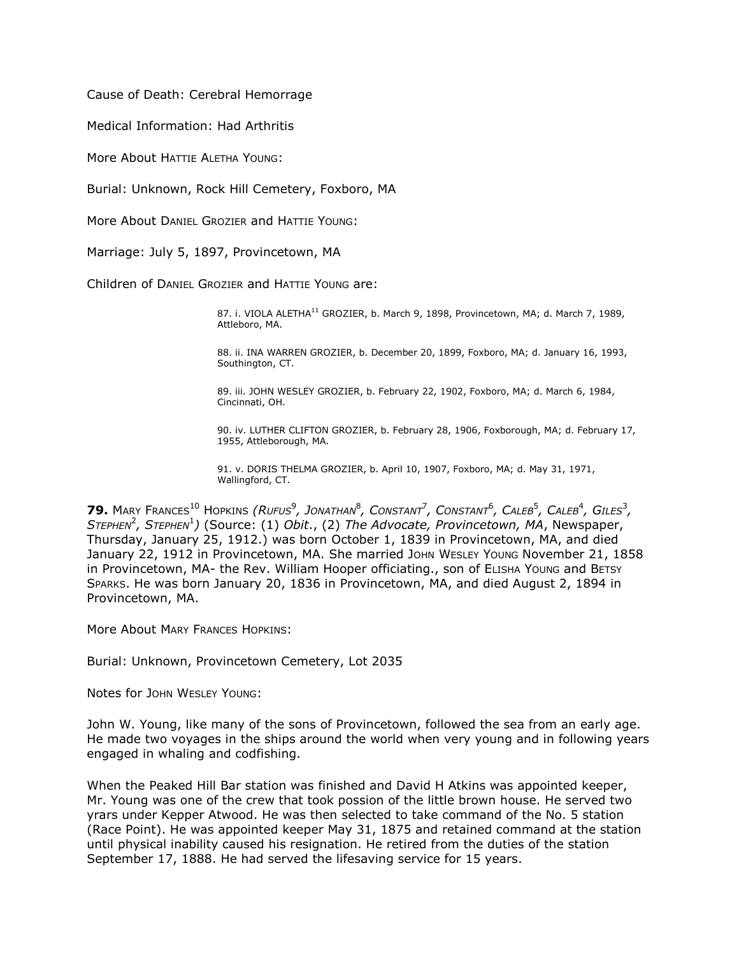Cause of Death: Cerebral Hemorrage

Medical Information: Had Arthritis

More About HATTIE ALETHA YOUNG:

Burial: Unknown, Rock Hill Cemetery, Foxboro, MA

More About DANIEL GROZIER and HATTIE YOUNG:

Marriage: July 5, 1897, Provincetown, MA

Children of DANIEL GROZIER and HATTIE YOUNG are:

87. i. VIOLA ALETHA<sup>11</sup> GROZIER, b. March 9, 1898, Provincetown, MA; d. March 7, 1989, Attleboro, MA.

88. ii. INA WARREN GROZIER, b. December 20, 1899, Foxboro, MA; d. January 16, 1993, Southington, CT.

89. iii. JOHN WESLEY GROZIER, b. February 22, 1902, Foxboro, MA; d. March 6, 1984, Cincinnati, OH.

90. iv. LUTHER CLIFTON GROZIER, b. February 28, 1906, Foxborough, MA; d. February 17, 1955, Attleborough, MA.

91. v. DORIS THELMA GROZIER, b. April 10, 1907, Foxboro, MA; d. May 31, 1971, Wallingford, CT.

 $79.$  Mary Frances<sup>10</sup> Hopkins *(Rufus* $^9$ *, Jonathan* $^8$ *, Constant<sup>7</sup>, Constant<sup>6</sup>, Caleb<sup>5</sup>, Caleb<sup>4</sup>, Giles* $^3$ *,* S<sup>TEPHEN<sup>2</sup>, STEPHEN<sup>1</sup>) (Source: (1) *Obit.*, (2) *The Advocate, Provincetown, MA*, Newspaper,</sup> Thursday, January 25, 1912.) was born October 1, 1839 in Provincetown, MA, and died January 22, 1912 in Provincetown, MA. She married John WESLEY Young November 21, 1858 in Provincetown, MA- the Rev. William Hooper officiating., son of ELISHA YOUNG and BETSY SPARKS. He was born January 20, 1836 in Provincetown, MA, and died August 2, 1894 in Provincetown, MA.

More About MARY FRANCES HOPKINS:

Burial: Unknown, Provincetown Cemetery, Lot 2035

Notes for JOHN WESLEY YOUNG:

John W. Young, like many of the sons of Provincetown, followed the sea from an early age. He made two voyages in the ships around the world when very young and in following years engaged in whaling and codfishing.

When the Peaked Hill Bar station was finished and David H Atkins was appointed keeper, Mr. Young was one of the crew that took possion of the little brown house. He served two yrars under Kepper Atwood. He was then selected to take command of the No. 5 station (Race Point). He was appointed keeper May 31, 1875 and retained command at the station until physical inability caused his resignation. He retired from the duties of the station September 17, 1888. He had served the lifesaving service for 15 years.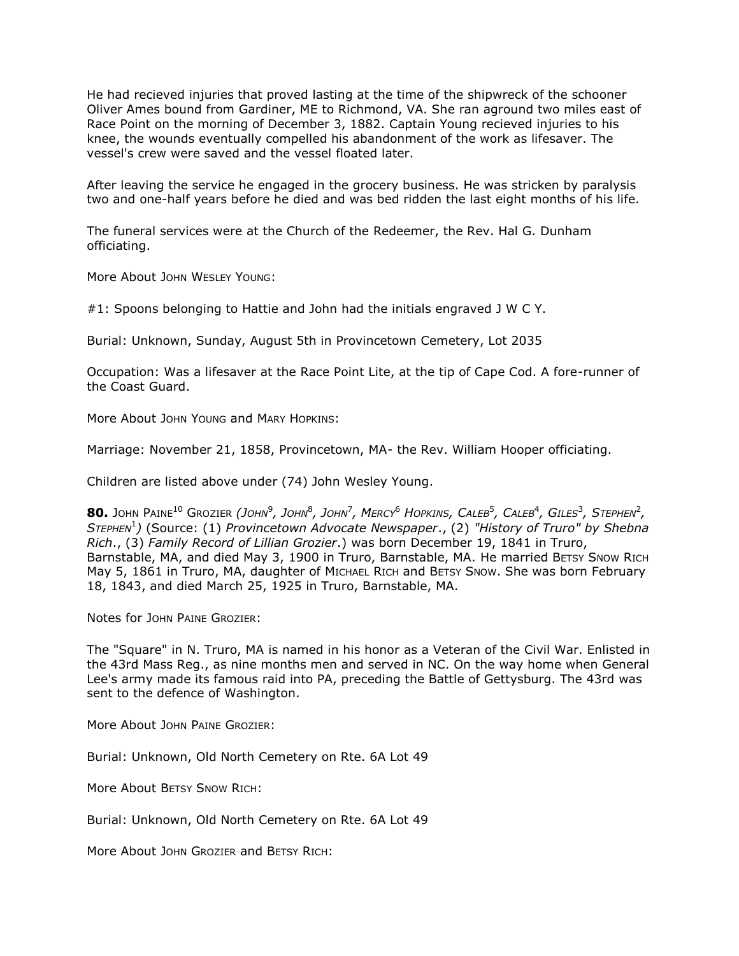He had recieved injuries that proved lasting at the time of the shipwreck of the schooner Oliver Ames bound from Gardiner, ME to Richmond, VA. She ran aground two miles east of Race Point on the morning of December 3, 1882. Captain Young recieved injuries to his knee, the wounds eventually compelled his abandonment of the work as lifesaver. The vessel's crew were saved and the vessel floated later.

After leaving the service he engaged in the grocery business. He was stricken by paralysis two and one-half years before he died and was bed ridden the last eight months of his life.

The funeral services were at the Church of the Redeemer, the Rev. Hal G. Dunham officiating.

More About JOHN WESLEY YOUNG:

#1: Spoons belonging to Hattie and John had the initials engraved J W C Y.

Burial: Unknown, Sunday, August 5th in Provincetown Cemetery, Lot 2035

Occupation: Was a lifesaver at the Race Point Lite, at the tip of Cape Cod. A fore-runner of the Coast Guard.

More About JOHN YOUNG and MARY HOPKINS:

Marriage: November 21, 1858, Provincetown, MA- the Rev. William Hooper officiating.

Children are listed above under (74) John Wesley Young.

 ${\bf 80.}$  John Paine $^{10}$  Grozier *(John* $^9$ *, John* $^8$ *, John* $^7$ *, Mercy* $^6$  *Hopkins, Caleb* $^5$ *, Caleb* $^4$ *, Giles* $^3$ *, Stephen* $^2$ *, STEPHEN*<sup>1</sup> *)* (Source: (1) *Provincetown Advocate Newspaper*., (2) *"History of Truro" by Shebna Rich*., (3) *Family Record of Lillian Grozier*.) was born December 19, 1841 in Truro, Barnstable, MA, and died May 3, 1900 in Truro, Barnstable, MA. He married BETSY SNOW RICH May 5, 1861 in Truro, MA, daughter of MICHAEL RICH and BETSY SNOW. She was born February 18, 1843, and died March 25, 1925 in Truro, Barnstable, MA.

Notes for JOHN PAINE GROZIER:

The "Square" in N. Truro, MA is named in his honor as a Veteran of the Civil War. Enlisted in the 43rd Mass Reg., as nine months men and served in NC. On the way home when General Lee's army made its famous raid into PA, preceding the Battle of Gettysburg. The 43rd was sent to the defence of Washington.

More About JOHN PAINE GROZIER:

Burial: Unknown, Old North Cemetery on Rte. 6A Lot 49

More About BETSY SNOW RICH:

Burial: Unknown, Old North Cemetery on Rte. 6A Lot 49

More About JOHN GROZIER and BETSY RICH: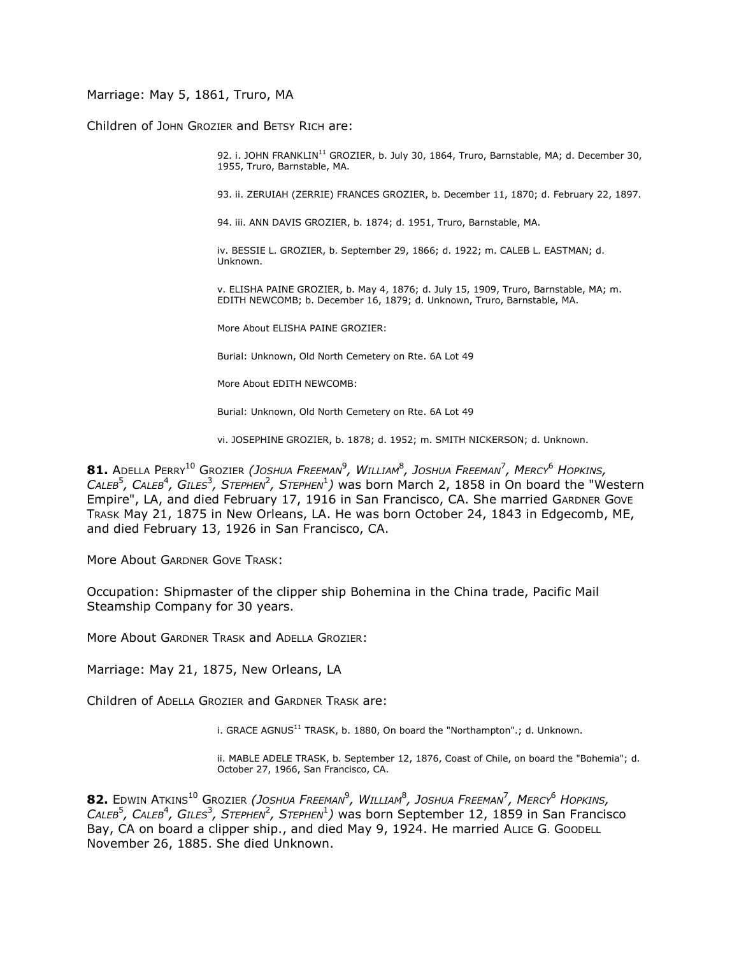Marriage: May 5, 1861, Truro, MA

Children of JOHN GROZIER and BETSY RICH are:

92. i. JOHN FRANKLIN<sup>11</sup> GROZIER, b. July 30, 1864, Truro, Barnstable, MA; d. December 30, 1955, Truro, Barnstable, MA.

93. ii. ZERUIAH (ZERRIE) FRANCES GROZIER, b. December 11, 1870; d. February 22, 1897.

94. iii. ANN DAVIS GROZIER, b. 1874; d. 1951, Truro, Barnstable, MA.

iv. BESSIE L. GROZIER, b. September 29, 1866; d. 1922; m. CALEB L. EASTMAN; d. Unknown.

v. ELISHA PAINE GROZIER, b. May 4, 1876; d. July 15, 1909, Truro, Barnstable, MA; m. EDITH NEWCOMB; b. December 16, 1879; d. Unknown, Truro, Barnstable, MA.

More About ELISHA PAINE GROZIER:

Burial: Unknown, Old North Cemetery on Rte. 6A Lot 49

More About EDITH NEWCOMB:

Burial: Unknown, Old North Cemetery on Rte. 6A Lot 49

vi. JOSEPHINE GROZIER, b. 1878; d. 1952; m. SMITH NICKERSON; d. Unknown.

 $\bm{81.}$  Adella Perry $^{10}$  Grozier *(Joshua Freeman* $^9$ *, William* $^8$ *, Joshua Freeman* $^7$ *, Mercy* $^6$  *Hopkins,* CALEB<sup>5</sup>, CALEB<sup>4</sup>, GILES<sup>3</sup>, STEPHEN<sup>2</sup>, STEPHEN<sup>1</sup>) was born March 2, 1858 in On board the "Western Empire", LA, and died February 17, 1916 in San Francisco, CA. She married GARDNER GOVE TRASK May 21, 1875 in New Orleans, LA. He was born October 24, 1843 in Edgecomb, ME, and died February 13, 1926 in San Francisco, CA.

More About GARDNER GOVE TRASK:

Occupation: Shipmaster of the clipper ship Bohemina in the China trade, Pacific Mail Steamship Company for 30 years.

More About GARDNER TRASK and ADELLA GROZIER:

Marriage: May 21, 1875, New Orleans, LA

Children of ADELLA GROZIER and GARDNER TRASK are:

i. GRACE AGNUS $^{11}$  TRASK, b. 1880, On board the "Northampton".; d. Unknown.

ii. MABLE ADELE TRASK, b. September 12, 1876, Coast of Chile, on board the "Bohemia"; d. October 27, 1966, San Francisco, CA.

 $\bullet$  **82.** Edwin Atkins $^{10}$  Grozier *(Joshua Freeman* $^9$ *, William* $^8$ *, Joshua Freeman* $^7$ *, Mercy* $^6$  *Hopkins, .* CALEB<sup>5</sup>, CALEB<sup>4</sup>, GILES<sup>3</sup>, STEPHEN<sup>2</sup>, STEPHEN<sup>1</sup>) was born September 12, 1859 in San Francisco Bay, CA on board a clipper ship., and died May 9, 1924. He married ALICE G. GOODELL November 26, 1885. She died Unknown.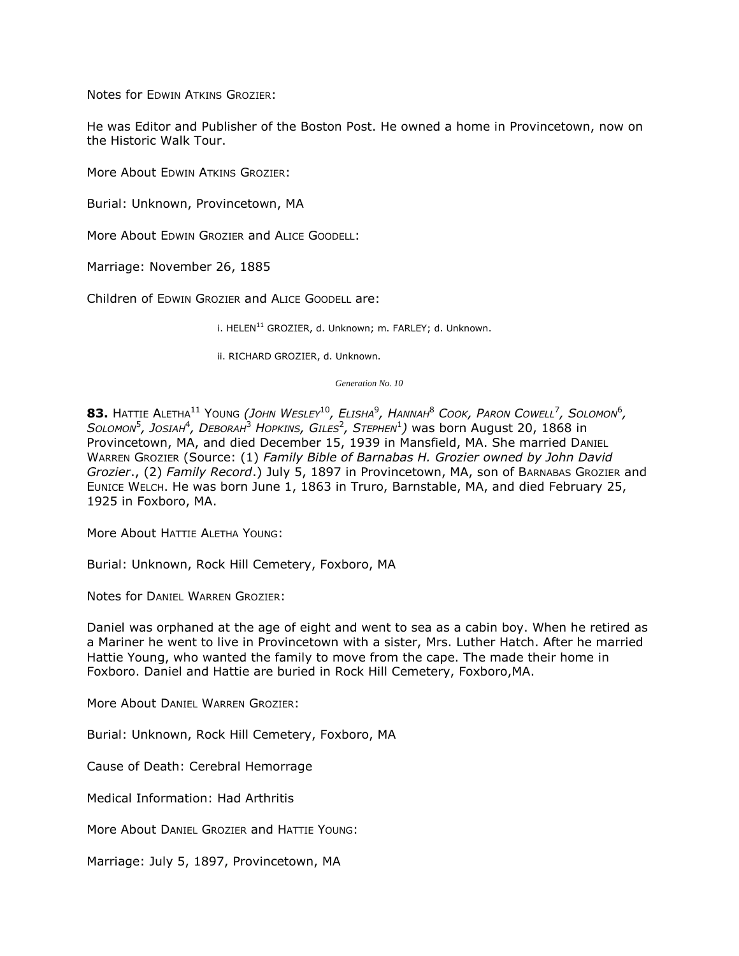Notes for EDWIN ATKINS GROZIER:

He was Editor and Publisher of the Boston Post. He owned a home in Provincetown, now on the Historic Walk Tour.

More About EDWIN ATKINS GROZIER:

Burial: Unknown, Provincetown, MA

More About EDWIN GROZIER and ALICE GOODELL:

Marriage: November 26, 1885

Children of EDWIN GROZIER and ALICE GOODELL are:

i.  $HELEN<sup>11</sup>$  GROZIER, d. Unknown; m. FARLEY; d. Unknown.

ii. RICHARD GROZIER, d. Unknown.

*Generation No. 10*

 $\bullet$  **83.** Hattie Aletha $^{11}$  Young *(John Wesley* $^{10}$ *, Elisha* $^{9}$ *, Hannah* $^{8}$  *Cook, Paron Cowell* $^{7}$ *, Solomon* $^{6}$ *,*  $S$ *OLOMON* $^5$ *, JOSIAH* $^4$ *, DEBORAH* $^3$  *HOPKINS, GILES* $^2$ *, STEPHEN* $^1$ *) was born August 20, 1868 in* Provincetown, MA, and died December 15, 1939 in Mansfield, MA. She married DANIEL WARREN GROZIER (Source: (1) *Family Bible of Barnabas H. Grozier owned by John David Grozier*., (2) *Family Record*.) July 5, 1897 in Provincetown, MA, son of BARNABAS GROZIER and EUNICE WELCH. He was born June 1, 1863 in Truro, Barnstable, MA, and died February 25, 1925 in Foxboro, MA.

More About HATTIE ALETHA YOUNG:

Burial: Unknown, Rock Hill Cemetery, Foxboro, MA

Notes for DANIEL WARREN GROZIER:

Daniel was orphaned at the age of eight and went to sea as a cabin boy. When he retired as a Mariner he went to live in Provincetown with a sister, Mrs. Luther Hatch. After he married Hattie Young, who wanted the family to move from the cape. The made their home in Foxboro. Daniel and Hattie are buried in Rock Hill Cemetery, Foxboro,MA.

More About DANIEL WARREN GROZIER:

Burial: Unknown, Rock Hill Cemetery, Foxboro, MA

Cause of Death: Cerebral Hemorrage

Medical Information: Had Arthritis

More About DANIEL GROZIER and HATTIE YOUNG:

Marriage: July 5, 1897, Provincetown, MA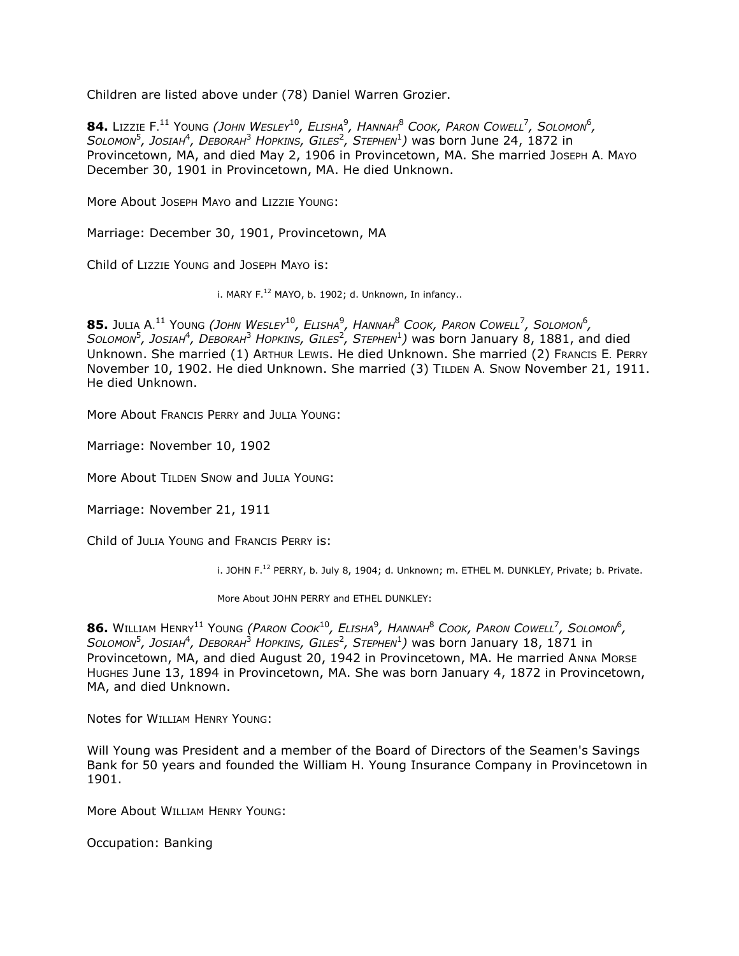Children are listed above under (78) Daniel Warren Grozier.

 $84$ . Lizzie F. $^{11}$  Young *(John Wesley* $^{10}$ *, Elisha* $^9$ *, Hannah* $^8$  *Cook, Paron Cowell* $^7$ *, Solomon* $^6$ *,*  $S$ *OLOMON<sup>5</sup>*, JOSIAH<sup>4</sup>, DEBORAH<sup>3</sup> HOPKINS, GILES<sup>2</sup>, STEPHEN<sup>1</sup>) was born June 24, 1872 in Provincetown, MA, and died May 2, 1906 in Provincetown, MA. She married JOSEPH A. MAYO December 30, 1901 in Provincetown, MA. He died Unknown.

More About JOSEPH MAYO and LIZZIE YOUNG:

Marriage: December 30, 1901, Provincetown, MA

Child of LIZZIE YOUNG and JOSEPH MAYO is:

i. MARY  $F^{12}$  MAYO, b. 1902; d. Unknown, In infancy..

 $\bm{85.}$  Julia A. $^{11}$  Young *(John Wesley* $^{10}$ *, Elisha* $^9$ *, Hannah* $^8$  *Cook, Paron Cowell* $^7$ *, Solomon* $^6$ *, SOLOMON*<sup>5</sup> *, JOSIAH*<sup>4</sup> *, DEBORAH*<sup>3</sup> *HOPKINS, GILES*<sup>2</sup> *, STEPHEN*<sup>1</sup> *)* was born January 8, 1881, and died Unknown. She married (1) ARTHUR LEWIS. He died Unknown. She married (2) FRANCIS E. PERRY November 10, 1902. He died Unknown. She married (3) TILDEN A. SNOW November 21, 1911. He died Unknown.

More About FRANCIS PERRY and JULIA YOUNG:

Marriage: November 10, 1902

More About TILDEN SNOW and JULIA YOUNG:

Marriage: November 21, 1911

Child of JULIA YOUNG and FRANCIS PERRY is:

i. JOHN F.<sup>12</sup> PERRY, b. July 8, 1904; d. Unknown; m. ETHEL M. DUNKLEY, Private; b. Private.

More About JOHN PERRY and ETHEL DUNKLEY:

 $\,$  **86.** William Henry $^{11}$  Young *(Paron Cook* $^{10}$ *, Elisha* $^9$ *, Hannah* $^8$  *Cook, Paron Cowell<sup>7</sup>, Solomon* $^6$ *,*  $S$ *OLOMON* $^5$ *, JOSIAH* $^4$ *, DEBORAH* $^3$  *HOPKINS, GILES* $^2$ *, STEPHEN* $^1$ *) was born January 18, 1871 in* Provincetown, MA, and died August 20, 1942 in Provincetown, MA. He married ANNA MORSE HUGHES June 13, 1894 in Provincetown, MA. She was born January 4, 1872 in Provincetown, MA, and died Unknown.

Notes for WILLIAM HENRY YOUNG:

Will Young was President and a member of the Board of Directors of the Seamen's Savings Bank for 50 years and founded the William H. Young Insurance Company in Provincetown in 1901.

More About WILLIAM HENRY YOUNG:

Occupation: Banking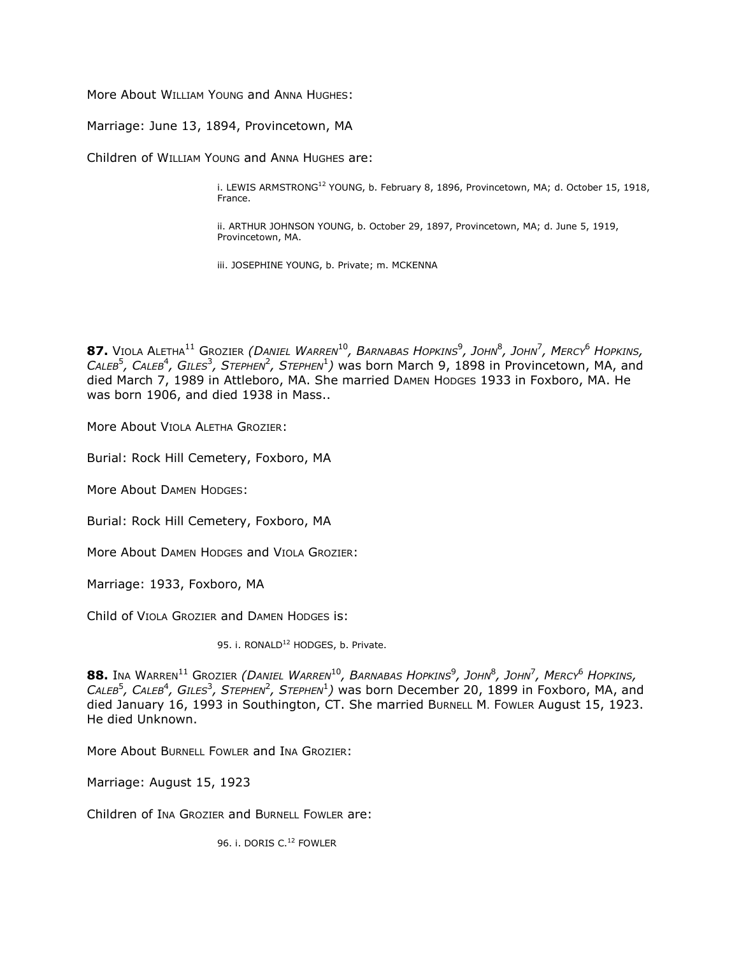More About WILLIAM YOUNG and ANNA HUGHES:

Marriage: June 13, 1894, Provincetown, MA

Children of WILLIAM YOUNG and ANNA HUGHES are:

i. LEWIS ARMSTRONG<sup>12</sup> YOUNG, b. February 8, 1896, Provincetown, MA; d. October 15, 1918, France.

ii. ARTHUR JOHNSON YOUNG, b. October 29, 1897, Provincetown, MA; d. June 5, 1919, Provincetown, MA.

iii. JOSEPHINE YOUNG, b. Private; m. MCKENNA

**87.** VIOLA ALETHA<sup>11</sup> GROZIER *(DANIEL WARREN*<sup>10</sup>*, BARNABAS HOPKINS*<sup>9</sup> *, JOHN*<sup>8</sup> *, JOHN*<sup>7</sup> *, MERCY*<sup>6</sup> *HOPKINS,*  CALEB<sup>5</sup>, CALEB<sup>4</sup>, GILES<sup>3</sup>, STEPHEN<sup>2</sup>, STEPHEN<sup>1</sup>) was born March 9, 1898 in Provincetown, MA, and died March 7, 1989 in Attleboro, MA. She married DAMEN HODGES 1933 in Foxboro, MA. He was born 1906, and died 1938 in Mass..

More About VIOLA ALETHA GROZIER:

Burial: Rock Hill Cemetery, Foxboro, MA

More About DAMEN HODGES:

Burial: Rock Hill Cemetery, Foxboro, MA

More About DAMEN HODGES and VIOLA GROZIER:

Marriage: 1933, Foxboro, MA

Child of VIOLA GROZIER and DAMEN HODGES is:

95. i. RONALD<sup>12</sup> HODGES, b. Private.

 $\,$   $\,$  88. Ina Warren $^{11}$  Grozier *(Daniel Warren* $^{10}$ *, Barnabas Hopkins* $^9$ *, John* $^8$ *, John* $^7$ *, Mercy* $^6$  *Hopkins,* CALEB<sup>5</sup>, CALEB<sup>4</sup>, GILES<sup>3</sup>, STEPHEN<sup>2</sup>, STEPHEN<sup>1</sup>) was born December 20, 1899 in Foxboro, MA, and died January 16, 1993 in Southington, CT. She married BURNELL M. FOWLER August 15, 1923. He died Unknown.

More About BURNELL FOWLER and INA GROZIER:

Marriage: August 15, 1923

Children of INA GROZIER and BURNELL FOWLER are:

96. i. DORIS C.<sup>12</sup> FOWLER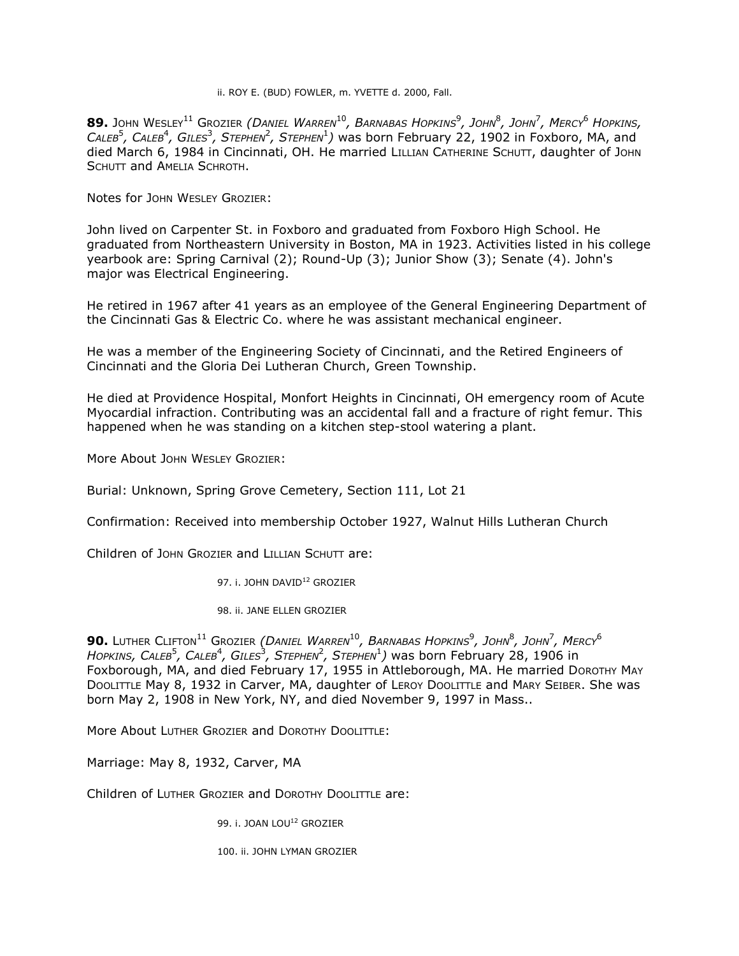### ii. ROY E. (BUD) FOWLER, m. YVETTE d. 2000, Fall.

 $\bullet$  **89.** John Wesley $^{11}$  Grozier *(Daniel Warren* $^{10}$ *, Barnabas Hopkins* $^9$ *, John* $^8$ *, John* $^7$ *, Mercy* $^6$  *Hopkins,* CALEB<sup>5</sup>, CALEB<sup>4</sup>, GILES<sup>3</sup>, STEPHEN<sup>2</sup>, STEPHEN<sup>1</sup>) was born February 22, 1902 in Foxboro, MA, and died March 6, 1984 in Cincinnati, OH. He married LILLIAN CATHERINE SCHUTT, daughter of JOHN SCHUTT and AMELIA SCHROTH.

Notes for JOHN WESLEY GROZIER:

John lived on Carpenter St. in Foxboro and graduated from Foxboro High School. He graduated from Northeastern University in Boston, MA in 1923. Activities listed in his college yearbook are: Spring Carnival (2); Round-Up (3); Junior Show (3); Senate (4). John's major was Electrical Engineering.

He retired in 1967 after 41 years as an employee of the General Engineering Department of the Cincinnati Gas & Electric Co. where he was assistant mechanical engineer.

He was a member of the Engineering Society of Cincinnati, and the Retired Engineers of Cincinnati and the Gloria Dei Lutheran Church, Green Township.

He died at Providence Hospital, Monfort Heights in Cincinnati, OH emergency room of Acute Myocardial infraction. Contributing was an accidental fall and a fracture of right femur. This happened when he was standing on a kitchen step-stool watering a plant.

More About JOHN WESLEY GROZIER:

Burial: Unknown, Spring Grove Cemetery, Section 111, Lot 21

Confirmation: Received into membership October 1927, Walnut Hills Lutheran Church

Children of JOHN GROZIER and LILLIAN SCHUTT are:

97. i. JOHN DAVID<sup>12</sup> GROZIER

98. ii. JANE ELLEN GROZIER

**90.** LUTHER CLIFTON<sup>11</sup> GROZIER *(DANIEL WARREN*<sup>10</sup>*, BARNABAS HOPKINS*<sup>9</sup> *, JOHN*<sup>8</sup> *, JOHN*<sup>7</sup> *, MERCY*<sup>6</sup>  $H$ ОРКІNS, САLЕВ $^5$ , САLЕВ $^4$ , GILES $^3$ , SтЕРНЕN $^2$ , SтЕРНЕN $^1$ ) was born February 28, 1906 in Foxborough, MA, and died February 17, 1955 in Attleborough, MA. He married DOROTHY MAY DOOLITTLE May 8, 1932 in Carver, MA, daughter of LEROY DOOLITTLE and MARY SEIBER. She was born May 2, 1908 in New York, NY, and died November 9, 1997 in Mass..

More About LUTHER GROZIER and DOROTHY DOOLITTLE:

Marriage: May 8, 1932, Carver, MA

Children of LUTHER GROZIER and DOROTHY DOOLITTLE are:

99. i. JOAN LOU<sup>12</sup> GROZIER

100. ii. JOHN LYMAN GROZIER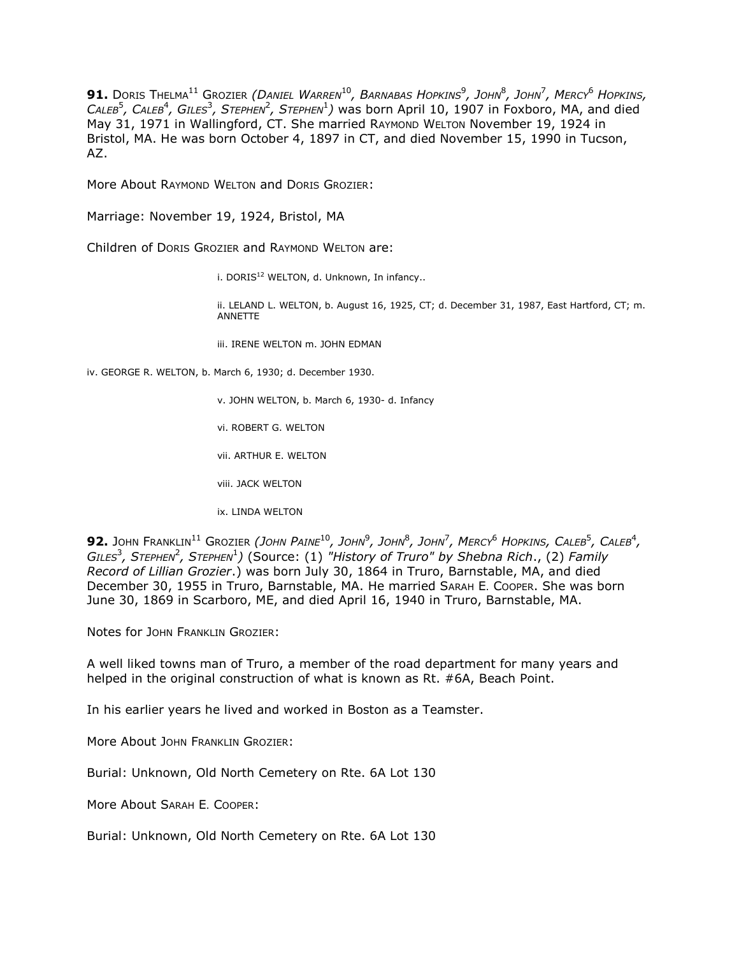$91.$  Doris Thelma $^{11}$  Grozier *(Daniel Warren* $^{10}$ *, Barnabas Hopkins* $^{9}$ *, John* $^{8}$ *, John* $^{7}$ *, Mercy* $^{6}$  *Hopkins, .* CALEB<sup>5</sup>, CALEB<sup>4</sup>, GILES<sup>3</sup>, STEPHEN<sup>2</sup>, STEPHEN<sup>1</sup>) was born April 10, 1907 in Foxboro, MA, and died May 31, 1971 in Wallingford, CT. She married RAYMOND WELTON November 19, 1924 in Bristol, MA. He was born October 4, 1897 in CT, and died November 15, 1990 in Tucson, AZ.

More About RAYMOND WELTON and DORIS GROZIER:

Marriage: November 19, 1924, Bristol, MA

Children of DORIS GROZIER and RAYMOND WELTON are:

i. DORIS $^{12}$  WELTON, d. Unknown, In infancy..

ii. LELAND L. WELTON, b. August 16, 1925, CT; d. December 31, 1987, East Hartford, CT; m. ANNETTE

iii. IRENE WELTON m. JOHN EDMAN

iv. GEORGE R. WELTON, b. March 6, 1930; d. December 1930.

- v. JOHN WELTON, b. March 6, 1930- d. Infancy
- vi. ROBERT G. WELTON
- vii. ARTHUR E. WELTON
- viii. JACK WELTON
- ix. LINDA WELTON

**92.** John Franklin $^{11}$  Grozier *(John Paine* $^{10}$ *, John* $^9$ *, John* $^8$ *, John* $^7$ *, Mercy* $^6$  *Hopkins, Caleb* $^5$ *, Caleb* $^4$ *,* GILES<sup>3</sup>, Sтернем<sup>2</sup>, Sтернем<sup>1</sup>) (Source: (1) "History of Truro" by Shebna Rich., (2) Family *Record of Lillian Grozier*.) was born July 30, 1864 in Truro, Barnstable, MA, and died December 30, 1955 in Truro, Barnstable, MA. He married SARAH E. COOPER. She was born June 30, 1869 in Scarboro, ME, and died April 16, 1940 in Truro, Barnstable, MA.

Notes for JOHN FRANKLIN GROZIER:

A well liked towns man of Truro, a member of the road department for many years and helped in the original construction of what is known as Rt. #6A, Beach Point.

In his earlier years he lived and worked in Boston as a Teamster.

More About JOHN FRANKLIN GROZIER:

Burial: Unknown, Old North Cemetery on Rte. 6A Lot 130

More About SARAH E. COOPER:

Burial: Unknown, Old North Cemetery on Rte. 6A Lot 130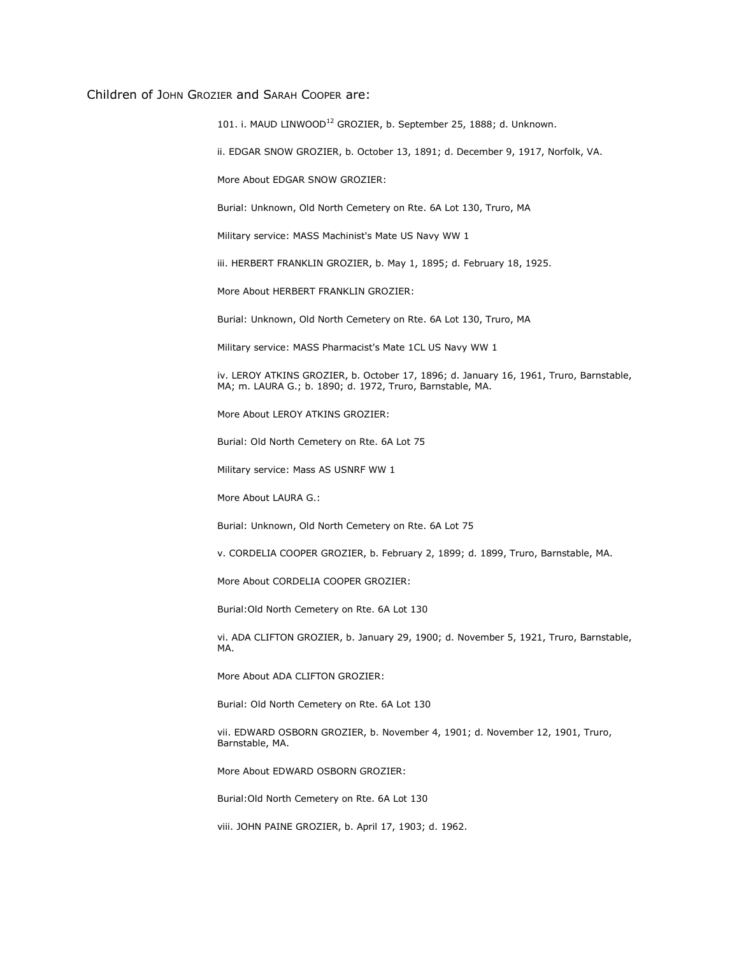## Children of JOHN GROZIER and SARAH COOPER are:

101. i. MAUD LINWOOD<sup>12</sup> GROZIER, b. September 25, 1888; d. Unknown.

ii. EDGAR SNOW GROZIER, b. October 13, 1891; d. December 9, 1917, Norfolk, VA.

More About EDGAR SNOW GROZIER:

Burial: Unknown, Old North Cemetery on Rte. 6A Lot 130, Truro, MA

Military service: MASS Machinist's Mate US Navy WW 1

iii. HERBERT FRANKLIN GROZIER, b. May 1, 1895; d. February 18, 1925.

More About HERBERT FRANKLIN GROZIER:

Burial: Unknown, Old North Cemetery on Rte. 6A Lot 130, Truro, MA

Military service: MASS Pharmacist's Mate 1CL US Navy WW 1

iv. LEROY ATKINS GROZIER, b. October 17, 1896; d. January 16, 1961, Truro, Barnstable, MA; m. LAURA G.; b. 1890; d. 1972, Truro, Barnstable, MA.

More About LEROY ATKINS GROZIER:

Burial: Old North Cemetery on Rte. 6A Lot 75

Military service: Mass AS USNRF WW 1

More About LAURA G.:

Burial: Unknown, Old North Cemetery on Rte. 6A Lot 75

v. CORDELIA COOPER GROZIER, b. February 2, 1899; d. 1899, Truro, Barnstable, MA.

More About CORDELIA COOPER GROZIER:

Burial:Old North Cemetery on Rte. 6A Lot 130

vi. ADA CLIFTON GROZIER, b. January 29, 1900; d. November 5, 1921, Truro, Barnstable, MA.

More About ADA CLIFTON GROZIER:

Burial: Old North Cemetery on Rte. 6A Lot 130

vii. EDWARD OSBORN GROZIER, b. November 4, 1901; d. November 12, 1901, Truro, Barnstable, MA.

More About EDWARD OSBORN GROZIER:

Burial:Old North Cemetery on Rte. 6A Lot 130

viii. JOHN PAINE GROZIER, b. April 17, 1903; d. 1962.